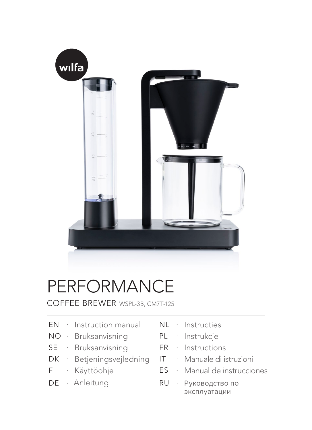

# PERFORMANCE

COFFEE BREWER WSPL-3B, CM7T-125

- EN · Instruction manual NL · Instructies
- NO · Bruksanvisning PL · Instrukcje
- SE · Bruksanvisning FR · Instructions
- DK · Betjeningsvejledning IT · Manuale di istruzioni
- 
- 
- 
- 
- 
- 
- FI · Käyttöohje **ES** · Manual de instrucciones
- DE · Anleitung **RU** · Руководство по эксплуатации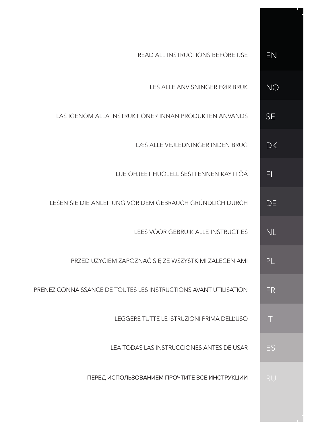| READ ALL INSTRUCTIONS BEFORE USE                                 | EN        |
|------------------------------------------------------------------|-----------|
| LES ALLE ANVISNINGER FØR BRUK                                    | <b>NO</b> |
| LÄS IGENOM ALLA INSTRUKTIONER INNAN PRODUKTEN ANVÄNDS            | <b>SE</b> |
| LÆS ALLE VEJLEDNINGER INDEN BRUG                                 | <b>DK</b> |
| LUE OHJEET HUOLELLISESTI ENNEN KÄYTTÖÄ                           | F1        |
| LESEN SIE DIE ANLEITUNG VOR DEM GEBRAUCH GRÜNDLICH DURCH         | DE        |
| LEES VÓÓR GEBRUIK ALLE INSTRUCTIES                               | <b>NL</b> |
| PRZED UŻYCIEM ZAPOZNAĆ SIĘ ZE WSZYSTKIMI ZALECENIAMI             | PL        |
| PRENEZ CONNAISSANCE DE TOUTES LES INSTRUCTIONS AVANT UTILISATION | <b>FR</b> |
| LEGGERE TUTTE LE ISTRUZIONI PRIMA DELL'USO                       | IT        |
| LEA TODAS LAS INSTRUCCIONES ANTES DE USAR                        | ES        |
| ПЕРЕД ИСПОЛЬЗОВАНИЕМ ПРОЧТИТЕ ВСЕ ИНСТРУКЦИИ                     | <b>RU</b> |
|                                                                  |           |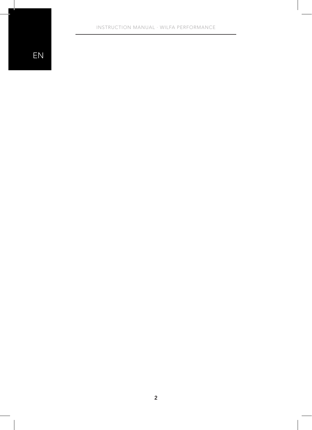INSTRUCTION MANUAL · WILFA PERFORMANCE

EN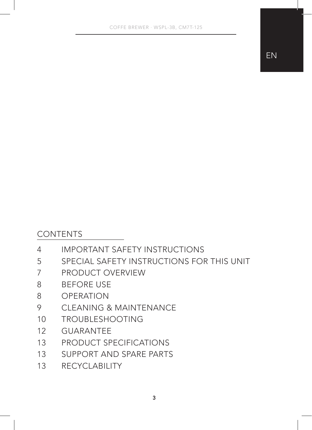#### COFFE BREWER · WSPL-3B, CM7T-125

EN

### CONTENTS

- IMPORTANT SAFETY INSTRUCTIONS
- SPECIAL SAFETY INSTRUCTIONS FOR THIS UNIT
- PRODUCT OVERVIEW
- BEFORE USE
- OPERATION
- 
- CLEANING & MAINTENANCE
- TROUBLESHOOTING
- 
- 
- GUARANTEE
- 
- 
- 
- 
- 
- 
- 
- 
- - -
- PRODUCT SPECIFICATIONS
	-
- SUPPORT AND SPARE PARTS
- RECYCLABILITY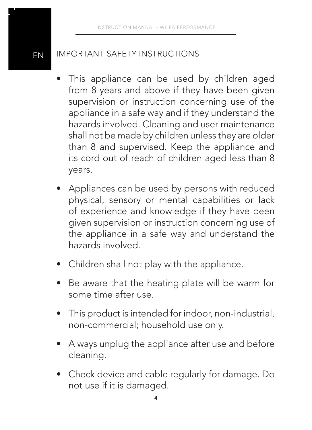### **EN IMPORTANT SAFETY INSTRUCTIONS**

- This appliance can be used by children aged from 8 years and above if they have been given supervision or instruction concerning use of the appliance in a safe way and if they understand the hazards involved. Cleaning and user maintenance shall not be made by children unless they are older than 8 and supervised. Keep the appliance and its cord out of reach of children aged less than 8 years.
- Appliances can be used by persons with reduced physical, sensory or mental capabilities or lack of experience and knowledge if they have been given supervision or instruction concerning use of the appliance in a safe way and understand the hazards involved.
- Children shall not play with the appliance.
- Be aware that the heating plate will be warm for some time after use.
- This product is intended for indoor, non-industrial, non-commercial; household use only.
- Always unplug the appliance after use and before cleaning.
- Check device and cable regularly for damage. Do not use if it is damaged.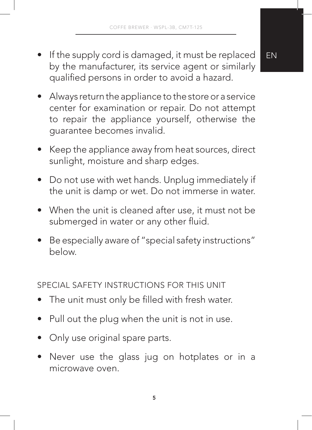- If the supply cord is damaged, it must be replaced  $E_N$ by the manufacturer, its service agent or similarly qualified persons in order to avoid a hazard.
	-

- Always return the appliance to the store or a service center for examination or repair. Do not attempt to repair the appliance yourself, otherwise the guarantee becomes invalid.
- Keep the appliance away from heat sources, direct sunlight, moisture and sharp edges.
- Do not use with wet hands. Unplug immediately if the unit is damp or wet. Do not immerse in water.
- When the unit is cleaned after use, it must not be submerged in water or any other fluid.
- Be especially aware of "special safety instructions" below.

SPECIAL SAFETY INSTRUCTIONS FOR THIS UNIT

- The unit must only be filled with fresh water.
- Pull out the plug when the unit is not in use.
- Only use original spare parts.
- Never use the glass jug on hotplates or in a microwave oven.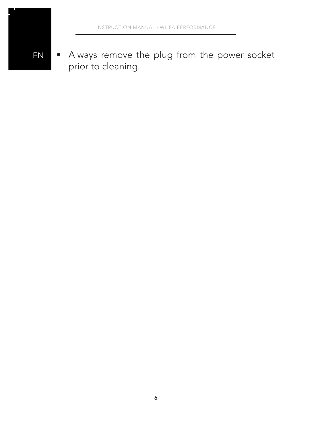EN • Always remove the plug from the power socket prior to cleaning.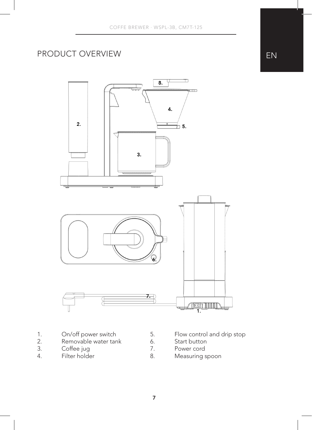### PRODUCT OVERVIEW THE SERVICE OF THE SERVICE OF THE SERVICE OF THE SERVICE OF THE SERVICE OF THE SERVICE OF THE



- 1. On/off power switch
- 2. Removable water tank
- 3. Coffee jug
- 4. Filter holder
- 5. Flow control and drip stop<br>6. Start button
	- Start button
- 7. Power cord<br>8. Measuring s
	- Measuring spoon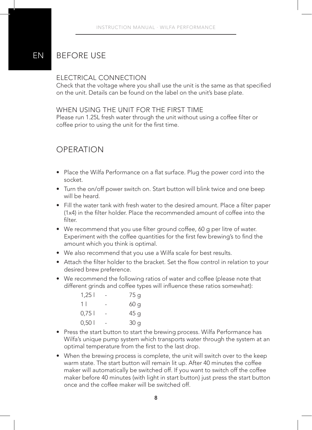### EN BEFORE USE

#### ELECTRICAL CONNECTION

Check that the voltage where you shall use the unit is the same as that specified on the unit. Details can be found on the label on the unit's base plate.

#### WHEN USING THE UNIT FOR THE FIRST TIME

Please run 1.25L fresh water through the unit without using a coffee filter or coffee prior to using the unit for the first time.

### OPERATION

- Place the Wilfa Performance on a flat surface. Plug the power cord into the socket.
- Turn the on/off power switch on. Start button will blink twice and one beep will be heard.
- Fill the water tank with fresh water to the desired amount. Place a filter paper (1x4) in the filter holder. Place the recommended amount of coffee into the filter
- We recommend that you use filter ground coffee, 60 g per litre of water. Experiment with the coffee quantities for the first few brewing's to find the amount which you think is optimal.
- We also recommend that you use a Wilfa scale for best results.
- Attach the filter holder to the bracket. Set the flow control in relation to your desired brew preference.
- We recommend the following ratios of water and coffee (please note that different grinds and coffee types will influence these ratios somewhat):

| 1,25 l | 75 g |
|--------|------|
| 1 I    | 60g  |
| 0,751  | 45 g |
| 0,501  | 30 g |

- Press the start button to start the brewing process. Wilfa Performance has Wilfa's unique pump system which transports water through the system at an optimal temperature from the first to the last drop.
- When the brewing process is complete, the unit will switch over to the keep warm state. The start button will remain lit up. After 40 minutes the coffee maker will automatically be switched off. If you want to switch off the coffee maker before 40 minutes (with light in start button) just press the start button once and the coffee maker will be switched off.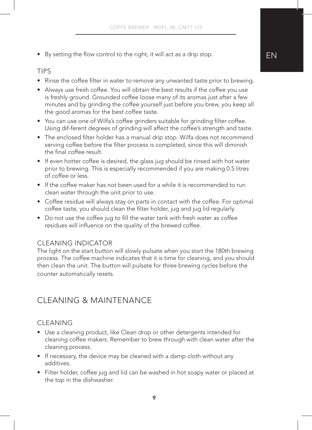• By setting the flow control to the right, it will act as a drip stop.  $\Box$ 

#### TIPS

- Rinse the coffee filter in water to remove any unwanted taste prior to brewing.
- Always use fresh coffee. You will obtain the best results if the coffee you use is freshly ground. Grounded coffee loose many of its aromas just after a few minutes and by grinding the coffee yourself just before you brew, you keep all the good aromas for the best coffee taste.
- You can use one of Wilfa's coffee grinders suitable for grinding filter coffee. Using dif-ferent degrees of grinding will affect the coffee's strength and taste.
- The enclosed filter holder has a manual drip stop. Wilfa does not recommend serving coffee before the filter process is completed, since this will diminish the final coffee result.
- If even hotter coffee is desired, the glass jug should be rinsed with hot water prior to brewing. This is especially recommended if you are making 0.5 litres of coffee or less.
- If the coffee maker has not been used for a while it is recommended to run clean water through the unit prior to use.
- Coffee residue will always stay on parts in contact with the coffee. For optimal coffee taste, you should clean the filter holder, jug and jug lid regularly.
- Do not use the coffee jug to fill the water tank with fresh water as coffee residues will influence on the quality of the brewed coffee.

#### CLEANING INDICATOR

The light on the start button will slowly pulsate when you start the 180th brewing process. The coffee machine indicates that it is time for cleaning, and you should then clean the unit. The button will pulsate for three brewing cycles before the counter automatically resets.

### CLEANING & MAINTENANCE

#### CLEANING

- Use a cleaning product, like Clean drop or other detergents intended for cleaning coffee makers. Remember to brew through with clean water after the cleaning process.
- If necessary, the device may be cleaned with a damp cloth without any additives.
- Filter holder, coffee jug and lid can be washed in hot soapy water or placed at the top in the dishwasher.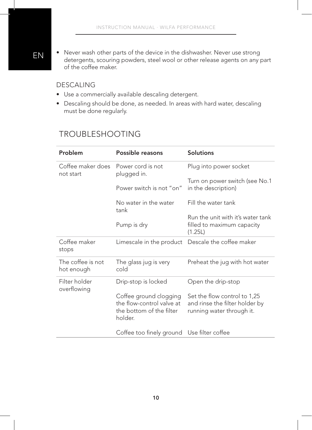- EN
- Never wash other parts of the device in the dishwasher. Never use strong detergents, scouring powders, steel wool or other release agents on any part of the coffee maker.

#### DESCALING

- Use a commercially available descaling detergent.
- Descaling should be done, as needed. In areas with hard water, descaling must be done regularly.

### TROUBLESHOOTING

| Problem                         | Possible reasons                                                                           | <b>Solutions</b>                                                                            |
|---------------------------------|--------------------------------------------------------------------------------------------|---------------------------------------------------------------------------------------------|
| Coffee maker does<br>not start  | Power cord is not<br>plugged in.                                                           | Plug into power socket                                                                      |
|                                 | Power switch is not "on"                                                                   | Turn on power switch (see No.1)<br>in the description)                                      |
|                                 | No water in the water<br>tank                                                              | Fill the water tank                                                                         |
|                                 | Pump is dry                                                                                | Run the unit with it's water tank<br>filled to maximum capacity<br>(1.25L)                  |
| Coffee maker<br>stops           |                                                                                            | Limescale in the product  Descale the coffee maker                                          |
| The coffee is not<br>hot enough | The glass jug is very<br>cold                                                              | Preheat the jug with hot water                                                              |
| Filter holder<br>overflowing    | Drip-stop is locked                                                                        | Open the drip-stop                                                                          |
|                                 | Coffee ground clogging<br>the flow-control valve at<br>the bottom of the filter<br>holder. | Set the flow control to 1,25<br>and rinse the filter holder by<br>running water through it. |
|                                 | Coffee too finely ground Use filter coffee                                                 |                                                                                             |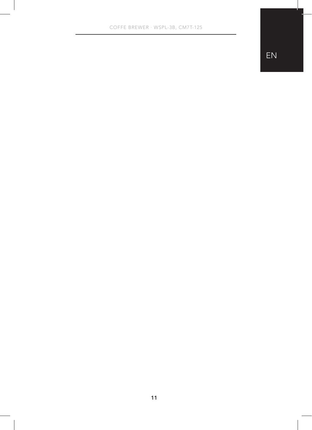#### COFFE BREWER · WSPL-3B, CM7T-125

EN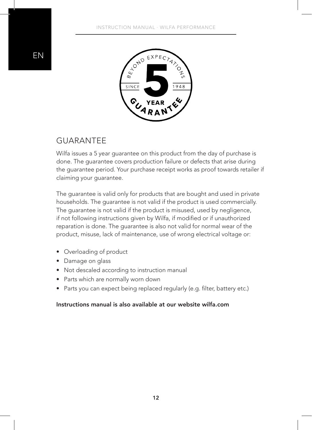

### GUARANTEE

Wilfa issues a 5 year guarantee on this product from the day of purchase is done. The guarantee covers production failure or defects that arise during the guarantee period. Your purchase receipt works as proof towards retailer if claiming your guarantee.

The guarantee is valid only for products that are bought and used in private households. The guarantee is not valid if the product is used commercially. The guarantee is not valid if the product is misused, used by negligence, if not following instructions given by Wilfa, if modified or if unauthorized reparation is done. The guarantee is also not valid for normal wear of the product, misuse, lack of maintenance, use of wrong electrical voltage or:

- Overloading of product
- Damage on glass
- Not descaled according to instruction manual
- Parts which are normally worn down
- Parts you can expect being replaced regularly (e.g. filter, battery etc.)

#### Instructions manual is also available at our website wilfa.com

EN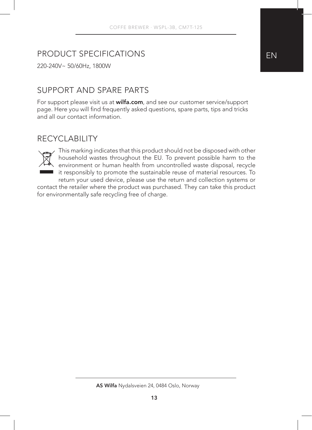### PRODUCT SPECIFICATIONS FINITIONS

220-240V~ 50/60Hz, 1800W

### SUPPORT AND SPARE PARTS

For support please visit us at wilfa.com, and see our customer service/support page. Here you will find frequently asked questions, spare parts, tips and tricks and all our contact information.

### RECYCLABILITY



This marking indicates that this product should not be disposed with other household wastes throughout the EU. To prevent possible harm to the environment or human health from uncontrolled waste disposal, recycle it responsibly to promote the sustainable reuse of material resources. To return your used device, please use the return and collection systems or

contact the retailer where the product was purchased. They can take this product for environmentally safe recycling free of charge.

AS Wilfa Nydalsveien 24, 0484 Oslo, Norway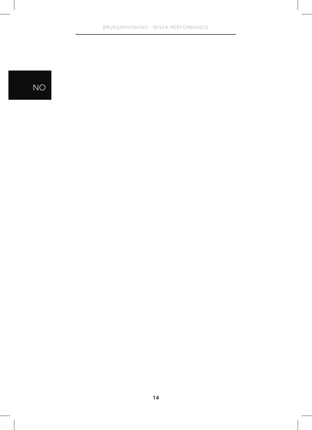BRUKSANVISNING · WILFA PERFORMANCE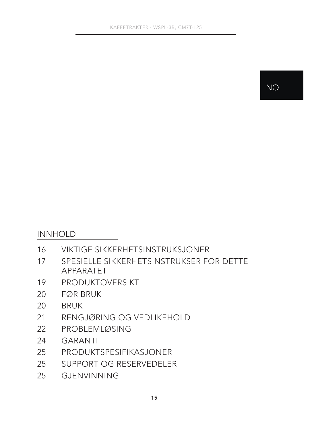NO

### INNHOLD

- VIKTIGE SIKKERHETSINSTRUKSJONER
- 17 SPESIELLE SIKKERHETSINSTRUKSER FOR DETTE APPARATET
- PRODUKTOVERSIKT
- FØR BRUK
- BRUK
- RENGJØRING OG VEDLIKEHOLD
- PROBLEMLØSING
- GARANTI
- PRODUKTSPESIFIKASJONER
- SUPPORT OG RESERVEDELER
- GJENVINNING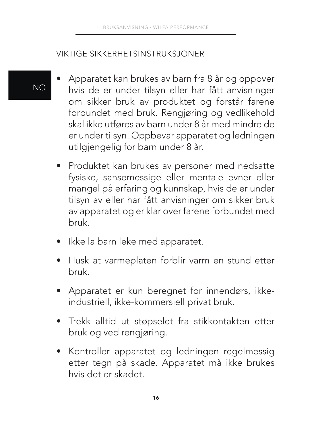### VIKTIGE SIKKERHETSINSTRUKSJONER

- Apparatet kan brukes av barn fra 8 år og oppover hvis de er under tilsyn eller har fått anvisninger om sikker bruk av produktet og forstår farene forbundet med bruk. Rengjøring og vedlikehold skal ikke utføres av barn under 8 år med mindre de er under tilsyn. Oppbevar apparatet og ledningen utilgjengelig for barn under 8 år.
	- Produktet kan brukes av personer med nedsatte fysiske, sansemessige eller mentale evner eller mangel på erfaring og kunnskap, hvis de er under tilsyn av eller har fått anvisninger om sikker bruk av apparatet og er klar over farene forbundet med bruk.
	- Ikke la barn leke med apparatet.
	- Husk at varmeplaten forblir varm en stund etter bruk.
	- Apparatet er kun beregnet for innendørs, ikkeindustriell, ikke-kommersiell privat bruk.
	- Trekk alltid ut støpselet fra stikkontakten etter bruk og ved rengjøring.
	- Kontroller apparatet og ledningen regelmessig etter tegn på skade. Apparatet må ikke brukes hvis det er skadet.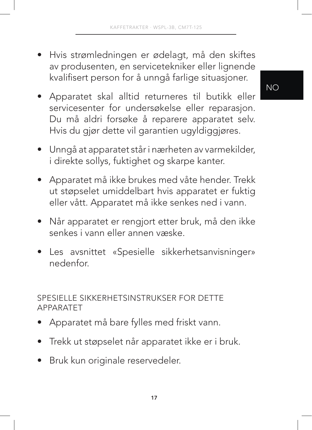- Hvis strømledningen er ødelagt, må den skiftes av produsenten, en servicetekniker eller lignende kvalifisert person for å unngå farlige situasjoner.
- Apparatet skal alltid returneres til butikk eller servicesenter for undersøkelse eller reparasjon. Du må aldri forsøke å reparere apparatet selv. Hvis du gjør dette vil garantien ugyldiggjøres.
- Unngå at apparatet står i nærheten av varmekilder, i direkte sollys, fuktighet og skarpe kanter.
- Apparatet må ikke brukes med våte hender. Trekk ut støpselet umiddelbart hvis apparatet er fuktig eller vått. Apparatet må ikke senkes ned i vann.
- Når apparatet er rengjort etter bruk, må den ikke senkes i vann eller annen væske.
- Les avsnittet «Spesielle sikkerhetsanvisninger» nedenfor.

### SPESIELLE SIKKERHETSINSTRUKSER FOR DETTE APPARATET

- Apparatet må bare fylles med friskt vann.
- Trekk ut støpselet når apparatet ikke er i bruk.
- Bruk kun originale reservedeler.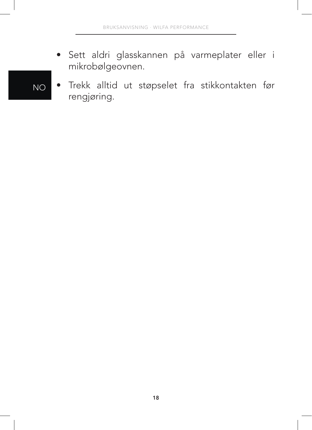• Sett aldri glasskannen på varmeplater eller i mikrobølgeovnen.

NO

• Trekk alltid ut støpselet fra stikkontakten før rengjøring.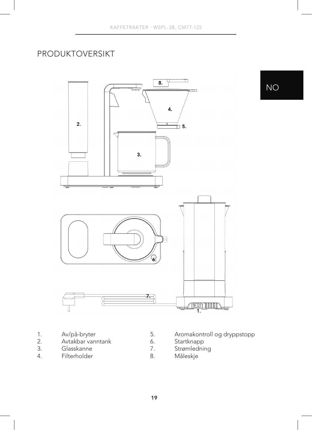### PRODUKTOVERSIKT



- 1. Av/på-bryter
- 2. Avtakbar vanntank
- 3. Glasskanne<br>4. Filterholder
- **Filterholder**
- 5. Aromakontroll og dryppstopp
- 6. Startknapp
- 7. Strømledning
- 8. Måleskje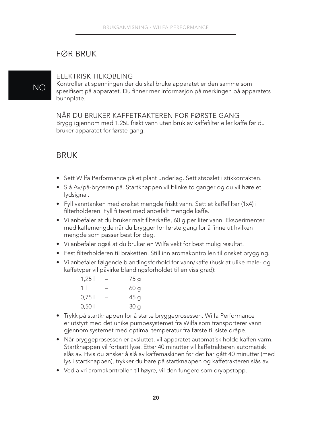#### FØR BRUK

#### ELEKTRISK TILKOBLING

Kontroller at spenningen der du skal bruke apparatet er den samme som spesifisert på apparatet. Du finner mer informasjon på merkingen på apparatets bunnplate.

NÅR DU BRUKER KAFFETRAKTEREN FOR FØRSTE GANG Brygg igjennom med 1.25L friskt vann uten bruk av kaffefilter eller kaffe før du bruker apparatet for første gang.

#### BRUK

- Sett Wilfa Performance på et plant underlag. Sett støpslet i stikkontakten.
- Slå Av/på-bryteren på. Startknappen vil blinke to ganger og du vil høre et lydsignal.
- Fyll vanntanken med ønsket mengde friskt vann. Sett et kaffefilter (1x4) i filterholderen. Fyll filteret med anbefalt mengde kaffe.
- Vi anbefaler at du bruker malt filterkaffe, 60 g per liter vann. Eksperimenter med kaffemengde når du brygger for første gang for å finne ut hvilken mengde som passer best for deg.
- Vi anbefaler også at du bruker en Wilfa vekt for best mulig resultat.
- Fest filterholderen til braketten. Still inn aromakontrollen til ønsket brygging.
- Vi anbefaler følgende blandingsforhold for vann/kaffe (husk at ulike male- og kaffetyper vil påvirke blandingsforholdet til en viss grad):

| $1,25$ l | - | 75 g |
|----------|---|------|
| 1 I      | - | 60 g |
| 0,751    | - | 45 g |
| 0,501    | - | 30g  |

- Trykk på startknappen for å starte bryggeprosessen. Wilfa Performance er utstyrt med det unike pumpesystemet fra Wilfa som transporterer vann gjennom systemet med optimal temperatur fra første til siste dråpe.
- Når bryggeprosessen er avsluttet, vil apparatet automatisk holde kaffen varm. Startknappen vil fortsatt lyse. Etter 40 minutter vil kaffetrakteren automatisk slås av. Hvis du ønsker å slå av kaffemaskinen før det har gått 40 minutter (med lys i startknappen), trykker du bare på startknappen og kaffetrakteren slås av.
- Ved å vri aromakontrollen til høyre, vil den fungere som dryppstopp.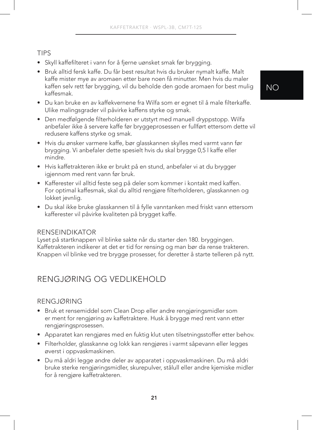#### TIPS

- Skyll kaffefilteret i vann for å fjerne uønsket smak før brygging.
- Bruk alltid fersk kaffe. Du får best resultat hvis du bruker nymalt kaffe. Malt kaffe mister mye av aromaen etter bare noen få minutter. Men hvis du maler kaffen selv rett før brygging, vil du beholde den gode aromaen for best mulig kaffesmak.
- Du kan bruke en av kaffekvernene fra Wilfa som er egnet til å male filterkaffe. Ulike malingsgrader vil påvirke kaffens styrke og smak.
- Den medfølgende filterholderen er utstyrt med manuell dryppstopp. Wilfa anbefaler ikke å servere kaffe før bryggeprosessen er fullført ettersom dette vil redusere kaffens styrke og smak.
- Hvis du ønsker varmere kaffe, bør glasskannen skylles med varmt vann før brygging. Vi anbefaler dette spesielt hvis du skal brygge 0,5 l kaffe eller mindre.
- Hvis kaffetrakteren ikke er brukt på en stund, anbefaler vi at du brygger igjennom med rent vann før bruk.
- Kafferester vil alltid feste seg på deler som kommer i kontakt med kaffen. For optimal kaffesmak, skal du alltid rengjøre filterholderen, glasskannen og lokket jevnlig.
- Du skal ikke bruke glasskannen til å fylle vanntanken med friskt vann ettersom kafferester vil påvirke kvaliteten på brygget kaffe.

#### RENSEINDIKATOR

Lyset på startknappen vil blinke sakte når du starter den 180. bryggingen. Kaffetrakteren indikerer at det er tid for rensing og man bør da rense trakteren. Knappen vil blinke ved tre brygge prosesser, for deretter å starte telleren på nytt.

### RENGJØRING OG VEDLIKEHOLD

#### RENGJØRING

- Bruk et rensemiddel som Clean Drop eller andre rengjøringsmidler som er ment for rengjøring av kaffetraktere. Husk å brygge med rent vann etter rengjøringsprosessen.
- Apparatet kan rengjøres med en fuktig klut uten tilsetningsstoffer etter behov.
- Filterholder, glasskanne og lokk kan rengjøres i varmt såpevann eller legges øverst i oppvaskmaskinen.
- Du må aldri legge andre deler av apparatet i oppvaskmaskinen. Du må aldri bruke sterke rengjøringsmidler, skurepulver, stålull eller andre kjemiske midler for å rengjøre kaffetrakteren.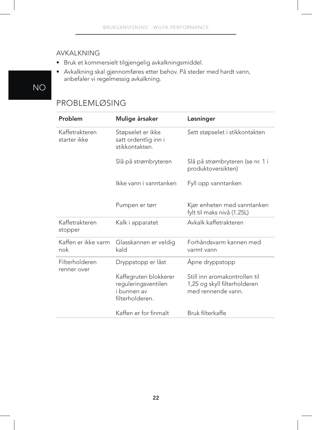#### AVKALKNING

- Bruk et kommersielt tilgjengelig avkalkningsmiddel.
- Avkalkning skal gjennomføres etter behov. På steder med hardt vann, anbefaler vi regelmessig avkalkning.

### NO

### PROBLEMLØSING

| Problem                        | Mulige årsaker                                                                 | Løsninger                                                                           |
|--------------------------------|--------------------------------------------------------------------------------|-------------------------------------------------------------------------------------|
| Kaffetrakteren<br>starter ikke | Støpselet er ikke<br>satt ordentlig inn i<br>stikkontakten                     | Sett støpselet i stikkontakten                                                      |
|                                | Slå på strømbryteren                                                           | Slå på strømbryteren (se nr. 1 i<br>produktoversikten)                              |
|                                | Ikke vann i vanntanken                                                         | Fyll opp vanntanken                                                                 |
|                                | Pumpen er tørr                                                                 | Kjør enheten med vanntanken<br>fylt til maks nivå (1.25L)                           |
| Kaffetrakteren<br>stopper      | Kalk i apparatet                                                               | Avkalk kaffetrakteren                                                               |
| Kaffen er ikke varm<br>nok     | Glasskannen er veldig<br>kald                                                  | Forhåndsvarm kannen med<br>varmt vann                                               |
| Filterholderen<br>renner over  | Dryppstopp er låst                                                             | Åpne dryppstopp                                                                     |
|                                | Kaffegruten blokkerer<br>reguleringsventilen<br>i bunnen av<br>filterholderen. | Still inn aromakontrollen til<br>1,25 og skyll filterholderen<br>med rennende vann. |
|                                | Kaffen er for finmalt                                                          | Bruk filterkaffe                                                                    |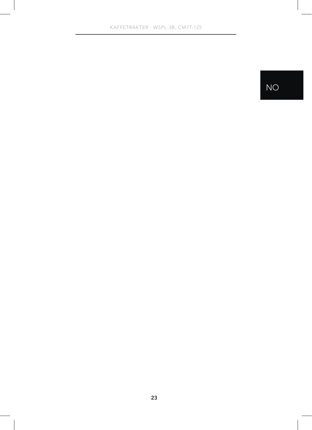#### KAFFETRAKTER · WSPL-3B, CM7T-125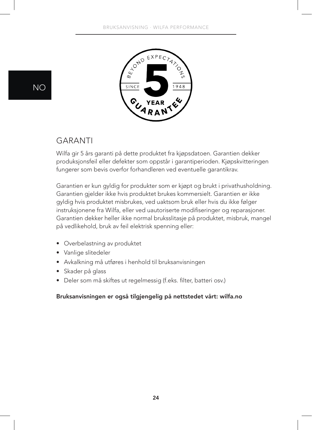

### GARANTI

Wilfa gir 5 års garanti på dette produktet fra kjøpsdatoen. Garantien dekker produksjonsfeil eller defekter som oppstår i garantiperioden. Kjøpskvitteringen fungerer som bevis overfor forhandleren ved eventuelle garantikrav.

Garantien er kun gyldig for produkter som er kjøpt og brukt i privathusholdning. Garantien gjelder ikke hvis produktet brukes kommersielt. Garantien er ikke gyldig hvis produktet misbrukes, ved uaktsom bruk eller hvis du ikke følger instruksjonene fra Wilfa, eller ved uautoriserte modifiseringer og reparasjoner. Garantien dekker heller ikke normal bruksslitasje på produktet, misbruk, mangel på vedlikehold, bruk av feil elektrisk spenning eller:

- Overbelastning av produktet
- Vanlige slitedeler
- Avkalkning må utføres i henhold til bruksanvisningen
- Skader på glass
- Deler som må skiftes ut regelmessig (f.eks. filter, batteri osv.)

#### Bruksanvisningen er også tilgjengelig på nettstedet vårt: wilfa.no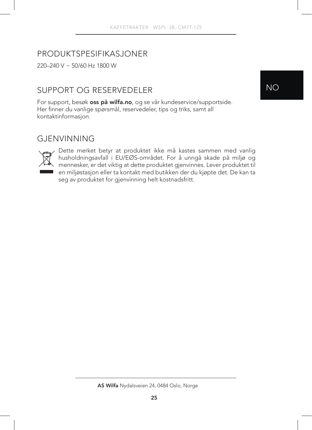### PRODUKTSPESIFIKASJONER

220–240 V ~ 50/60 Hz 1800 W

### SUPPORT OG RESERVEDELER

For support, besøk oss på wilfa.no, og se vår kundeservice/supportside. Her finner du vanlige spørsmål, reservedeler, tips og triks, samt all kontaktinformasjon.

### GJENVINNING



Dette merket betyr at produktet ikke må kastes sammen med vanlig husholdningsavfall i EU/EØS-området. For å unngå skade på miljø og mennesker, er det viktig at dette produktet gjenvinnes. Lever produktet til en miljøstasjon eller ta kontakt med butikken der du kjøpte det. De kan ta seg av produktet for gjenvinning helt kostnadsfritt.

#### AS Wilfa Nydalsveien 24, 0484 Oslo, Norge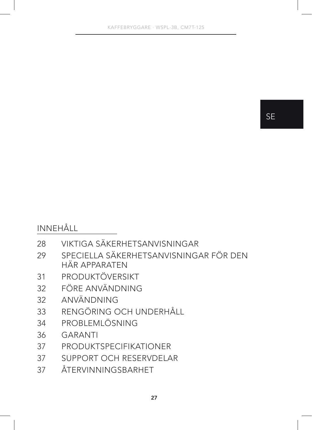### INNEHÅLL

- VIKTIGA SÄKERHETSANVISNINGAR
- 29 SPECIELLA SÄKERHETSANVISNINGAR FÖR DEN HÄR APPARATEN
- PRODUKTÖVERSIKT
- FÖRE ANVÄNDNING
- ANVÄNDNING
- RENGÖRING OCH UNDERHÅLL
- PROBLEMLÖSNING
- GARANTI
- PRODUKTSPECIFIKATIONER
- SUPPORT OCH RESERVDELAR
- ÅTERVINNINGSBARHET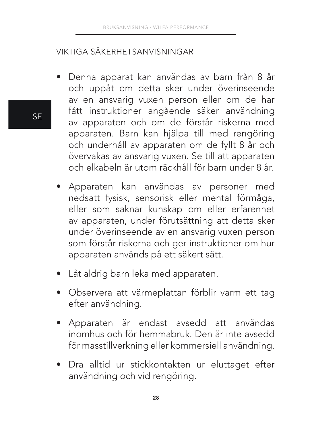### VIKTIGA SÄKERHETSANVISNINGAR

- Denna apparat kan användas av barn från 8 år och uppåt om detta sker under överinseende av en ansvarig vuxen person eller om de har fått instruktioner angående säker användning av apparaten och om de förstår riskerna med apparaten. Barn kan hjälpa till med rengöring och underhåll av apparaten om de fyllt 8 år och övervakas av ansvarig vuxen. Se till att apparaten och elkabeln är utom räckhåll för barn under 8 år.
- Apparaten kan användas av personer med nedsatt fysisk, sensorisk eller mental förmåga, eller som saknar kunskap om eller erfarenhet av apparaten, under förutsättning att detta sker under överinseende av en ansvarig vuxen person som förstår riskerna och ger instruktioner om hur apparaten används på ett säkert sätt.
- Låt aldrig barn leka med apparaten.
- Observera att värmeplattan förblir varm ett tag efter användning.
- Apparaten är endast avsedd att användas inomhus och för hemmabruk. Den är inte avsedd för masstillverkning eller kommersiell användning.
- Dra alltid ur stickkontakten ur eluttaget efter användning och vid rengöring.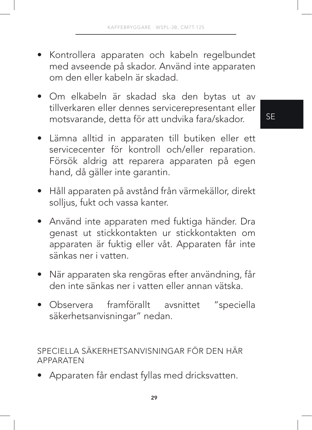- Kontrollera apparaten och kabeln regelbundet med avseende på skador. Använd inte apparaten om den eller kabeln är skadad.
- Om elkabeln är skadad ska den bytas ut av tillverkaren eller dennes servicerepresentant eller motsvarande, detta för att undvika fara/skador.
- Lämna alltid in apparaten till butiken eller ett servicecenter för kontroll och/eller reparation. Försök aldrig att reparera apparaten på egen hand, då gäller inte garantin.
- Håll apparaten på avstånd från värmekällor, direkt solljus, fukt och vassa kanter.
- Använd inte apparaten med fuktiga händer. Dra genast ut stickkontakten ur stickkontakten om apparaten är fuktig eller våt. Apparaten får inte sänkas ner i vatten.
- När apparaten ska rengöras efter användning, får den inte sänkas ner i vatten eller annan vätska.
- Observera framförallt avsnittet "speciella säkerhetsanvisningar" nedan.

SPECIELLA SÄKERHETSANVISNINGAR FÖR DEN HÄR APPARATEN

• Apparaten får endast fyllas med dricksvatten.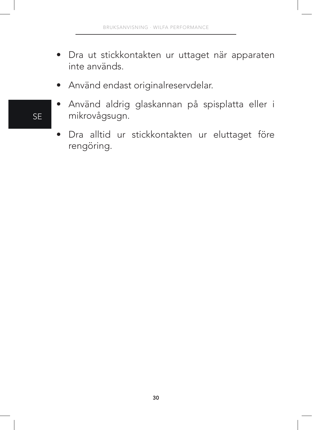- Dra ut stickkontakten ur uttaget när apparaten inte används.
- Använd endast originalreservdelar.
- Använd aldrig glaskannan på spisplatta eller i mikrovågsugn.
- Dra alltid ur stickkontakten ur eluttaget före rengöring.

SE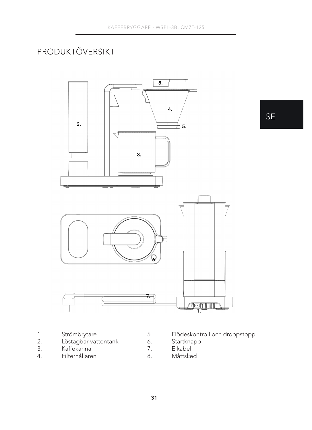### PRODUKTÖVERSIKT



- 1. Strömbrytare
- 2. Löstagbar vattentank
- 3. Kaffekanna<br>4. Filterhållare
- 4. Filterhållaren
- 5. Flödeskontroll och droppstopp
- 6. Startknapp
- 7. Elkabel<br>8. Måttske
	- 8. Måttsked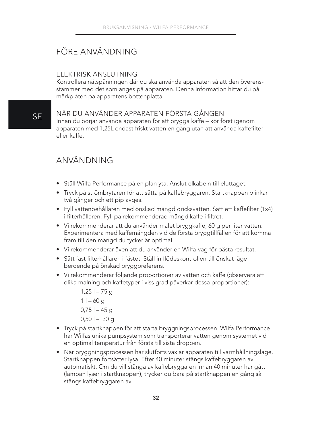### FÖRE ANVÄNDNING

#### ELEKTRISK ANSLUTNING

Kontrollera nätspänningen där du ska använda apparaten så att den överensstämmer med det som anges på apparaten. Denna information hittar du på märkplåten på apparatens bottenplatta.

#### NÄR DU ANVÄNDER APPARATEN FÖRSTA GÅNGEN

Innan du börjar använda apparaten för att brygga kaffe – kör först igenom apparaten med 1,25L endast friskt vatten en gång utan att använda kaffefilter eller kaffe.

### ANVÄNDNING

- Ställ Wilfa Performance på en plan yta. Anslut elkabeln till eluttaget.
- Tryck på strömbrytaren för att sätta på kaffebryggaren. Startknappen blinkar två gånger och ett pip avges.
- Fyll vattenbehållaren med önskad mängd dricksvatten. Sätt ett kaffefilter (1x4) i filterhållaren. Fyll på rekommenderad mängd kaffe i filtret.
- Vi rekommenderar att du använder malet bryggkaffe, 60 g per liter vatten. Experimentera med kaffemängden vid de första bryggtillfällen för att komma fram till den mängd du tycker är optimal.
- Vi rekommenderar även att du använder en Wilfa-våg för bästa resultat.
- Sätt fast filterhållaren i fästet. Ställ in flödeskontrollen till önskat läge beroende på önskad bryggpreferens.
- Vi rekommenderar följande proportioner av vatten och kaffe (observera att olika malning och kaffetyper i viss grad påverkar dessa proportioner):

 $1,25$  l – 75 g  $11 - 60$  g

 $0,75$  l – 45 g

0,50 l – 30 g

- Tryck på startknappen för att starta bryggningsprocessen. Wilfa Performance har Wilfas unika pumpsystem som transporterar vatten genom systemet vid en optimal temperatur från första till sista droppen.
- När bryggningsprocessen har slutförts växlar apparaten till varmhållningsläge. Startknappen fortsätter lysa. Efter 40 minuter stängs kaffebryggaren av automatiskt. Om du vill stänga av kaffebryggaren innan 40 minuter har gått (lampan lyser i startknappen), trycker du bara på startknappen en gång så stängs kaffebryggaren av.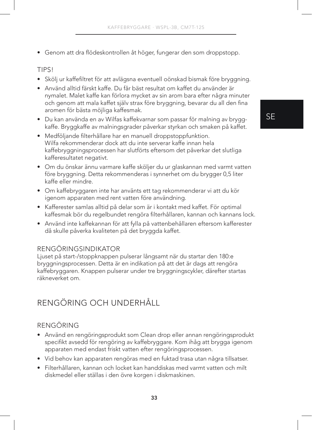• Genom att dra flödeskontrollen åt höger, fungerar den som droppstopp.

#### TIPS!

- Skölj ur kaffefiltret för att avlägsna eventuell oönskad bismak före bryggning.
- Använd alltid färskt kaffe. Du får bäst resultat om kaffet du använder är nymalet. Malet kaffe kan förlora mycket av sin arom bara efter några minuter och genom att mala kaffet själv strax före bryggning, bevarar du all den fina aromen för bästa möjliga kaffesmak.
- Du kan använda en av Wilfas kaffekvarnar som passar för malning av bryggkaffe. Bryggkaffe av malningsgrader påverkar styrkan och smaken på kaffet.
- Medföljande filterhållare har en manuell droppstoppfunktion. Wilfa rekommenderar dock att du inte serverar kaffe innan hela kaffebryggningsprocessen har slutförts eftersom det påverkar det slutliga kafferesultatet negativt.
- Om du önskar ännu varmare kaffe sköljer du ur glaskannan med varmt vatten före bryggning. Detta rekommenderas i synnerhet om du brygger 0,5 liter kaffe eller mindre.
- Om kaffebryggaren inte har använts ett tag rekommenderar vi att du kör igenom apparaten med rent vatten före användning.
- Kafferester samlas alltid på delar som är i kontakt med kaffet. För optimal kaffesmak bör du regelbundet rengöra filterhållaren, kannan och kannans lock.
- Använd inte kaffekannan för att fylla på vattenbehållaren eftersom kafferester då skulle påverka kvaliteten på det bryggda kaffet.

#### RENGÖRINGSINDIKATOR

Ljuset på start-/stoppknappen pulserar långsamt när du startar den 180:e bryggningsprocessen. Detta är en indikation på att det är dags att rengöra kaffebryggaren. Knappen pulserar under tre bryggningscykler, därefter startas räkneverket om.

### RENGÖRING OCH UNDERHÅLL

#### RENGÖRING

- Använd en rengöringsprodukt som Clean drop eller annan rengöringsprodukt specifikt avsedd för rengöring av kaffebryggare. Kom ihåg att brygga igenom apparaten med endast friskt vatten efter rengöringsprocessen.
- Vid behov kan apparaten rengöras med en fuktad trasa utan några tillsatser.
- Filterhållaren, kannan och locket kan handdiskas med varmt vatten och milt diskmedel eller ställas i den övre korgen i diskmaskinen.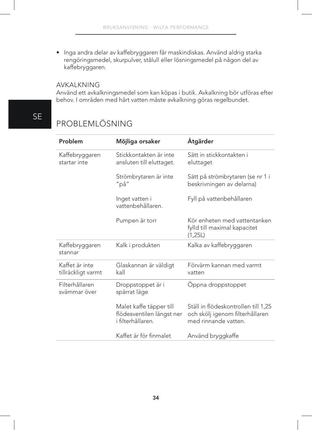• Inga andra delar av kaffebryggaren får maskindiskas. Använd aldrig starka rengöringsmedel, skurpulver, stålull eller lösningsmedel på någon del av kaffebryggaren.

#### AVKALKNING

Använd ett avkalkningsmedel som kan köpas i butik. Avkalkning bör utföras efter behov. I områden med hårt vatten måste avkalkning göras regelbundet.

### PROBLEMLÖSNING

| Problem                              | Möjliga orsaker                                                           | Åtgärder                                                                                       |
|--------------------------------------|---------------------------------------------------------------------------|------------------------------------------------------------------------------------------------|
| Kaffebryggaren<br>startar inte       | Stickkontakten är inte<br>ansluten till eluttaget.                        | Sätt in stickkontakten i<br>eluttaget                                                          |
|                                      | Strömbrytaren är inte<br>"på"                                             | Sätt på strömbrytaren (se nr 1 i<br>beskrivningen av delarna)                                  |
|                                      | Inget vatten i<br>vattenbehållaren.                                       | Fyll på vattenbehållaren                                                                       |
|                                      | Pumpen är torr                                                            | Kör enheten med vattentanken<br>fylld till maximal kapacitet<br>(1, 25L)                       |
| Kaffebryggaren<br>stannar            | Kalk i produkten                                                          | Kalka av kaffebryggaren                                                                        |
| Kaffet är inte<br>tillräckligt varmt | Glaskannan är väldigt<br>kall                                             | Förvärm kannan med varmt<br>vatten                                                             |
| Filterhållaren<br>svämmar över       | Droppstoppet är i<br>spärrat läge                                         | Öppna droppstoppet                                                                             |
|                                      | Malet kaffe täpper till<br>flödesventilen längst ner<br>i filterhållaren. | Ställ in flödeskontrollen till 1,25<br>och skölj igenom filterhållaren<br>med rinnande vatten. |
|                                      | Kaffet är för finmalet                                                    | Använd bryggkaffe                                                                              |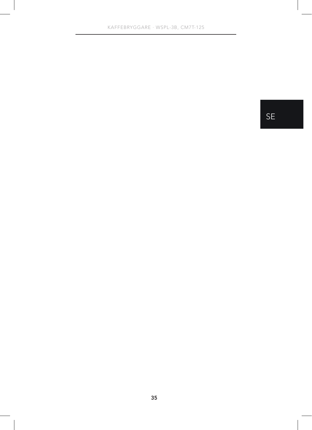KAFFEBRYGGARE · WSPL-3B, CM7T-125

SE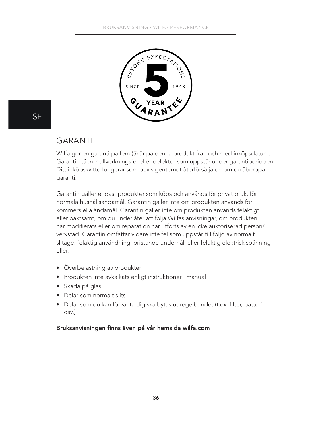

### GARANTI

Wilfa ger en garanti på fem (5) år på denna produkt från och med inköpsdatum. Garantin täcker tillverkningsfel eller defekter som uppstår under garantiperioden. Ditt inköpskvitto fungerar som bevis gentemot återförsäljaren om du åberopar garanti.

Garantin gäller endast produkter som köps och används för privat bruk, för normala hushållsändamål. Garantin gäller inte om produkten används för kommersiella ändamål. Garantin gäller inte om produkten används felaktigt eller oaktsamt, om du underlåter att följa Wilfas anvisningar, om produkten har modifierats eller om reparation har utförts av en icke auktoriserad person/ verkstad. Garantin omfattar vidare inte fel som uppstår till följd av normalt slitage, felaktig användning, bristande underhåll eller felaktig elektrisk spänning eller:

- Överbelastning av produkten
- Produkten inte avkalkats enligt instruktioner i manual
- Skada på glas
- Delar som normalt slits
- Delar som du kan förvänta dig ska bytas ut regelbundet (t.ex. filter, batteri osv.)

#### Bruksanvisningen finns även på vår hemsida wilfa.com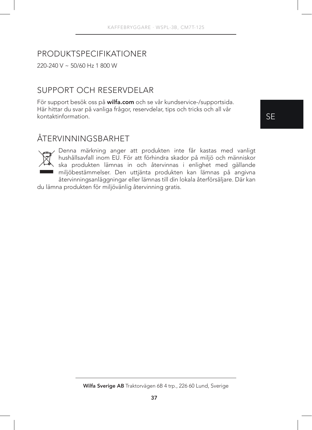### PRODUKTSPECIFIKATIONER

220-240 V ~ 50/60 Hz 1 800 W

# SUPPORT OCH RESERVDELAR

För support besök oss på wilfa.com och se vår kundservice-/supportsida. Här hittar du svar på vanliga frågor, reservdelar, tips och tricks och all vår kontaktinformation.

# ÅTERVINNINGSBARHET



Denna märkning anger att produkten inte får kastas med vanligt hushållsavfall inom EU. För att förhindra skador på miljö och människor ska produkten lämnas in och återvinnas i enlighet med gällande miljöbestämmelser. Den uttjänta produkten kan lämnas på angivna återvinningsanläggningar eller lämnas till din lokala återförsäljare. Där kan

du lämna produkten för miljövänlig återvinning gratis.

Wilfa Sverige AB Traktorvägen 6B 4 trp., 226 60 Lund, Sverige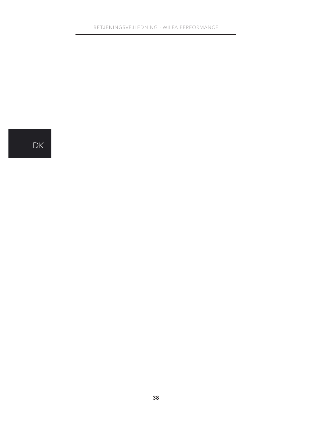BETJENINGSVEJLEDNING · WILFA PERFORMANCE

DK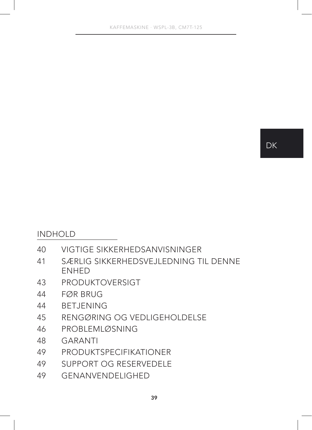**DK** 

### INDHOLD

- VIGTIGE SIKKERHEDSANVISNINGER
- 41 SÆRLIG SIKKERHEDSVEJLEDNING TIL DENNE ENHED
- PRODUKTOVERSIGT
- FØR BRUG
- BETJENING
- RENGØRING OG VEDLIGEHOLDELSE
- PROBLEMLØSNING
- GARANTI
- PRODUKTSPECIFIKATIONER
- SUPPORT OG RESERVEDELE
- GENANVENDELIGHED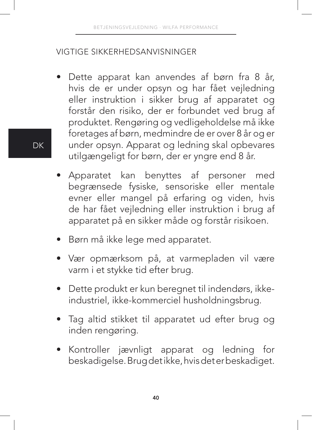# VIGTIGE SIKKERHEDSANVISNINGER

- Dette apparat kan anvendes af børn fra 8 år, hvis de er under opsyn og har fået vejledning eller instruktion i sikker brug af apparatet og forstår den risiko, der er forbundet ved brug af produktet. Rengøring og vedligeholdelse må ikke foretages af børn, medmindre de er over 8 år og er under opsyn. Apparat og ledning skal opbevares utilgængeligt for børn, der er yngre end 8 år.
- Apparatet kan benyttes af personer med begrænsede fysiske, sensoriske eller mentale evner eller mangel på erfaring og viden, hvis de har fået vejledning eller instruktion i brug af apparatet på en sikker måde og forstår risikoen.
- Børn må ikke lege med apparatet.
- Vær opmærksom på, at varmepladen vil være varm i et stykke tid efter brug.
- Dette produkt er kun beregnet til indendørs, ikkeindustriel, ikke-kommerciel husholdningsbrug.
- Tag altid stikket til apparatet ud efter brug og inden rengøring.
- Kontroller jævnligt apparat og ledning for beskadigelse. Brug det ikke, hvis det er beskadiget.

# DK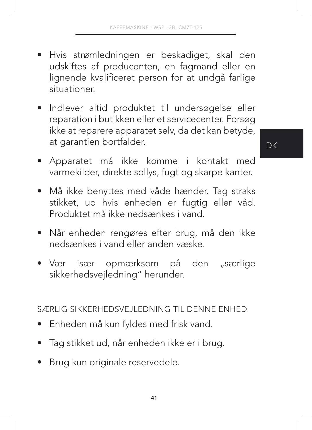- Hvis strømledningen er beskadiget, skal den udskiftes af producenten, en fagmand eller en lignende kvalificeret person for at undgå farlige situationer.
- Indlever altid produktet til undersøgelse eller reparation i butikken eller et servicecenter. Forsøg ikke at reparere apparatet selv, da det kan betyde, at garantien bortfalder.
- Apparatet må ikke komme i kontakt med varmekilder, direkte sollys, fugt og skarpe kanter.
- Må ikke benyttes med våde hænder. Tag straks stikket, ud hvis enheden er fugtig eller våd. Produktet må ikke nedsænkes i vand.
- Når enheden rengøres efter brug, må den ikke nedsænkes i vand eller anden væske.
- Vær især opmærksom på den "særlige sikkerhedsvejledning" herunder.

SÆRLIG SIKKERHEDSVEJLEDNING TIL DENNE ENHED

- Enheden må kun fyldes med frisk vand.
- Tag stikket ud, når enheden ikke er i brug.
- Brug kun originale reservedele.

**DK**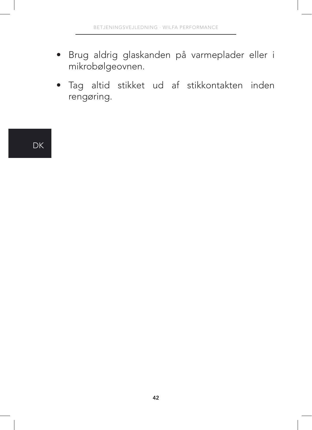- Brug aldrig glaskanden på varmeplader eller i mikrobølgeovnen.
- Tag altid stikket ud af stikkontakten inden rengøring.

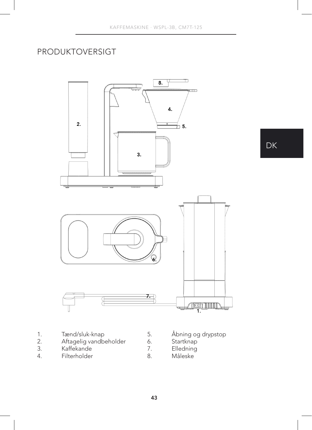# PRODUKTOVERSIGT



D<sub>K</sub>

- 1. Tænd/sluk-knap
- 2. Aftagelig vandbeholder
- 3. Kaffekande
- 4. Filterholder
- 5. Åbning og drypstop
- 6. Startknap
- 7. Elledning
- 8. Måleske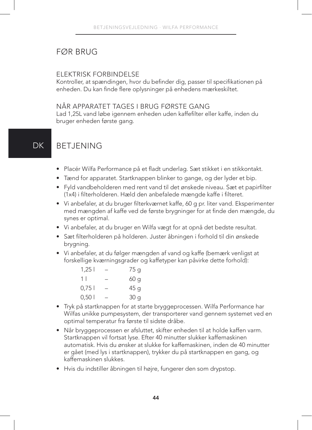### FØR BRUG

#### ELEKTRISK FORBINDELSE

Kontroller, at spændingen, hvor du befinder dig, passer til specifikationen på enheden. Du kan finde flere oplysninger på enhedens mærkeskiltet.

#### NÅR APPARATET TAGES I BRUG FØRSTE GANG

Lad 1,25L vand løbe igennem enheden uden kaffefilter eller kaffe, inden du bruger enheden første gang.

#### DK **BETJENING**

- Placér Wilfa Performance på et fladt underlag. Sæt stikket i en stikkontakt.
- Tænd for apparatet. Startknappen blinker to gange, og der lyder et bip.
- Fyld vandbeholderen med rent vand til det ønskede niveau. Sæt et papirfilter (1x4) i filterholderen. Hæld den anbefalede mængde kaffe i filteret.
- Vi anbefaler, at du bruger filterkværnet kaffe, 60 g pr. liter vand. Eksperimenter med mængden af kaffe ved de første brygninger for at finde den mængde, du synes er optimal.
- Vi anbefaler, at du bruger en Wilfa vægt for at opnå det bedste resultat.
- Sæt filterholderen på holderen. Juster åbningen i forhold til din ønskede brygning.
- Vi anbefaler, at du følger mængden af vand og kaffe (bemærk venligst at forskellige kværningsgrader og kaffetyper kan påvirke dette forhold):

| $1,25$ l | - | 75 q            |
|----------|---|-----------------|
| 1 I      |   | 60 <sub>g</sub> |
| 0,75 l   | - | 45 g            |
| 0,501    | - | 30 g            |

- Tryk på startknappen for at starte bryggeprocessen. Wilfa Performance har Wilfas unikke pumpesystem, der transporterer vand gennem systemet ved en optimal temperatur fra første til sidste dråbe.
- Når bryggeprocessen er afsluttet, skifter enheden til at holde kaffen varm. Startknappen vil fortsat lyse. Efter 40 minutter slukker kaffemaskinen automatisk. Hvis du ønsker at slukke for kaffemaskinen, inden de 40 minutter er gået (med lys i startknappen), trykker du på startknappen en gang, og kaffemaskinen slukkes.
- Hvis du indstiller åbningen til højre, fungerer den som drypstop.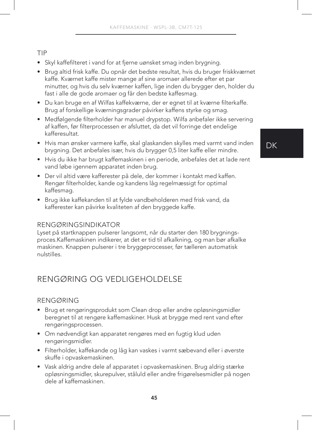#### TIP

- Skyl kaffefilteret i vand for at fjerne uønsket smag inden brygning.
- Brug altid frisk kaffe. Du opnår det bedste resultat, hvis du bruger friskkværnet kaffe. Kværnet kaffe mister mange af sine aromaer allerede efter et par minutter, og hvis du selv kværner kaffen, lige inden du brygger den, holder du fast i alle de gode aromaer og får den bedste kaffesmag.
- Du kan bruge en af Wilfas kaffekværne, der er egnet til at kværne filterkaffe. Brug af forskellige kværningsgrader påvirker kaffens styrke og smag.
- Medfølgende filterholder har manuel drypstop. Wilfa anbefaler ikke servering af kaffen, før filterprocessen er afsluttet, da det vil forringe det endelige kafferesultat.
- Hvis man ønsker varmere kaffe, skal glaskanden skylles med varmt vand inden brygning. Det anbefales især, hvis du brygger 0,5 liter kaffe eller mindre.
- Hvis du ikke har brugt kaffemaskinen i en periode, anbefales det at lade rent vand løbe igennem apparatet inden brug.
- Der vil altid være kafferester på dele, der kommer i kontakt med kaffen. Rengør filterholder, kande og kandens låg regelmæssigt for optimal kaffesmag.
- Brug ikke kaffekanden til at fylde vandbeholderen med frisk vand, da kafferester kan påvirke kvaliteten af den bryggede kaffe.

#### RENGØRINGSINDIKATOR

Lyset på startknappen pulserer langsomt, når du starter den 180 brygningsproces.Kaffemaskinen indikerer, at det er tid til afkalkning, og man bør afkalke maskinen. Knappen pulserer i tre bryggeprocesser, før tælleren automatisk nulstilles.

### RENGØRING OG VEDLIGEHOLDELSE

#### RENGØRING

- Brug et rengøringsprodukt som Clean drop eller andre opløsningsmidler beregnet til at rengøre kaffemaskiner. Husk at brygge med rent vand efter rengøringsprocessen.
- Om nødvendigt kan apparatet rengøres med en fugtig klud uden rengøringsmidler.
- Filterholder, kaffekande og låg kan vaskes i varmt sæbevand eller i øverste skuffe i opvaskemaskinen.
- Vask aldrig andre dele af apparatet i opvaskemaskinen. Brug aldrig stærke opløsningsmidler, skurepulver, ståluld eller andre frigørelsesmidler på nogen dele af kaffemaskinen.

### DK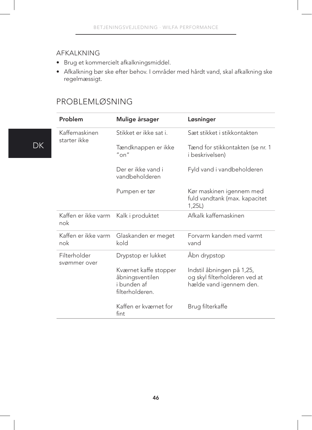### AFKALKNING

- Brug et kommercielt afkalkningsmiddel.
- Afkalkning bør ske efter behov. I områder med hårdt vand, skal afkalkning ske regelmæssigt.

# PROBLEMLØSNING

| Problem                       | Mulige årsager                                                             | Løsninger                                                                             |
|-------------------------------|----------------------------------------------------------------------------|---------------------------------------------------------------------------------------|
| Kaffemaskinen<br>starter ikke | Stikket er ikke sat i.                                                     | Sæt stikket i stikkontakten                                                           |
|                               | Tændknappen er ikke<br>$"$ on $"$                                          | Tænd for stikkontakten (se nr. 1<br>i beskrivelsen)                                   |
|                               | Der er ikke vand i<br>vandbeholderen                                       | Fyld vand i vandbeholderen                                                            |
|                               | Pumpen er tør                                                              | Kør maskinen igennem med<br>fuld vandtank (max. kapacitet<br>1,25L)                   |
| Kaffen er ikke varm<br>nok    | Kalk i produktet                                                           | Afkalk kaffemaskinen                                                                  |
| Kaffen er ikke varm<br>nok    | Glaskanden er meget<br>kold                                                | Forvarm kanden med varmt<br>vand                                                      |
| Filterholder<br>svømmer over  | Drypstop er lukket                                                         | Abn drypstop                                                                          |
|                               | Kværnet kaffe stopper<br>åbningsventilen<br>i bunden af<br>filterholderen. | Indstil åbningen på 1,25,<br>og skyl filterholderen ved at<br>hælde vand igennem den. |
|                               | Kaffen er kværnet for<br>fint                                              | Brug filterkaffe                                                                      |
|                               |                                                                            |                                                                                       |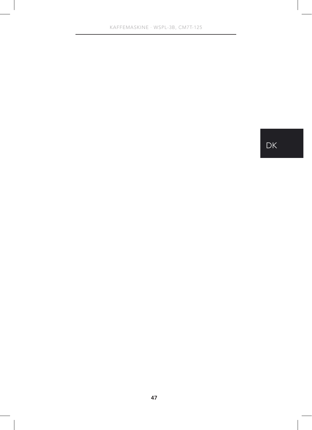KAFFEMASKINE · WSPL-3B, CM7T-125

DK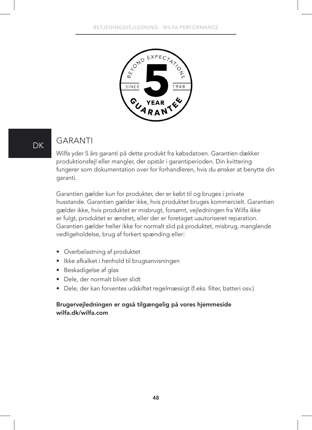

# DK GARANTI

Wilfa yder 5 års garanti på dette produkt fra købsdatoen. Garantien dækker produktionsfejl eller mangler, der opstår i garantiperioden. Din kvittering fungerer som dokumentation over for forhandleren, hvis du ønsker at benytte din garanti.

Garantien gælder kun for produkter, der er købt til og bruges i private husstande. Garantien gælder ikke, hvis produktet bruges kommercielt. Garantien gælder ikke, hvis produktet er misbrugt, forsømt, vejledningen fra Wilfa ikke er fulgt, produktet er ændret, eller der er foretaget uautoriseret reparation. Garantien gælder heller ikke for normalt slid på produktet, misbrug, manglende vedligeholdelse, brug af forkert spænding eller:

- Overbelastning af produktet
- Ikke afkalket i henhold til brugsanvisningen
- Beskadigelse af glas
- Dele, der normalt bliver slidt
- Dele, der kan forventes udskiftet regelmæssigt (f.eks. filter, batteri osv.)

#### Brugervejledningen er også tilgængelig på vores hjemmeside wilfa.dk/wilfa.com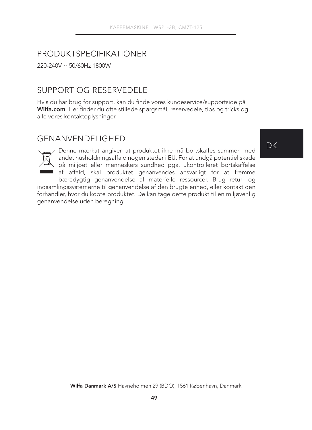### PRODUKTSPECIFIKATIONER

220-240V ~ 50/60Hz 1800W

## SUPPORT OG RESERVEDELE

Hvis du har brug for support, kan du finde vores kundeservice/supportside på Wilfa.com. Her finder du ofte stillede spørgsmål, reservedele, tips og tricks og alle vores kontaktoplysninger.

### GENANVENDELIGHED



Denne mærkat angiver, at produktet ikke må bortskaffes sammen med andet husholdningsaffald nogen steder i EU. For at undgå potentiel skade på miljøet eller menneskers sundhed pga. ukontrolleret bortskaffelse af affald, skal produktet genanvendes ansvarligt for at fremme bæredygtig genanvendelse af materielle ressourcer. Brug retur- og indsamlingssystemerne til genanvendelse af den brugte enhed, eller kontakt den

forhandler, hvor du købte produktet. De kan tage dette produkt til en miljøvenlig genanvendelse uden beregning.

**DK** 

Wilfa Danmark A/S Havneholmen 29 (BDO), 1561 København, Danmark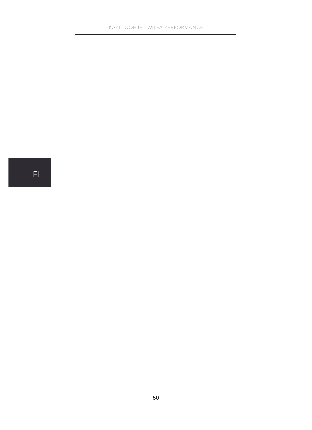KÄYTTÖOHJE · WILFA PERFORMANCE

 $F1$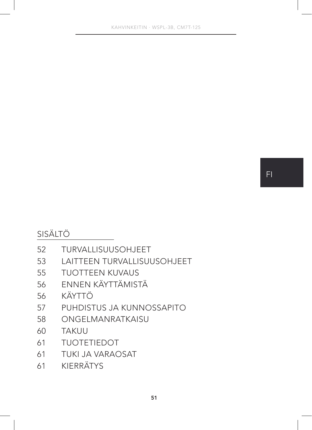# SISÄLTÖ

- 52 TURVALLISUUSOHJEET
- 53 LAITTEEN TURVALLISUUSOHJEET
- 55 TUOTTEEN KUVAUS
- 56 ENNEN KÄYTTÄMISTÄ
- 56 KÄYTTÖ
- 57 PUHDISTUS JA KUNNOSSAPITO
- 58 ONGELMANRATKAISU
- 60 TAKUU
- **TUOTETIEDOT** 61
- 61 TUKI JA VARAOSAT
- KIERRÄTYS 61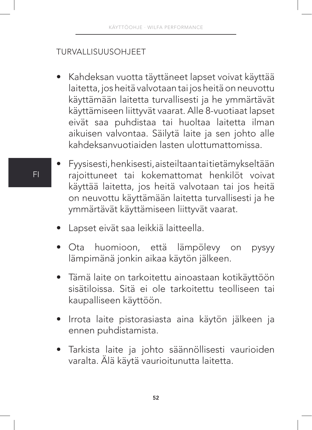# TURVALLISUUSOHJEET

- Kahdeksan vuotta täyttäneet lapset voivat käyttää laitetta, jos heitä valvotaan tai jos heitä on neuvottu käyttämään laitetta turvallisesti ja he ymmärtävät käyttämiseen liittyvät vaarat. Alle 8-vuotiaat lapset eivät saa puhdistaa tai huoltaa laitetta ilman aikuisen valvontaa. Säilytä laite ja sen johto alle kahdeksanvuotiaiden lasten ulottumattomissa.
- Fyysisesti, henkisesti, aisteiltaan tai tietämykseltään rajoittuneet tai kokemattomat henkilöt voivat käyttää laitetta, jos heitä valvotaan tai jos heitä on neuvottu käyttämään laitetta turvallisesti ja he ymmärtävät käyttämiseen liittyvät vaarat.
- Lapset eivät saa leikkiä laitteella.
- Ota huomioon, että lämpölevy on pysyy lämpimänä jonkin aikaa käytön jälkeen.
- Tämä laite on tarkoitettu ainoastaan kotikäyttöön sisätiloissa. Sitä ei ole tarkoitettu teolliseen tai kaupalliseen käyttöön.
- Irrota laite pistorasiasta aina käytön jälkeen ja ennen puhdistamista.
- Tarkista laite ja johto säännöllisesti vaurioiden varalta. Älä käytä vaurioitunutta laitetta.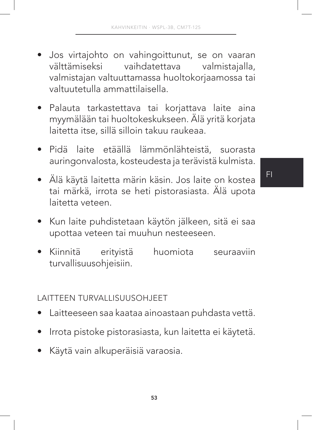- Jos virtajohto on vahingoittunut, se on vaaran välttämiseksi vaihdatettava valmistajalla, valmistajan valtuuttamassa huoltokorjaamossa tai valtuutetulla ammattilaisella.
- Palauta tarkastettava tai korjattava laite aina myymälään tai huoltokeskukseen. Älä yritä korjata laitetta itse, sillä silloin takuu raukeaa.
- Pidä laite etäällä lämmönlähteistä, suorasta auringonvalosta, kosteudesta ja terävistä kulmista.
- Älä käytä laitetta märin käsin. Jos laite on kostea tai märkä, irrota se heti pistorasiasta. Älä upota laitetta veteen.
- Kun laite puhdistetaan käytön jälkeen, sitä ei saa upottaa veteen tai muuhun nesteeseen.
- Kiinnitä erityistä huomiota seuraaviin turvallisuusohjeisiin.

LAITTEEN TURVALLISUUSOHJEET

- Laitteeseen saa kaataa ainoastaan puhdasta vettä.
- Irrota pistoke pistorasiasta, kun laitetta ei käytetä.
- Käytä vain alkuperäisiä varaosia.

FI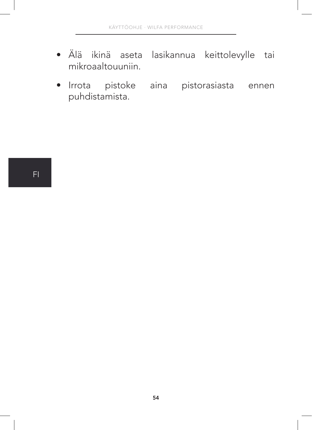- · Älä ikinä aseta lasikannua keittolevylle tai mikroaaltouuniin.
- · Irrota pistoke aina pistorasiasta ennen puhdistamista.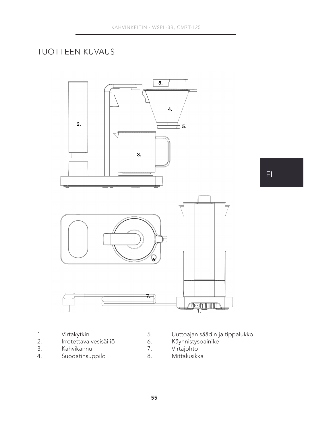# TUOTTEEN KUVAUS



FI

1. Virtakytkin<br>2. Irrotettava

Irrotettava vesisäiliö

- 3. Kahvikannu<br>4. Suodatinsup
- Suodatinsuppilo
- 5. Uuttoajan säädin ja tippalukko
- 6. Käynnistyspainike
- 7. Virtajohto<br>8. Mittalusikk
	- Mittalusikka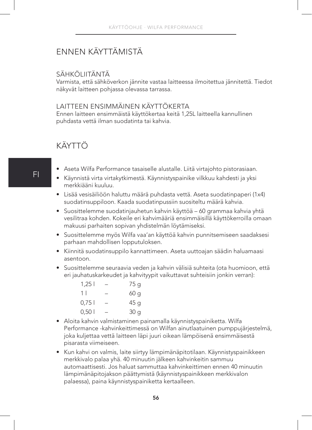# ENNEN KÄYTTÄMISTÄ

### SÄHKÖLIITÄNTÄ

Varmista, että sähköverkon jännite vastaa laitteessa ilmoitettua jännitettä. Tiedot näkyvät laitteen pohjassa olevassa tarrassa.

#### LAITTEEN ENSIMMÄINEN KÄYTTÖKERTA

Ennen laitteen ensimmäistä käyttökertaa keitä 1,25L laitteella kannullinen puhdasta vettä ilman suodatinta tai kahvia.

# KÄYTTÖ

- Aseta Wilfa Performance tasaiselle alustalle. Liitä virtajohto pistorasiaan.
- Käynnistä virta virtakytkimestä. Käynnistyspainike vilkkuu kahdesti ja yksi merkkiääni kuuluu.
- Lisää vesisäiliöön haluttu määrä puhdasta vettä. Aseta suodatinpaperi (1x4) suodatinsuppiloon. Kaada suodatinpussiin suositeltu määrä kahvia.
- Suosittelemme suodatinjauhetun kahvin käyttöä 60 grammaa kahvia yhtä vesilitraa kohden. Kokeile eri kahvimääriä ensimmäisillä käyttökerroilla omaan makuusi parhaiten sopivan yhdistelmän löytämiseksi.
- Suosittelemme myös Wilfa vaa'an käyttöä kahvin punnitsemiseen saadaksesi parhaan mahdollisen lopputuloksen.
- Kiinnitä suodatinsuppilo kannattimeen. Aseta uuttoajan säädin haluamaasi asentoon.
- Suosittelemme seuraavia veden ja kahvin välisiä suhteita (ota huomioon, että eri jauhatuskarkeudet ja kahvityypit vaikuttavat suhteisiin jonkin verran):

| $1,25$ l |   | 75 g            |
|----------|---|-----------------|
| 1 I      |   | 60 <sub>g</sub> |
| 0,751    | - | 45g             |
| 0,50 l   | - | 30q             |

- Aloita kahvin valmistaminen painamalla käynnistyspainiketta. Wilfa Performance -kahvinkeittimessä on Wilfan ainutlaatuinen pumppujärjestelmä, joka kuljettaa vettä laitteen läpi juuri oikean lämpöisenä ensimmäisestä pisarasta viimeiseen.
- Kun kahvi on valmis, laite siirtyy lämpimänäpitotilaan. Käynnistyspainikkeen merkkivalo palaa yhä. 40 minuutin jälkeen kahvinkeitin sammuu automaattisesti. Jos haluat sammuttaa kahvinkeittimen ennen 40 minuutin lämpimänäpitojakson päättymistä (käynnistyspainikkeen merkkivalon palaessa), paina käynnistyspainiketta kertaalleen.

FI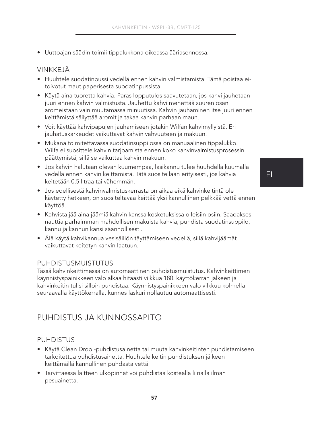• Uuttoajan säädin toimii tippalukkona oikeassa ääriasennossa.

### VINKKEJÄ

- Huuhtele suodatinpussi vedellä ennen kahvin valmistamista. Tämä poistaa eitoivotut maut paperisesta suodatinpussista.
- Käytä aina tuoretta kahvia. Paras lopputulos saavutetaan, jos kahvi jauhetaan juuri ennen kahvin valmistusta. Jauhettu kahvi menettää suuren osan aromeistaan vain muutamassa minuutissa. Kahvin jauhaminen itse juuri ennen keittämistä säilyttää aromit ja takaa kahvin parhaan maun.
- Voit käyttää kahvipapujen jauhamiseen jotakin Wilfan kahvimyllyistä. Eri jauhatuskarkeudet vaikuttavat kahvin vahvuuteen ja makuun.
- Mukana toimitettavassa suodatinsuppilossa on manuaalinen tippalukko. Wilfa ei suosittele kahvin tarjoamista ennen koko kahvinvalmistusprosessin päättymistä, sillä se vaikuttaa kahvin makuun.
- Jos kahvin halutaan olevan kuumempaa, lasikannu tulee huuhdella kuumalla vedellä ennen kahvin keittämistä. Tätä suositellaan erityisesti, jos kahvia keitetään 0,5 litraa tai vähemmän.
- Jos edellisestä kahvinvalmistuskerrasta on aikaa eikä kahvinkeitintä ole käytetty hetkeen, on suositeltavaa keittää yksi kannullinen pelkkää vettä ennen käyttöä.
- Kahvista jää aina jäämiä kahvin kanssa kosketuksissa olleisiin osiin. Saadaksesi nauttia parhaimman mahdollisen makuista kahvia, puhdista suodatinsuppilo, kannu ja kannun kansi säännöllisesti.
- Älä käytä kahvikannua vesisäiliön täyttämiseen vedellä, sillä kahvijäämät vaikuttavat keitetyn kahvin laatuun.

#### PUHDISTUSMUISTUTUS

Tässä kahvinkeittimessä on automaattinen puhdistusmuistutus. Kahvinkeittimen käynnistyspainikkeen valo alkaa hitaasti vilkkua 180. käyttökerran jälkeen ja kahvinkeitin tulisi silloin puhdistaa. Käynnistyspainikkeen valo vilkkuu kolmella seuraavalla käyttökerralla, kunnes laskuri nollautuu automaattisesti.

# PUHDISTUS JA KUNNOSSAPITO

#### PUHDISTUS

- Käytä Clean Drop -puhdistusainetta tai muuta kahvinkeitinten puhdistamiseen tarkoitettua puhdistusainetta. Huuhtele keitin puhdistuksen jälkeen keittämällä kannullinen puhdasta vettä.
- Tarvittaessa laitteen ulkopinnat voi puhdistaa kostealla liinalla ilman pesuainetta.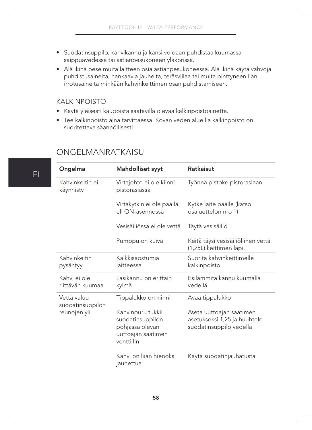- Suodatinsuppilo, kahvikannu ja kansi voidaan puhdistaa kuumassa saippuavedessä tai astianpesukoneen yläkorissa.
- Älä ikinä pese muita laitteen osia astianpesukoneessa. Älä ikinä käytä vahvoja puhdistusaineita, hankaavia jauheita, teräsvillaa tai muita pinttyneen lian irrotusaineita minkään kahvinkeittimen osan puhdistamiseen.

#### KALKINPOISTO

FI

- Käytä yleisesti kaupoista saatavilla olevaa kalkinpoistoainetta.
- Tee kalkinpoisto aina tarvittaessa. Kovan veden alueilla kalkinpoisto on suoritettava säännöllisesti.

| Ongelma                          | Mahdolliset syyt                                                                             | Ratkaisut                                                                           |
|----------------------------------|----------------------------------------------------------------------------------------------|-------------------------------------------------------------------------------------|
| Kahvinkeitin ei<br>käynnisty     | Virtajohto ei ole kiinni<br>pistorasiassa                                                    | Työnnä pistoke pistorasiaan                                                         |
|                                  | Virtakytkin ei ole päällä<br>eli ON-asennossa                                                | Kytke laite päälle (katso<br>osaluettelon nro 1)                                    |
|                                  | Vesisäiliössä ei ole vettä                                                                   | Täytä vesisäiliö                                                                    |
|                                  | Pumppu on kuiva                                                                              | Keitä täysi vesisäiliöllinen vettä<br>(1,25L) keittimen läpi.                       |
| Kahvinkeitin<br>pysähtyy         | Kalkkisaostumia<br>laitteessa                                                                | Suorita kahvinkeittimelle<br>kalkinpoisto                                           |
| Kahvi ei ole<br>riittävän kuumaa | Lasikannu on erittäin<br>kylmä                                                               | Esilämmitä kannu kuumalla<br>vedellä                                                |
| Vettä valuu<br>suodatinsuppilon  | Tippalukko on kiinni                                                                         | Avaa tippalukko                                                                     |
| reunojen yli                     | Kahvinpuru tukkii<br>suodatinsuppilon<br>pohjassa olevan<br>uuttoajan säätimen<br>venttiilin | Aseta uuttoajan säätimen<br>asetukseksi 1,25 ja huuhtele<br>suodatinsuppilo vedellä |
|                                  | Kahvi on lijan hienoksi<br>jauhettua                                                         | Käytä suodatinjauhatusta                                                            |

## ONGELMANRATKAISU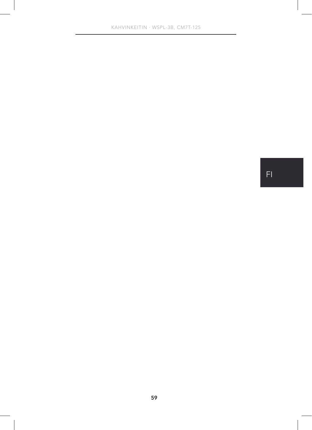KAHVINKEITIN · WSPL-3B, CM7T-125

 $F1$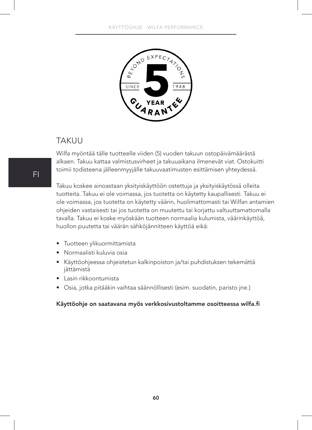

### TAKUU

Wilfa myöntää tälle tuotteelle viiden (5) vuoden takuun ostopäivämäärästä alkaen. Takuu kattaa valmistusvirheet ja takuuaikana ilmenevät viat. Ostokuitti toimii todisteena jälleenmyyjälle takuuvaatimusten esittämisen yhteydessä.

Takuu koskee ainoastaan yksityiskäyttöön ostettuja ja yksityiskäytössä olleita tuotteita. Takuu ei ole voimassa, jos tuotetta on käytetty kaupallisesti. Takuu ei ole voimassa, jos tuotetta on käytetty väärin, huolimattomasti tai Wilfan antamien ohjeiden vastaisesti tai jos tuotetta on muutettu tai korjattu valtuuttamattomalla tavalla. Takuu ei koske myöskään tuotteen normaalia kulumista, väärinkäyttöä, huollon puutetta tai väärän sähköjännitteen käyttöä eikä:

- Tuotteen ylikuormittamista
- Normaalisti kuluvia osia
- Käyttöohjeessa ohjeistetun kalkinpoiston ja/tai puhdistuksen tekemättä jättämistä
- Lasin rikkoontumista
- Osia, jotka pitääkin vaihtaa säännöllisesti (esim. suodatin, paristo jne.)

#### Käyttöohje on saatavana myös verkkosivustoltamme osoitteessa wilfa.fi

FI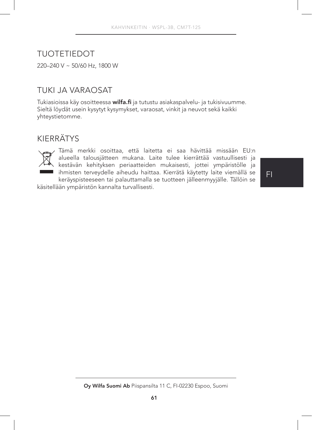# TUOTETIEDOT

220–240 V ~ 50/60 Hz, 1800 W

# TUKI JA VARAOSAT

Tukiasioissa käy osoitteessa wilfa.fi ja tutustu asiakaspalvelu- ja tukisivuumme. Sieltä löydät usein kysytyt kysymykset, varaosat, vinkit ja neuvot sekä kaikki yhteystietomme.

### KIERRÄTYS



Tämä merkki osoittaa, että laitetta ei saa hävittää missään EU:n alueella talousjätteen mukana. Laite tulee kierrättää vastuullisesti ja kestävän kehityksen periaatteiden mukaisesti, jottei ympäristölle ja ihmisten terveydelle aiheudu haittaa. Kierrätä käytetty laite viemällä se keräyspisteeseen tai palauttamalla se tuotteen jälleenmyyjälle. Tällöin se

käsitellään ympäristön kannalta turvallisesti.

FI

Oy Wilfa Suomi Ab Piispansilta 11 C, FI-02230 Espoo, Suomi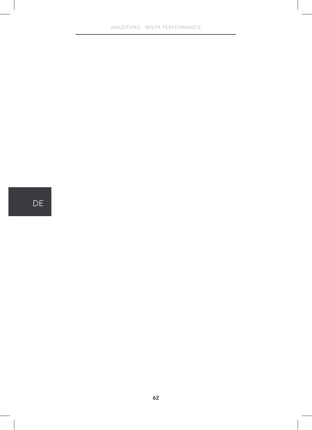ANLEITUNG · WILFA PERFORMANCE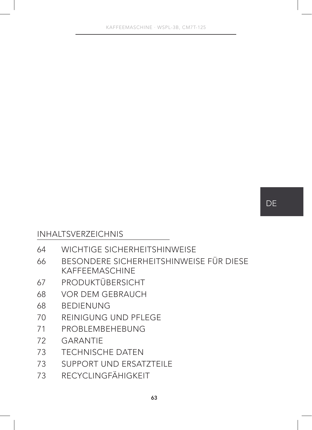### DE

### INHALTSVERZEICHNIS

- WICHTIGE SICHERHEITSHINWEISE
- 66 BESONDERE SICHERHEITSHINWEISE FÜR DIESE KAFFEEMASCHINE
- PRODUKTÜBERSICHT
- VOR DEM GEBRAUCH
- BEDIENUNG
- REINIGUNG UND PFLEGE
- PROBLEMBEHEBUNG
- GARANTIE
- TECHNISCHE DATEN
- SUPPORT UND ERSATZTEILE
- RECYCLINGFÄHIGKEIT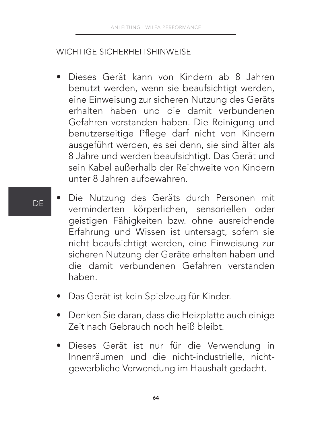# WICHTIGE SICHERHEITSHINWEISE

- Dieses Gerät kann von Kindern ab 8 Jahren benutzt werden, wenn sie beaufsichtigt werden, eine Einweisung zur sicheren Nutzung des Geräts erhalten haben und die damit verbundenen Gefahren verstanden haben. Die Reinigung und benutzerseitige Pflege darf nicht von Kindern ausgeführt werden, es sei denn, sie sind älter als 8 Jahre und werden beaufsichtigt. Das Gerät und sein Kabel außerhalb der Reichweite von Kindern unter 8 Jahren aufbewahren.
- Die Nutzung des Geräts durch Personen mit verminderten körperlichen, sensoriellen oder geistigen Fähigkeiten bzw. ohne ausreichende Erfahrung und Wissen ist untersagt, sofern sie nicht beaufsichtigt werden, eine Einweisung zur sicheren Nutzung der Geräte erhalten haben und die damit verbundenen Gefahren verstanden haben.
	- Das Gerät ist kein Spielzeug für Kinder.
	- Denken Sie daran, dass die Heizplatte auch einige Zeit nach Gebrauch noch heiß bleibt.
	- Dieses Gerät ist nur für die Verwendung in Innenräumen und die nicht-industrielle, nichtgewerbliche Verwendung im Haushalt gedacht.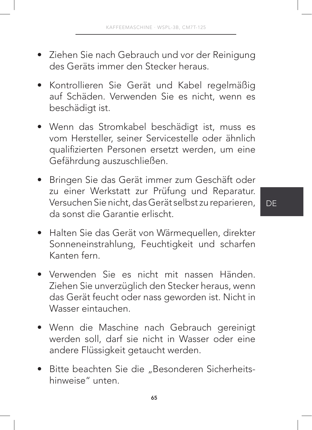- Ziehen Sie nach Gebrauch und vor der Reinigung des Geräts immer den Stecker heraus.
- Kontrollieren Sie Gerät und Kabel regelmäßig auf Schäden. Verwenden Sie es nicht, wenn es beschädigt ist.
- Wenn das Stromkabel beschädigt ist, muss es vom Hersteller, seiner Servicestelle oder ähnlich qualifizierten Personen ersetzt werden, um eine Gefährdung auszuschließen.
- Bringen Sie das Gerät immer zum Geschäft oder zu einer Werkstatt zur Prüfung und Reparatur. Versuchen Sie nicht, das Gerät selbst zu reparieren, da sonst die Garantie erlischt.
- Halten Sie das Gerät von Wärmequellen, direkter Sonneneinstrahlung, Feuchtigkeit und scharfen Kanten fern.
- Verwenden Sie es nicht mit nassen Händen. Ziehen Sie unverzüglich den Stecker heraus, wenn das Gerät feucht oder nass geworden ist. Nicht in Wasser eintauchen.
- Wenn die Maschine nach Gebrauch gereinigt werden soll, darf sie nicht in Wasser oder eine andere Flüssigkeit getaucht werden.
- Bitte beachten Sie die "Besonderen Sicherheitshinweise" unten.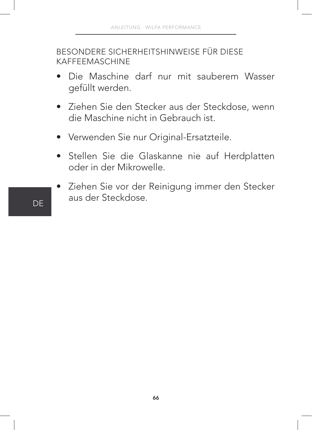# BESONDERE SICHERHEITSHINWEISE FÜR DIESE KAFFEEMASCHINE

- Die Maschine darf nur mit sauberem Wasser gefüllt werden.
- Ziehen Sie den Stecker aus der Steckdose, wenn die Maschine nicht in Gebrauch ist.
- Verwenden Sie nur Original-Ersatzteile.
- Stellen Sie die Glaskanne nie auf Herdplatten oder in der Mikrowelle.
- Ziehen Sie vor der Reinigung immer den Stecker aus der Steckdose.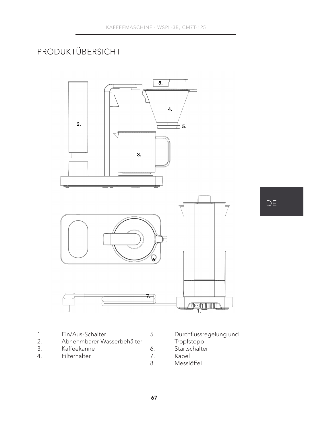# PRODUKTÜBERSICHT



- 1. Ein/Aus-Schalter<br>2. Abnehmbarer Wa
- 2. Abnehmbarer Wasserbehälter
- 3. Kaffeekanne<br>4. Filterhalter
- Filterhalter
- 5. Durchflussregelung und
	- Tropfstopp
- 6. Startschalter
- 7. Kabel<br>8. Messli Messlöffel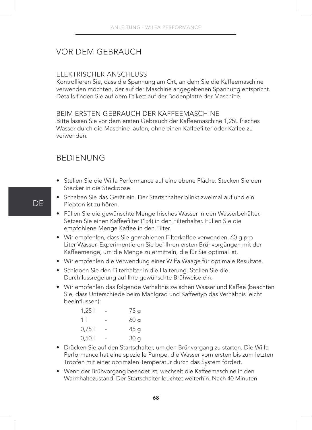### VOR DEM GEBRAUCH

#### ELEKTRISCHER ANSCHLUSS

Kontrollieren Sie, dass die Spannung am Ort, an dem Sie die Kaffeemaschine verwenden möchten, der auf der Maschine angegebenen Spannung entspricht. Details finden Sie auf dem Etikett auf der Bodenplatte der Maschine.

#### BEIM ERSTEN GEBRAUCH DER KAFFEEMASCHINE

Bitte lassen Sie vor dem ersten Gebrauch der Kaffeemaschine 1,25L frisches Wasser durch die Maschine laufen, ohne einen Kaffeefilter oder Kaffee zu verwenden.

### BEDIENUNG

- Stellen Sie die Wilfa Performance auf eine ebene Fläche. Stecken Sie den Stecker in die Steckdose.
- Schalten Sie das Gerät ein. Der Startschalter blinkt zweimal auf und ein Piepton ist zu hören.
- Füllen Sie die gewünschte Menge frisches Wasser in den Wasserbehälter. Setzen Sie einen Kaffeefilter (1x4) in den Filterhalter. Füllen Sie die empfohlene Menge Kaffee in den Filter.
- Wir empfehlen, dass Sie gemahlenen Filterkaffee verwenden, 60 g pro Liter Wasser. Experimentieren Sie bei Ihren ersten Brühvorgängen mit der Kaffeemenge, um die Menge zu ermitteln, die für Sie optimal ist.
- Wir empfehlen die Verwendung einer Wilfa Waage für optimale Resultate.
- Schieben Sie den Filterhalter in die Halterung. Stellen Sie die Durchflussregelung auf Ihre gewünschte Brühweise ein.
- Wir empfehlen das folgende Verhältnis zwischen Wasser und Kaffee (beachten Sie, dass Unterschiede beim Mahlgrad und Kaffeetyp das Verhältnis leicht beeinflussen):

| $1,25$ l | 75 g |
|----------|------|
| 1        | 60g  |
| 0,751    | 45 g |
| 0,501    | 30 g |

- Drücken Sie auf den Startschalter, um den Brühvorgang zu starten. Die Wilfa Performance hat eine spezielle Pumpe, die Wasser vom ersten bis zum letzten Tropfen mit einer optimalen Temperatur durch das System fördert.
- Wenn der Brühvorgang beendet ist, wechselt die Kaffeemaschine in den Warmhaltezustand. Der Startschalter leuchtet weiterhin. Nach 40 Minuten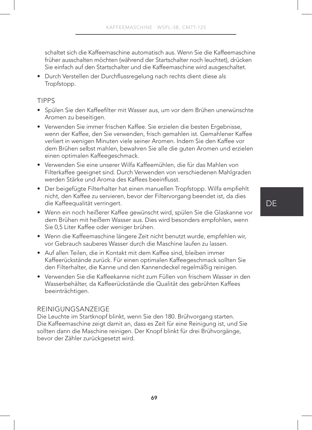schaltet sich die Kaffeemaschine automatisch aus. Wenn Sie die Kaffeemaschine früher ausschalten möchten (während der Startschalter noch leuchtet), drücken Sie einfach auf den Startschalter und die Kaffeemaschine wird ausgeschaltet.

• Durch Verstellen der Durchflussregelung nach rechts dient diese als Tropfstopp.

#### TIPPS

- Spülen Sie den Kaffeefilter mit Wasser aus, um vor dem Brühen unerwünschte Aromen zu beseitigen.
- Verwenden Sie immer frischen Kaffee. Sie erzielen die besten Ergebnisse, wenn der Kaffee, den Sie verwenden, frisch gemahlen ist. Gemahlener Kaffee verliert in wenigen Minuten viele seiner Aromen. Indem Sie den Kaffee vor dem Brühen selbst mahlen, bewahren Sie alle die guten Aromen und erzielen einen optimalen Kaffeegeschmack.
- Verwenden Sie eine unserer Wilfa Kaffeemühlen, die für das Mahlen von Filterkaffee geeignet sind. Durch Verwenden von verschiedenen Mahlgraden werden Stärke und Aroma des Kaffees beeinflusst.
- Der beigefügte Filterhalter hat einen manuellen Tropfstopp. Wilfa empfiehlt nicht, den Kaffee zu servieren, bevor der Filtervorgang beendet ist, da dies die Kaffeequalität verringert.
- Wenn ein noch heißerer Kaffee gewünscht wird, spülen Sie die Glaskanne vor dem Brühen mit heißem Wasser aus. Dies wird besonders empfohlen, wenn Sie 0,5 Liter Kaffee oder weniger brühen.
- Wenn die Kaffeemaschine längere Zeit nicht benutzt wurde, empfehlen wir, vor Gebrauch sauberes Wasser durch die Maschine laufen zu lassen.
- Auf allen Teilen, die in Kontakt mit dem Kaffee sind, bleiben immer Kaffeerückstände zurück. Für einen optimalen Kaffeegeschmack sollten Sie den Filterhalter, die Kanne und den Kannendeckel regelmäßig reinigen.
- Verwenden Sie die Kaffeekanne nicht zum Füllen von frischem Wasser in den Wasserbehälter, da Kaffeerückstände die Qualität des gebrühten Kaffees beeinträchtigen.

#### REINIGUNGSANZEIGE

Die Leuchte im Startknopf blinkt, wenn Sie den 180. Brühvorgang starten. Die Kaffeemaschine zeigt damit an, dass es Zeit für eine Reinigung ist, und Sie sollten dann die Maschine reinigen. Der Knopf blinkt für drei Brühvorgänge, bevor der Zähler zurückgesetzt wird.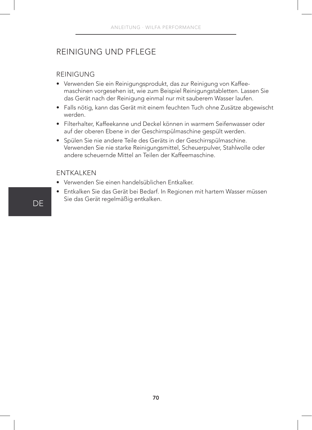# REINIGUNG UND PFLEGE

#### REINIGUNG

- Verwenden Sie ein Reinigungsprodukt, das zur Reinigung von Kaffeemaschinen vorgesehen ist, wie zum Beispiel Reinigungstabletten. Lassen Sie das Gerät nach der Reinigung einmal nur mit sauberem Wasser laufen.
- Falls nötig, kann das Gerät mit einem feuchten Tuch ohne Zusätze abgewischt werden.
- Filterhalter, Kaffeekanne und Deckel können in warmem Seifenwasser oder auf der oberen Ebene in der Geschirrspülmaschine gespült werden.
- Spülen Sie nie andere Teile des Geräts in der Geschirrspülmaschine. Verwenden Sie nie starke Reinigungsmittel, Scheuerpulver, Stahlwolle oder andere scheuernde Mittel an Teilen der Kaffeemaschine.

#### ENTKALKEN

- Verwenden Sie einen handelsüblichen Entkalker.
- Entkalken Sie das Gerät bei Bedarf. In Regionen mit hartem Wasser müssen Sie das Gerät regelmäßig entkalken.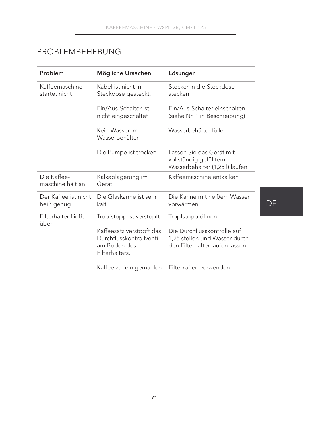# PROBLEMBEHEBUNG

| Problem                            | Mögliche Ursachen                                                                      | Lösungen                                                                                        |    |
|------------------------------------|----------------------------------------------------------------------------------------|-------------------------------------------------------------------------------------------------|----|
| Kaffeemaschine<br>startet nicht    | Kabel ist nicht in<br>Steckdose gesteckt.                                              | Stecker in die Steckdose<br>stecken                                                             |    |
|                                    | Ein/Aus-Schalter ist<br>nicht eingeschaltet                                            | Ein/Aus-Schalter einschalten<br>(siehe Nr. 1 in Beschreibung)                                   |    |
|                                    | Kein Wasser im<br>Wasserbehälter                                                       | Wasserbehälter füllen                                                                           |    |
|                                    | Die Pumpe ist trocken                                                                  | Lassen Sie das Gerät mit<br>vollständig gefülltem<br>Wasserbehälter (1,25 l) laufen             |    |
| Die Kaffee-<br>maschine hält an    | Kalkablagerung im<br>Gerät                                                             | Kaffeemaschine entkalken                                                                        |    |
| Der Kaffee ist nicht<br>heiß genug | Die Glaskanne ist sehr<br>kalt                                                         | Die Kanne mit heißem Wasser<br>vorwärmen                                                        | DE |
| Filterhalter fließt<br>über        | Tropfstopp ist verstopft                                                               | Tropfstopp öffnen                                                                               |    |
|                                    | Kaffeesatz verstopft das<br>Durchflusskontrollventil<br>am Boden des<br>Filterhalters. | Die Durchflusskontrolle auf<br>1,25 stellen und Wasser durch<br>den Filterhalter laufen lassen. |    |
|                                    | Kaffee zu fein gemahlen                                                                | Filterkaffee verwenden                                                                          |    |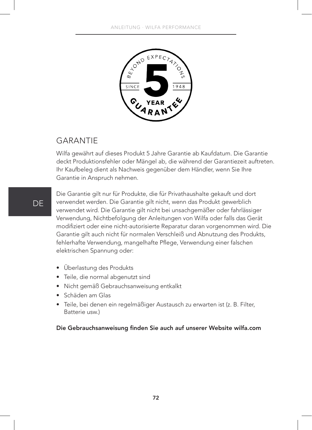

### GARANTIE

Wilfa gewährt auf dieses Produkt 5 Jahre Garantie ab Kaufdatum. Die Garantie deckt Produktionsfehler oder Mängel ab, die während der Garantiezeit auftreten. Ihr Kaufbeleg dient als Nachweis gegenüber dem Händler, wenn Sie Ihre Garantie in Anspruch nehmen.

Die Garantie gilt nur für Produkte, die für Privathaushalte gekauft und dort verwendet werden. Die Garantie gilt nicht, wenn das Produkt gewerblich verwendet wird. Die Garantie gilt nicht bei unsachgemäßer oder fahrlässiger Verwendung, Nichtbefolgung der Anleitungen von Wilfa oder falls das Gerät modifiziert oder eine nicht-autorisierte Reparatur daran vorgenommen wird. Die Garantie gilt auch nicht für normalen Verschleiß und Abnutzung des Produkts, fehlerhafte Verwendung, mangelhafte Pflege, Verwendung einer falschen elektrischen Spannung oder:

- Überlastung des Produkts
- Teile, die normal abgenutzt sind
- Nicht gemäß Gebrauchsanweisung entkalkt
- Schäden am Glas
- Teile, bei denen ein regelmäßiger Austausch zu erwarten ist (z. B. Filter, Batterie usw.)

#### Die Gebrauchsanweisung finden Sie auch auf unserer Website wilfa.com

### **DE**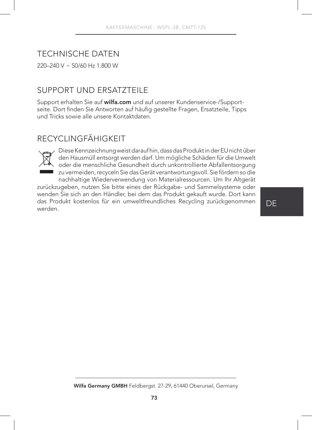### TECHNISCHE DATEN

220–240 V ~ 50/60 Hz 1.800 W

### SUPPORT UND ERSATZTEILE

Support erhalten Sie auf wilfa.com und auf unserer Kundenservice-/Supportseite. Dort finden Sie Antworten auf häufig gestellte Fragen, Ersatzteile, Tipps und Tricks sowie alle unsere Kontaktdaten.

## RECYCLINGFÄHIGKEIT



Diese Kennzeichnung weist darauf hin, dass das Produkt in der EU nicht über den Hausmüll entsorgt werden darf. Um mögliche Schäden für die Umwelt oder die menschliche Gesundheit durch unkontrollierte Abfallentsorgung zu vermeiden, recyceln Sie das Gerät verantwortungsvoll. Sie fördern so die nachhaltige Wiederverwendung von Materialressourcen. Um Ihr Altgerät

zurückzugeben, nutzen Sie bitte eines der Rückgabe- und Sammelsysteme oder wenden Sie sich an den Händler, bei dem das Produkt gekauft wurde. Dort kann das Produkt kostenlos für ein umweltfreundliches Recycling zurückgenommen werden.

DE

Wilfa Germany GMBH Feldbergst. 27-29, 61440 Oberursel, Germany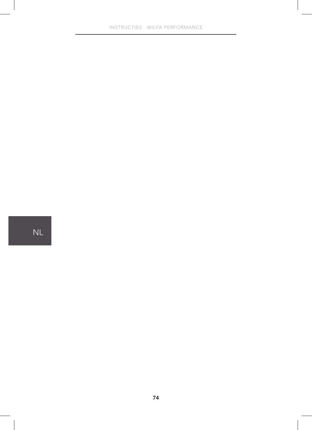INSTRUCTIES · WILFA PERFORMANCE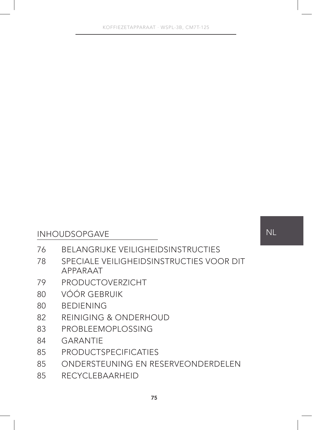# INHOUDSOPGAVE NL

- BELANGRIJKE VEILIGHEIDSINSTRUCTIES
- 78 SPECIALE VEILIGHEIDSINSTRUCTIES VOOR DIT APPARAAT
- PRODUCTOVERZICHT
- VÓÓR GEBRUIK
- BEDIENING
- REINIGING & ONDERHOUD
- PROBLEEMOPLOSSING
- GARANTIE
- PRODUCTSPECIFICATIES
- ONDERSTEUNING EN RESERVEONDERDELEN
- RECYCLEBAARHEID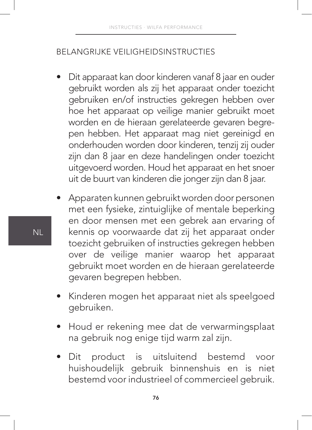# BELANGRIJKE VEILIGHEIDSINSTRUCTIES

- Dit apparaat kan door kinderen vanaf 8 jaar en ouder gebruikt worden als zij het apparaat onder toezicht gebruiken en/of instructies gekregen hebben over hoe het apparaat op veilige manier gebruikt moet worden en de hieraan gerelateerde gevaren begrepen hebben. Het apparaat mag niet gereinigd en onderhouden worden door kinderen, tenzij zij ouder zijn dan 8 jaar en deze handelingen onder toezicht uitgevoerd worden. Houd het apparaat en het snoer uit de buurt van kinderen die jonger zijn dan 8 jaar.
- Apparaten kunnen gebruikt worden door personen met een fysieke, zintuiglijke of mentale beperking en door mensen met een gebrek aan ervaring of kennis op voorwaarde dat zij het apparaat onder toezicht gebruiken of instructies gekregen hebben over de veilige manier waarop het apparaat gebruikt moet worden en de hieraan gerelateerde gevaren begrepen hebben.
- Kinderen mogen het apparaat niet als speelgoed gebruiken.
- Houd er rekening mee dat de verwarmingsplaat na gebruik nog enige tijd warm zal zijn.
- Dit product is uitsluitend bestemd voor huishoudelijk gebruik binnenshuis en is niet bestemd voor industrieel of commercieel gebruik.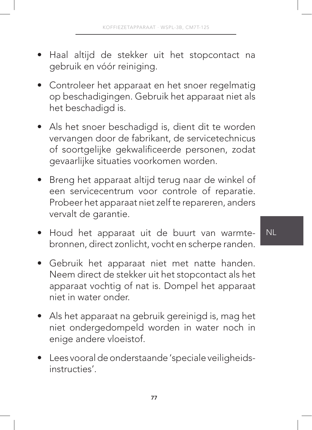- Haal altijd de stekker uit het stopcontact na gebruik en vóór reiniging.
- Controleer het apparaat en het snoer regelmatig op beschadigingen. Gebruik het apparaat niet als het beschadigd is.
- Als het snoer beschadigd is, dient dit te worden vervangen door de fabrikant, de servicetechnicus of soortgelijke gekwalificeerde personen, zodat gevaarlijke situaties voorkomen worden.
- Breng het apparaat altijd terug naar de winkel of een servicecentrum voor controle of reparatie. Probeer het apparaat niet zelf te repareren, anders vervalt de garantie.
- Houd het apparaat uit de buurt van warmtebronnen, direct zonlicht, vocht en scherpe randen.
- Gebruik het apparaat niet met natte handen. Neem direct de stekker uit het stopcontact als het apparaat vochtig of nat is. Dompel het apparaat niet in water onder.
- Als het apparaat na gebruik gereinigd is, mag het niet ondergedompeld worden in water noch in enige andere vloeistof.
- Lees vooral de onderstaande 'speciale veiligheidsinstructies'.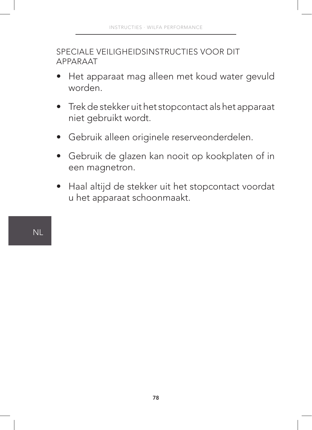SPECIALE VEILIGHEIDSINSTRUCTIES VOOR DIT APPARAAT

- Het apparaat mag alleen met koud water gevuld worden.
- Trek de stekker uit het stopcontact als het apparaat niet gebruikt wordt.
- Gebruik alleen originele reserveonderdelen.
- Gebruik de glazen kan nooit op kookplaten of in een magnetron.
- Haal altijd de stekker uit het stopcontact voordat u het apparaat schoonmaakt.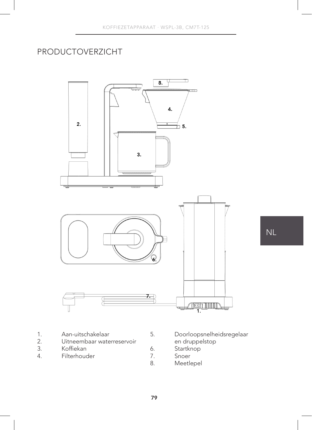# PRODUCTOVERZICHT



- 1. Aan-uitschakelaar<br>2. Uitneembaar wate
- Uitneembaar waterreservoir
- 3. Koffiekan<br>4. Filterhoud
- **Filterhouder**
- 5. Doorloopsnelheidsregelaar
	- en druppelstop
- 6. Startknop
- 7. Snoer<br>8. Meetle Meetlepel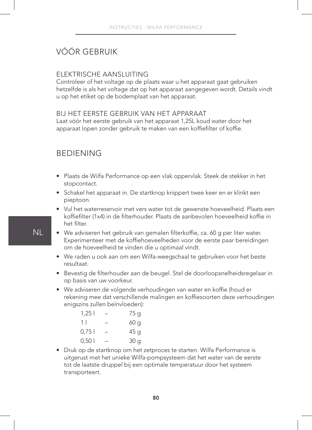# VÓÓR GEBRUIK

#### ELEKTRISCHE AANSLUITING

Controleer of het voltage op de plaats waar u het apparaat gaat gebruiken hetzelfde is als het voltage dat op het apparaat aangegeven wordt. Details vindt u op het etiket op de bodemplaat van het apparaat.

#### BIJ HET EERSTE GEBRUIK VAN HET APPARAAT

Laat vóór het eerste gebruik van het apparaat 1,25L koud water door het apparaat lopen zonder gebruik te maken van een koffiefilter of koffie.

### BEDIENING

- Plaats de Wilfa Performance op een vlak oppervlak. Steek de stekker in het stopcontact.
- Schakel het apparaat in. De startknop knippert twee keer en er klinkt een pieptoon.
- Vul het waterreservoir met vers water tot de gewenste hoeveelheid. Plaats een koffiefilter (1x4) in de filterhouder. Plaats de aanbevolen hoeveelheid koffie in het filter.
- We adviseren het gebruik van gemalen filterkoffie, ca. 60 g per liter water. Experimenteer met de koffiehoeveelheden voor de eerste paar bereidingen om de hoeveelheid te vinden die u optimaal vindt.
- We raden u ook aan om een Wilfa-weegschaal te gebruiken voor het beste resultaat.
- Bevestig de filterhouder aan de beugel. Stel de doorloopsnelheidsregelaar in op basis van uw voorkeur.
- We adviseren de volgende verhoudingen van water en koffie (houd er rekening mee dat verschillende malingen en koffiesoorten deze verhoudingen enigszins zullen beïnvloeden):

| $1,25$ l | - | 75 g |
|----------|---|------|
| 1 I      |   | 60 g |
| 0,75 l   | - | 45g  |
| 0.50 l   | - | 30 g |

• Druk op de startknop om het zetproces te starten. Wilfa Performance is uitgerust met het unieke Wilfa-pompsysteem dat het water van de eerste tot de laatste druppel bij een optimale temperatuur door het systeem transporteert.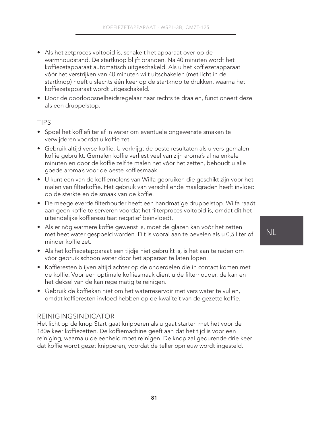- Als het zetproces voltooid is, schakelt het apparaat over op de warmhoudstand. De startknop blijft branden. Na 40 minuten wordt het koffiezetapparaat automatisch uitgeschakeld. Als u het koffiezetapparaat vóór het verstrijken van 40 minuten wilt uitschakelen (met licht in de startknop) hoeft u slechts één keer op de startknop te drukken, waarna het koffiezetapparaat wordt uitgeschakeld.
- Door de doorloopsnelheidsregelaar naar rechts te draaien, functioneert deze als een druppelstop.

#### TIPS

- Spoel het koffiefilter af in water om eventuele ongewenste smaken te verwijderen voordat u koffie zet.
- Gebruik altijd verse koffie. U verkrijgt de beste resultaten als u vers gemalen koffie gebruikt. Gemalen koffie verliest veel van zijn aroma's al na enkele minuten en door de koffie zelf te malen net vóór het zetten, behoudt u alle goede aroma's voor de beste koffiesmaak.
- U kunt een van de koffiemolens van Wilfa gebruiken die geschikt zijn voor het malen van filterkoffie. Het gebruik van verschillende maalgraden heeft invloed op de sterkte en de smaak van de koffie.
- De meegeleverde filterhouder heeft een handmatige druppelstop. Wilfa raadt aan geen koffie te serveren voordat het filterproces voltooid is, omdat dit het uiteindelijke koffieresultaat negatief beïnvloedt.
- Als er nóg warmere koffie gewenst is, moet de glazen kan vóór het zetten met heet water gespoeld worden. Dit is vooral aan te bevelen als u 0,5 liter of minder koffie zet.
- Als het koffiezetapparaat een tijdje niet gebruikt is, is het aan te raden om vóór gebruik schoon water door het apparaat te laten lopen.
- Koffieresten blijven altijd achter op de onderdelen die in contact komen met de koffie. Voor een optimale koffiesmaak dient u de filterhouder, de kan en het deksel van de kan regelmatig te reinigen.
- Gebruik de koffiekan niet om het waterreservoir met vers water te vullen, omdat koffieresten invloed hebben op de kwaliteit van de gezette koffie.

#### REINIGINGSINDICATOR

Het licht op de knop Start gaat knipperen als u gaat starten met het voor de 180e keer koffiezetten. De koffiemachine geeft aan dat het tijd is voor een reiniging, waarna u de eenheid moet reinigen. De knop zal gedurende drie keer dat koffie wordt gezet knipperen, voordat de teller opnieuw wordt ingesteld.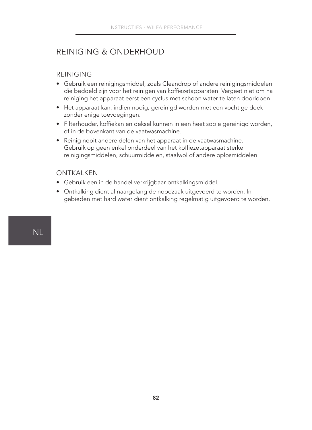# REINIGING & ONDERHOUD

#### REINIGING

- Gebruik een reinigingsmiddel, zoals Cleandrop of andere reinigingsmiddelen die bedoeld zijn voor het reinigen van koffiezetapparaten. Vergeet niet om na reiniging het apparaat eerst een cyclus met schoon water te laten doorlopen.
- Het apparaat kan, indien nodig, gereinigd worden met een vochtige doek zonder enige toevoegingen.
- Filterhouder, koffiekan en deksel kunnen in een heet sopje gereinigd worden, of in de bovenkant van de vaatwasmachine.
- Reinig nooit andere delen van het apparaat in de vaatwasmachine. Gebruik op geen enkel onderdeel van het koffiezetapparaat sterke reinigingsmiddelen, schuurmiddelen, staalwol of andere oplosmiddelen.

#### ONTKALKEN

- Gebruik een in de handel verkrijgbaar ontkalkingsmiddel.
- Ontkalking dient al naargelang de noodzaak uitgevoerd te worden. In gebieden met hard water dient ontkalking regelmatig uitgevoerd te worden.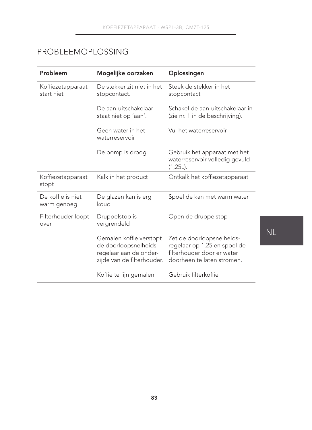# PROBLEEMOPLOSSING

| Probleem                         | Mogelijke oorzaken                                                                                       | Oplossingen                                                                                                           |
|----------------------------------|----------------------------------------------------------------------------------------------------------|-----------------------------------------------------------------------------------------------------------------------|
| Koffiezetapparaat<br>start niet  | De stekker zit niet in het<br>stopcontact.                                                               | Steek de stekker in het<br>stopcontact                                                                                |
|                                  | De aan-uitschakelaar<br>staat niet op 'aan'.                                                             | Schakel de aan-uitschakelaar in<br>(zie nr. 1 in de beschrijving).                                                    |
|                                  | Geen water in het<br>waterreservoir                                                                      | Vul het waterreservoir                                                                                                |
|                                  | De pomp is droog                                                                                         | Gebruik het apparaat met het<br>waterreservoir volledig gevuld<br>$(1,25L)$ .                                         |
| Koffiezetapparaat<br>stopt       | Kalk in het product                                                                                      | Ontkalk het koffiezetapparaat                                                                                         |
| De koffie is niet<br>warm genoeg | De glazen kan is erg<br>koud                                                                             | Spoel de kan met warm water                                                                                           |
| Filterhouder loopt<br>over       | Druppelstop is<br>vergrendeld                                                                            | Open de druppelstop                                                                                                   |
|                                  | Gemalen koffie verstopt<br>de doorloopsnelheids-<br>regelaar aan de onder-<br>zijde van de filterhouder. | Zet de doorloopsnelheids-<br>regelaar op 1,25 en spoel de<br>filterhouder door er water<br>doorheen te laten stromen. |
|                                  | Koffie te fijn gemalen                                                                                   | Gebruik filterkoffie                                                                                                  |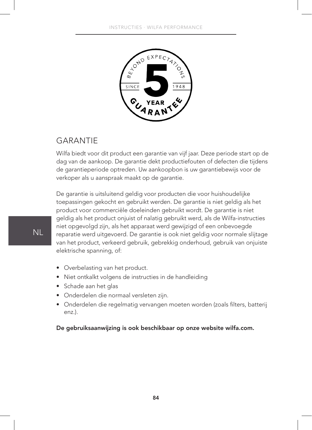

### GARANTIE

Wilfa biedt voor dit product een garantie van vijf jaar. Deze periode start op de dag van de aankoop. De garantie dekt productiefouten of defecten die tijdens de garantieperiode optreden. Uw aankoopbon is uw garantiebewijs voor de verkoper als u aanspraak maakt op de garantie.

De garantie is uitsluitend geldig voor producten die voor huishoudelijke toepassingen gekocht en gebruikt werden. De garantie is niet geldig als het product voor commerciële doeleinden gebruikt wordt. De garantie is niet geldig als het product onjuist of nalatig gebruikt werd, als de Wilfa-instructies niet opgevolgd zijn, als het apparaat werd gewijzigd of een onbevoegde reparatie werd uitgevoerd. De garantie is ook niet geldig voor normale slijtage van het product, verkeerd gebruik, gebrekkig onderhoud, gebruik van onjuiste elektrische spanning, of:

- Overbelasting van het product.
- Niet ontkalkt volgens de instructies in de handleiding
- Schade aan het glas
- Onderdelen die normaal versleten zijn.
- Onderdelen die regelmatig vervangen moeten worden (zoals filters, batterij enz.).

#### De gebruiksaanwijzing is ook beschikbaar op onze website wilfa.com.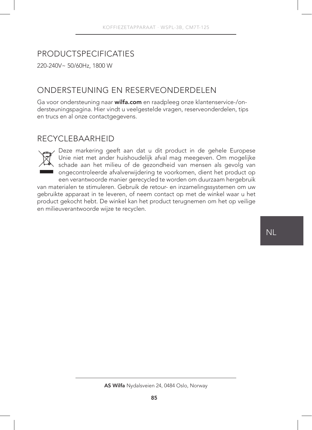### PRODUCTSPECIFICATIES

220-240V~ 50/60Hz, 1800 W

# ONDERSTEUNING EN RESERVEONDERDELEN

Ga voor ondersteuning naar wilfa.com en raadpleeg onze klantenservice-/ondersteuningspagina. Hier vindt u veelgestelde vragen, reserveonderdelen, tips en trucs en al onze contactgegevens.

### RECYCLEBAARHEID



Deze markering geeft aan dat u dit product in de gehele Europese Unie niet met ander huishoudelijk afval mag meegeven. Om mogelijke schade aan het milieu of de gezondheid van mensen als gevolg van ongecontroleerde afvalverwijdering te voorkomen, dient het product op een verantwoorde manier gerecycled te worden om duurzaam hergebruik

van materialen te stimuleren. Gebruik de retour- en inzamelingssystemen om uw gebruikte apparaat in te leveren, of neem contact op met de winkel waar u het product gekocht hebt. De winkel kan het product terugnemen om het op veilige en milieuverantwoorde wijze te recyclen.

NL

AS Wilfa Nydalsveien 24, 0484 Oslo, Norway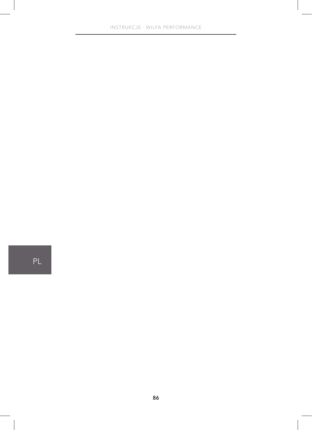INSTRUKCJE · WILFA PERFORMANCE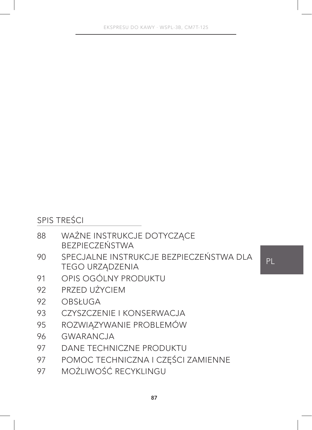# SPIS TREŚCI

- WAŻNE INSTRUKCJE DOTYCZĄCE BEZPIECZEŃSTWA
- SPECJALNE INSTRUKCJE BEZPIECZEŃSTWA DLA TEGO URZĄDZENIA
- OPIS OGÓLNY PRODUKTU
- PRZED UŻYCIEM
- OBSŁUGA
- CZYSZCZENIE I KONSERWACJA
- ROZWIĄZYWANIE PROBLEMÓW
- GWARANCJA
- DANE TECHNICZNE PRODUKTU
- POMOC TECHNICZNA I CZĘŚCI ZAMIENNE
- MOŻLIWOŚĆ RECYKLINGU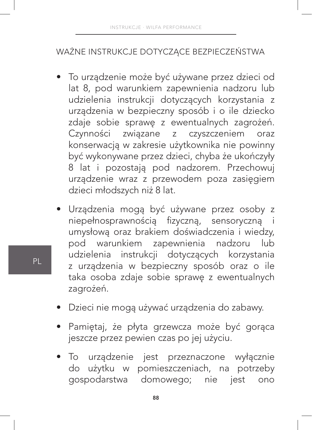# WAŻNE INSTRUKCJE DOTYCZĄCE BEZPIECZEŃSTWA

- To urządzenie może być używane przez dzieci od lat 8, pod warunkiem zapewnienia nadzoru lub udzielenia instrukcji dotyczących korzystania z urządzenia w bezpieczny sposób i o ile dziecko zdaje sobie sprawę z ewentualnych zagrożeń. Czynności związane z czyszczeniem oraz konserwacją w zakresie użytkownika nie powinny być wykonywane przez dzieci, chyba że ukończyły 8 lat i pozostają pod nadzorem. Przechowuj urządzenie wraz z przewodem poza zasięgiem dzieci młodszych niż 8 lat.
- Urządzenia mogą być używane przez osoby z niepełnosprawnością fizyczną, sensoryczną i umysłową oraz brakiem doświadczenia i wiedzy, pod warunkiem zapewnienia nadzoru lub udzielenia instrukcji dotyczących korzystania z urządzenia w bezpieczny sposób oraz o ile taka osoba zdaje sobie sprawę z ewentualnych zagrożeń.
- Dzieci nie mogą używać urządzenia do zabawy.
- Pamiętaj, że płyta grzewcza może być gorąca jeszcze przez pewien czas po jej użyciu.
- To urządzenie jest przeznaczone wyłącznie do użytku w pomieszczeniach, na potrzeby gospodarstwa domowego; nie jest ono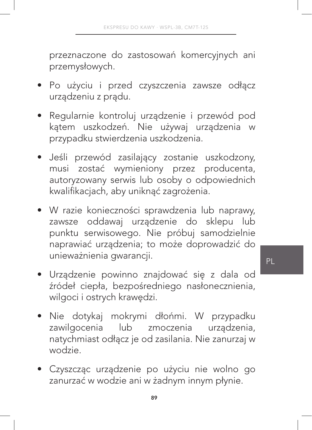przeznaczone do zastosowań komercyjnych ani przemysłowych.

- Po użyciu i przed czyszczenia zawsze odłącz urządzeniu z prądu.
- Regularnie kontroluj urządzenie i przewód pod kątem uszkodzeń. Nie używaj urządzenia w przypadku stwierdzenia uszkodzenia.
- Jeśli przewód zasilający zostanie uszkodzony, musi zostać wymieniony przez producenta, autoryzowany serwis lub osoby o odpowiednich kwalifikacjach, aby uniknąć zagrożenia.
- W razie konieczności sprawdzenia lub naprawy, zawsze oddawaj urządzenie do sklepu lub punktu serwisowego. Nie próbuj samodzielnie naprawiać urządzenia; to może doprowadzić do unieważnienia gwarancji.
- Urządzenie powinno znajdować się z dala od źródeł ciepła, bezpośredniego nasłonecznienia, wilgoci i ostrych krawędzi.
- Nie dotykaj mokrymi dłońmi. W przypadku zawilgocenia lub zmoczenia urządzenia, natychmiast odłącz je od zasilania. Nie zanurzaj w wodzie.
- Czyszcząc urządzenie po użyciu nie wolno go zanurzać w wodzie ani w żadnym innym płynie.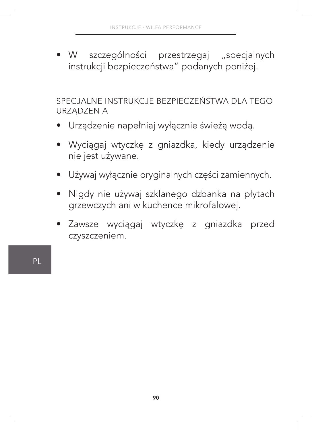• W szczególności przestrzegaj "specjalnych instrukcji bezpieczeństwa" podanych poniżej.

SPECJALNE INSTRUKCJE BEZPIECZEŃSTWA DLA TEGO **URZADZENIA** 

- Urządzenie napełniaj wyłącznie świeżą wodą.
- Wyciągaj wtyczkę z gniazdka, kiedy urządzenie nie jest używane.
- Używaj wyłącznie oryginalnych części zamiennych.
- Nigdy nie używaj szklanego dzbanka na płytach grzewczych ani w kuchence mikrofalowej.
- Zawsze wyciągaj wtyczkę z gniazdka przed czyszczeniem.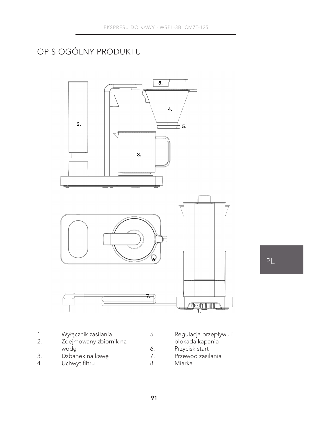# OPIS OGÓLNY PRODUKTU



- 1. Wyłącznik zasilania
- 2. Zdejmowany zbiornik na
- wodę
- 3. Dzbanek na kawę
- 4. Uchwyt filtru
- 5. Regulacja przepływu i
	- blokada kapania
- 6. Przycisk start<br>7. Przewód zasil
- 5. Frzewód zasilania<br>7. Przewód zasilania<br>8. Miarka
	- **Miarka**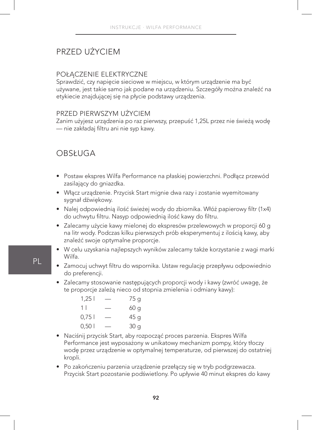# PRZED UŻYCIEM

#### POŁĄCZENIE ELEKTRYCZNE

Sprawdzić, czy napięcie sieciowe w miejscu, w którym urządzenie ma być używane, jest takie samo jak podane na urządzeniu. Szczegóły można znaleźć na etykiecie znajdującej się na płycie podstawy urządzenia.

#### PRZED PIERWSZYM UŻYCIEM

Zanim użyjesz urządzenia po raz pierwszy, przepuść 1,25L przez nie świeżą wodę — nie zakładaj filtru ani nie syp kawy.

### OBSŁUGA

- Postaw ekspres Wilfa Performance na płaskiej powierzchni. Podłącz przewód zasilający do gniazdka.
- Włącz urządzenie. Przycisk Start mignie dwa razy i zostanie wyemitowany sygnał dźwiękowy.
- Nalej odpowiednią ilość świeżej wody do zbiornika. Włóż papierowy filtr (1x4) do uchwytu filtru. Nasyp odpowiednią ilość kawy do filtru.
- Zalecamy użycie kawy mielonej do ekspresów przelewowych w proporcji 60 g na litr wody. Podczas kilku pierwszych prób eksperymentuj z ilością kawy, aby znaleźć swoje optymalne proporcje.
- W celu uzyskania najlepszych wyników zalecamy także korzystanie z wagi marki Wilfa.
- Zamocuj uchwyt filtru do wspornika. Ustaw regulację przepływu odpowiednio do preferencji.
- Zalecamy stosowanie następujących proporcji wody i kawy (zwróć uwagę, że te proporcje zależą nieco od stopnia zmielenia i odmiany kawy):

| 1,25           | 75 g            |
|----------------|-----------------|
| 1 <sup>1</sup> | 60 <sub>g</sub> |
| 0,751          | 45g             |
| 0,501          | 30 <sub>g</sub> |

- Naciśnij przycisk Start, aby rozpocząć proces parzenia. Ekspres Wilfa Performance jest wyposażony w unikatowy mechanizm pompy, który tłoczy wodę przez urządzenie w optymalnej temperaturze, od pierwszej do ostatniej kropli.
- Po zakończeniu parzenia urządzenie przełączy się w tryb podgrzewacza. Przycisk Start pozostanie podświetlony. Po upływie 40 minut ekspres do kawy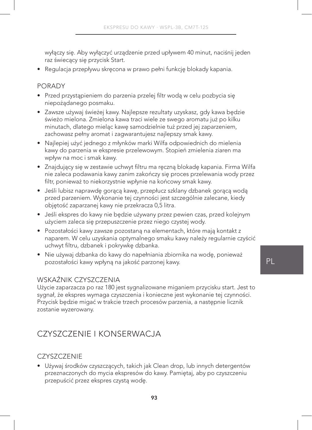wyłączy się. Aby wyłączyć urządzenie przed upływem 40 minut, naciśnij jeden raz świecący się przycisk Start.

• Regulacja przepływu skręcona w prawo pełni funkcję blokady kapania.

#### **PORADY**

- Przed przystąpieniem do parzenia przelej filtr wodą w celu pozbycia się niepożądanego posmaku.
- Zawsze używaj świeżej kawy. Najlepsze rezultaty uzyskasz, gdy kawa będzie świeżo mielona. Zmielona kawa traci wiele ze swego aromatu już po kilku minutach, dlatego mieląc kawę samodzielnie tuż przed jej zaparzeniem, zachowasz pełny aromat i zagwarantujesz najlepszy smak kawy.
- Najlepiej użyć jednego z młynków marki Wilfa odpowiednich do mielenia kawy do parzenia w ekspresie przelewowym. Stopień zmielenia ziaren ma wpływ na moc i smak kawy.
- Znajdujący się w zestawie uchwyt filtru ma ręczną blokadę kapania. Firma Wilfa nie zaleca podawania kawy zanim zakończy się proces przelewania wody przez filtr, ponieważ to niekorzystnie wpłynie na końcowy smak kawy.
- Jeśli lubisz naprawdę gorącą kawę, przepłucz szklany dzbanek gorącą wodą przed parzeniem. Wykonanie tej czynności jest szczególnie zalecane, kiedy objętość zaparzanej kawy nie przekracza 0,5 litra.
- Jeśli ekspres do kawy nie będzie używany przez pewien czas, przed kolejnym użyciem zaleca się przepuszczenie przez niego czystej wody.
- Pozostałości kawy zawsze pozostaną na elementach, które mają kontakt z naparem. W celu uzyskania optymalnego smaku kawy należy regularnie czyścić uchwyt filtru, dzbanek i pokrywkę dzbanka.
- Nie używaj dzbanka do kawy do napełniania zbiornika na wodę, ponieważ pozostałości kawy wpłyną na jakość parzonej kawy.

#### WSKAŹNIK CZYSZCZENIA

Użycie zaparzacza po raz 180 jest sygnalizowane miganiem przycisku start. Jest to sygnał, że ekspres wymaga czyszczenia i konieczne jest wykonanie tej czynności. Przycisk będzie migać w trakcie trzech procesów parzenia, a następnie licznik zostanie wyzerowany.

### CZYSZCZENIE I KONSERWACJA

#### **CZYSZCZENIE**

• Używaj środków czyszczących, takich jak Clean drop, lub innych detergentów przeznaczonych do mycia ekspresów do kawy. Pamiętaj, aby po czyszczeniu przepuścić przez ekspres czystą wodę.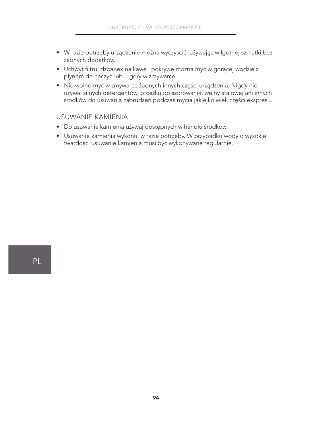- W razie potrzeby urządzenie można wyczyścić, używając wilgotnej szmatki bez żadnych dodatków.
- Uchwyt filtru, dzbanek na kawę i pokrywę można myć w gorącej wodzie z płynem do naczyń lub u góry w zmywarce.
- Nie wolno myć w zmywarce żadnych innych części urządzenia. Nigdy nie używaj silnych detergentów, proszku do szorowania, wełny stalowej ani innych środków do usuwania zabrudzeń podczas mycia jakiejkolwiek części ekspresu.

#### USUWANIE KAMIENIA

- Do usuwania kamienia używaj dostępnych w handlu środków.
- Usuwanie kamienia wykonuj w razie potrzeby. W przypadku wody o wysokiej twardości usuwanie kamienia musi być wykonywane regularnie.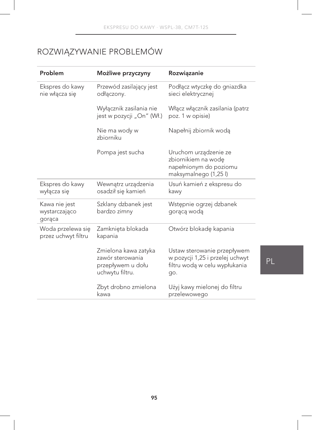# ROZWIĄZYWANIE PROBLEMÓW

| Problem                                  | Możliwe przyczyny                                                                | Rozwiązanie                                                                                            |
|------------------------------------------|----------------------------------------------------------------------------------|--------------------------------------------------------------------------------------------------------|
| Ekspres do kawy<br>nie włącza się        | Przewód zasilający jest<br>odłączony.                                            | Podłącz wtyczkę do gniazdka<br>sieci elektrycznej                                                      |
|                                          | Wyłącznik zasilania nie<br>jest w pozycji "On" (Wł.)                             | Włącz włącznik zasilania (patrz<br>poz. 1 w opisie)                                                    |
|                                          | Nie ma wody w<br>zbiorniku                                                       | Napełnij zbiornik wodą                                                                                 |
|                                          | Pompa jest sucha                                                                 | Uruchom urządzenie ze<br>zbiornikiem na wode<br>napełnionym do poziomu<br>maksymalnego (1,25 l)        |
| Ekspres do kawy<br>wyłącza się           | Wewnątrz urządzenia<br>osadził się kamień                                        | Usuń kamień z ekspresu do<br>kawy                                                                      |
| Kawa nie jest<br>wystarczająco<br>gorąca | Szklany dzbanek jest<br>bardzo zimny                                             | Wstępnie ogrzej dzbanek<br>gorącą wodą                                                                 |
| Woda przelewa się<br>przez uchwyt filtru | Zamknięta blokada<br>kapania                                                     | Otwórz blokadę kapania                                                                                 |
|                                          | Zmielona kawa zatyka<br>zawór sterowania<br>przepływem u dołu<br>uchwytu filtru. | Ustaw sterowanie przepływem<br>w pozycji 1,25 i przelej uchwyt<br>filtru wodą w celu wypłukania<br>go. |
|                                          | Zbyt drobno zmielona<br>kawa                                                     | Użyj kawy mielonej do filtru<br>przelewowego                                                           |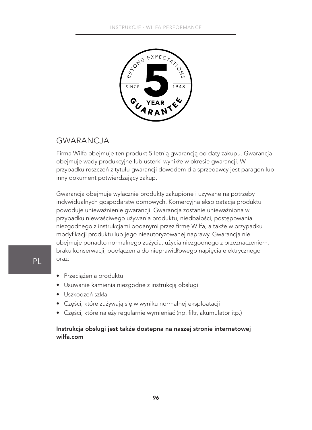

### GWARANCJA

Firma Wilfa obejmuje ten produkt 5-letnią gwarancją od daty zakupu. Gwarancja obejmuje wady produkcyjne lub usterki wynikłe w okresie gwarancji. W przypadku roszczeń z tytułu gwarancji dowodem dla sprzedawcy jest paragon lub inny dokument potwierdzający zakup.

Gwarancja obejmuje wyłącznie produkty zakupione i używane na potrzeby indywidualnych gospodarstw domowych. Komercyjna eksploatacja produktu powoduje unieważnienie gwarancji. Gwarancja zostanie unieważniona w przypadku niewłaściwego używania produktu, niedbałości, postępowania niezgodnego z instrukcjami podanymi przez firmę Wilfa, a także w przypadku modyfikacji produktu lub jego nieautoryzowanej naprawy. Gwarancja nie obejmuje ponadto normalnego zużycia, użycia niezgodnego z przeznaczeniem, braku konserwacji, podłączenia do nieprawidłowego napięcia elektrycznego oraz:

PL

- Przeciążenia produktu
- Usuwanie kamienia niezgodne z instrukcją obsługi
- Uszkodzeń szkła
- Części, które zużywają się w wyniku normalnej eksploatacji
- Części, które należy regularnie wymieniać (np. filtr, akumulator itp.)

### Instrukcja obsługi jest także dostępna na naszej stronie internetowej wilfa.com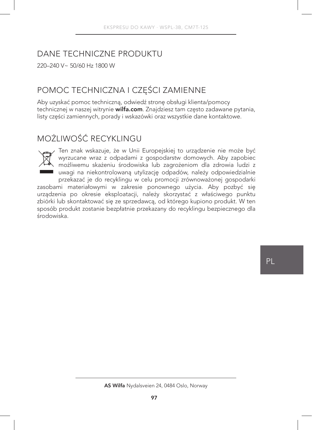### DANE TECHNICZNE PRODUKTU

220–240 V~ 50/60 Hz 1800 W

# POMOC TECHNICZNA I CZĘŚCI ZAMIENNE

Aby uzyskać pomoc techniczną, odwiedź stronę obsługi klienta/pomocy technicznej w naszej witrynie **wilfa.com**. Znajdziesz tam często zadawane pytania, listy części zamiennych, porady i wskazówki oraz wszystkie dane kontaktowe.

# MOŻLIWOŚĆ RECYKLINGU



Ten znak wskazuje, że w Unii Europejskiej to urządzenie nie może być wyrzucane wraz z odpadami z gospodarstw domowych. Aby zapobiec możliwemu skażeniu środowiska lub zagrożeniom dla zdrowia ludzi z uwagi na niekontrolowaną utylizację odpadów, należy odpowiedzialnie przekazać je do recyklingu w celu promocji zrównoważonej gospodarki

zasobami materiałowymi w zakresie ponownego użycia. Aby pozbyć się urządzenia po okresie eksploatacji, należy skorzystać z właściwego punktu zbiórki lub skontaktować się ze sprzedawcą, od którego kupiono produkt. W ten sposób produkt zostanie bezpłatnie przekazany do recyklingu bezpiecznego dla środowiska.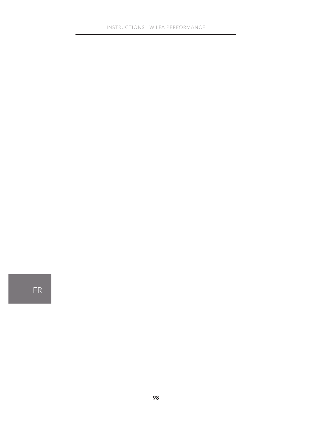INSTRUCTIONS · WILFA PERFORMANCE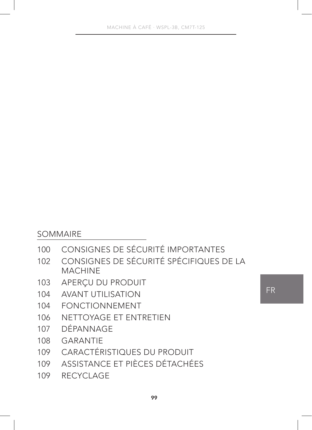### SOMMAIRE

- CONSIGNES DE SÉCURITÉ IMPORTANTES
- 102 CONSIGNES DE SÉCURITÉ SPÉCIFIQUES DE LA MACHINE
- APERÇU DU PRODUIT
- AVANT UTILISATION
- FONCTIONNEMENT
- NETTOYAGE ET ENTRETIEN
- DÉPANNAGE
- GARANTIE
- CARACTÉRISTIQUES DU PRODUIT
- ASSISTANCE ET PIÈCES DÉTACHÉES
- RECYCLAGE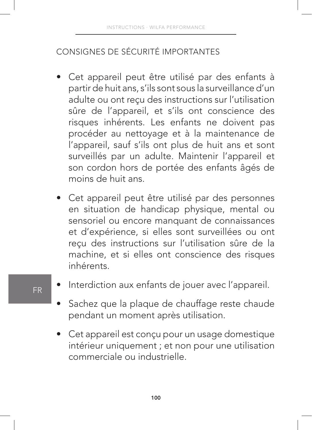# CONSIGNES DE SÉCURITÉ IMPORTANTES

- Cet appareil peut être utilisé par des enfants à partir de huit ans, s'ils sont sous la surveillance d'un adulte ou ont reçu des instructions sur l'utilisation sûre de l'appareil, et s'ils ont conscience des risques inhérents. Les enfants ne doivent pas procéder au nettoyage et à la maintenance de l'appareil, sauf s'ils ont plus de huit ans et sont surveillés par un adulte. Maintenir l'appareil et son cordon hors de portée des enfants âgés de moins de huit ans.
- Cet appareil peut être utilisé par des personnes en situation de handicap physique, mental ou sensoriel ou encore manquant de connaissances et d'expérience, si elles sont surveillées ou ont reçu des instructions sur l'utilisation sûre de la machine, et si elles ont conscience des risques inhérents.

- Interdiction aux enfants de jouer avec l'appareil.
- Sachez que la plaque de chauffage reste chaude pendant un moment après utilisation.
- Cet appareil est conçu pour un usage domestique intérieur uniquement ; et non pour une utilisation commerciale ou industrielle.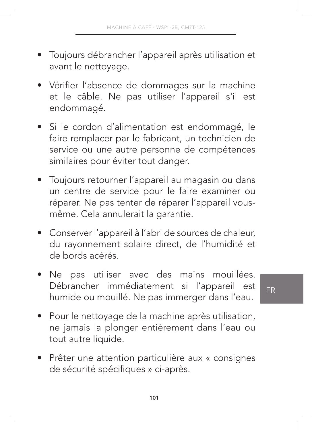- Toujours débrancher l'appareil après utilisation et avant le nettoyage.
- Vérifier l'absence de dommages sur la machine et le câble. Ne pas utiliser l'appareil s'il est endommagé.
- Si le cordon d'alimentation est endommagé, le faire remplacer par le fabricant, un technicien de service ou une autre personne de compétences similaires pour éviter tout danger.
- Toujours retourner l'appareil au magasin ou dans un centre de service pour le faire examiner ou réparer. Ne pas tenter de réparer l'appareil vousmême. Cela annulerait la garantie.
- Conserver l'appareil à l'abri de sources de chaleur, du rayonnement solaire direct, de l'humidité et de bords acérés.
- Ne pas utiliser avec des mains mouillées. Débrancher immédiatement si l'appareil est humide ou mouillé. Ne pas immerger dans l'eau.
- Pour le nettoyage de la machine après utilisation, ne jamais la plonger entièrement dans l'eau ou tout autre liquide.
- Prêter une attention particulière aux « consignes de sécurité spécifiques » ci-après.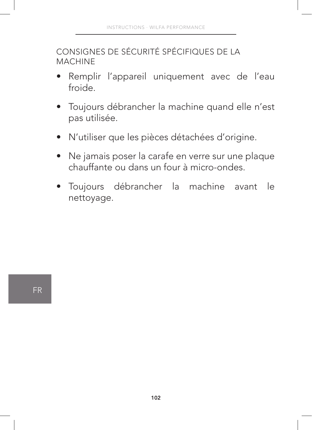CONSIGNES DE SÉCURITÉ SPÉCIFIQUES DE LA MACHINE

- Remplir l'appareil uniquement avec de l'eau froide.
- Toujours débrancher la machine quand elle n'est pas utilisée.
- N'utiliser que les pièces détachées d'origine.
- Ne jamais poser la carafe en verre sur une plaque chauffante ou dans un four à micro-ondes.
- Toujours débrancher la machine avant le nettoyage.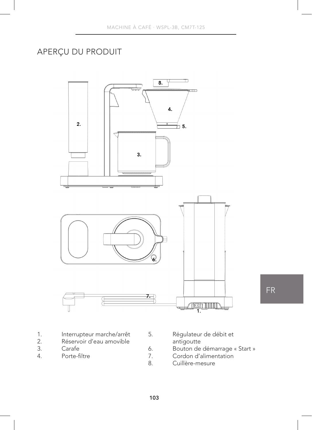# APERÇU DU PRODUIT



- 1. Interrupteur marche/arrêt
- 2. Réservoir d'eau amovible
- 3. Carafe<br>4. Porte-f
- Porte-filtre
- 5. Régulateur de débit et
	- antigoutte
- 6. Bouton de démarrage « Start »<br>7. Cordon d'alimentation
- 7. Cordon d'alimentation<br>8. Cuillère-mesure
	- Cuillère-mesure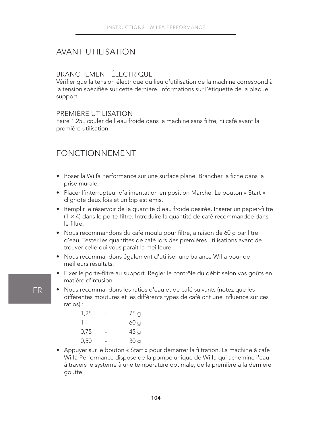### AVANT UTILISATION

#### BRANCHEMENT ÉLECTRIQUE

Vérifier que la tension électrique du lieu d'utilisation de la machine correspond à la tension spécifiée sur cette dernière. Informations sur l'étiquette de la plaque support.

#### PREMIÈRE UTILISATION

Faire 1,25L couler de l'eau froide dans la machine sans filtre, ni café avant la première utilisation.

### FONCTIONNEMENT

- Poser la Wilfa Performance sur une surface plane. Brancher la fiche dans la prise murale.
- Placer l'interrupteur d'alimentation en position Marche. Le bouton « Start » clignote deux fois et un bip est émis.
- Remplir le réservoir de la quantité d'eau froide désirée. Insérer un papier-filtre  $(1 \times 4)$  dans le porte-filtre. Introduire la quantité de café recommandée dans le filtre.
- Nous recommandons du café moulu pour filtre, à raison de 60 g par litre d'eau. Tester les quantités de café lors des premières utilisations avant de trouver celle qui vous paraît la meilleure.
- Nous recommandons également d'utiliser une balance Wilfa pour de meilleurs résultats.
- Fixer le porte-filtre au support. Régler le contrôle du débit selon vos goûts en matière d'infusion.
- Nous recommandons les ratios d'eau et de café suivants (notez que les différentes moutures et les différents types de café ont une influence sur ces ratios) :

| $1,25$ l |   | 75 g            |
|----------|---|-----------------|
| 1        |   | 60 <sub>g</sub> |
| 0,751    | - | 45g             |
| 0,501    |   | 30q             |

• Appuyer sur le bouton « Start » pour démarrer la filtration. La machine à café Wilfa Performance dispose de la pompe unique de Wilfa qui achemine l'eau à travers le système à une température optimale, de la première à la dernière goutte.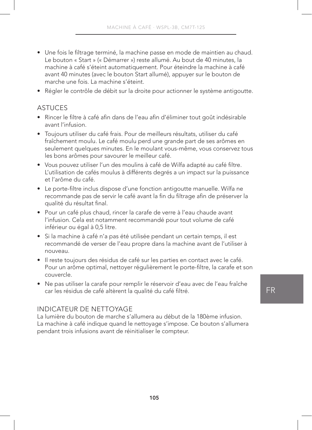- Une fois le filtrage terminé, la machine passe en mode de maintien au chaud. Le bouton « Start » (« Démarrer ») reste allumé. Au bout de 40 minutes, la machine à café s'éteint automatiquement. Pour éteindre la machine à café avant 40 minutes (avec le bouton Start allumé), appuyer sur le bouton de marche une fois. La machine s'éteint.
- Régler le contrôle de débit sur la droite pour actionner le système antigoutte.

#### ASTUCES

- Rincer le filtre à café afin dans de l'eau afin d'éliminer tout goût indésirable avant l'infusion.
- Toujours utiliser du café frais. Pour de meilleurs résultats, utiliser du café fraîchement moulu. Le café moulu perd une grande part de ses arômes en seulement quelques minutes. En le moulant vous-même, vous conservez tous les bons arômes pour savourer le meilleur café.
- Vous pouvez utiliser l'un des moulins à café de Wilfa adapté au café filtre. L'utilisation de cafés moulus à différents degrés a un impact sur la puissance et l'arôme du café.
- Le porte-filtre inclus dispose d'une fonction antigoutte manuelle. Wilfa ne recommande pas de servir le café avant la fin du filtrage afin de préserver la qualité du résultat final.
- Pour un café plus chaud, rincer la carafe de verre à l'eau chaude avant l'infusion. Cela est notamment recommandé pour tout volume de café inférieur ou égal à 0,5 litre.
- Si la machine à café n'a pas été utilisée pendant un certain temps, il est recommandé de verser de l'eau propre dans la machine avant de l'utiliser à nouveau.
- Il reste toujours des résidus de café sur les parties en contact avec le café. Pour un arôme optimal, nettoyer régulièrement le porte-filtre, la carafe et son couvercle.
- Ne pas utiliser la carafe pour remplir le réservoir d'eau avec de l'eau fraîche car les résidus de café altèrent la qualité du café filtré.

#### INDICATEUR DE NETTOYAGE

La lumière du bouton de marche s'allumera au début de la 180ème infusion. La machine à café indique quand le nettoyage s'impose. Ce bouton s'allumera pendant trois infusions avant de réinitialiser le compteur.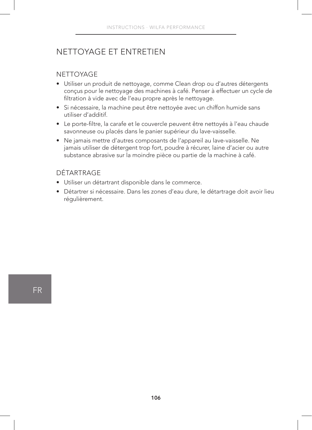# NETTOYAGE ET ENTRETIEN

#### NETTOYAGE

- Utiliser un produit de nettoyage, comme Clean drop ou d'autres détergents conçus pour le nettoyage des machines à café. Penser à effectuer un cycle de filtration à vide avec de l'eau propre après le nettoyage.
- Si nécessaire, la machine peut être nettoyée avec un chiffon humide sans utiliser d'additif.
- Le porte-filtre, la carafe et le couvercle peuvent être nettoyés à l'eau chaude savonneuse ou placés dans le panier supérieur du lave-vaisselle.
- Ne jamais mettre d'autres composants de l'appareil au lave-vaisselle. Ne jamais utiliser de détergent trop fort, poudre à récurer, laine d'acier ou autre substance abrasive sur la moindre pièce ou partie de la machine à café.

#### DÉTARTRAGE

- Utiliser un détartrant disponible dans le commerce.
- Détartrer si nécessaire. Dans les zones d'eau dure, le détartrage doit avoir lieu régulièrement.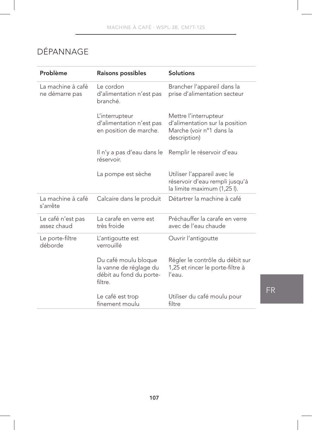# DÉPANNAGE

| Problème                            | Raisons possibles                                                                    | <b>Solutions</b>                                                                                    |
|-------------------------------------|--------------------------------------------------------------------------------------|-----------------------------------------------------------------------------------------------------|
| La machine à café<br>ne démarre pas | Le cordon<br>d'alimentation n'est pas<br>branché.                                    | Brancher l'appareil dans la<br>prise d'alimentation secteur                                         |
|                                     | L'interrupteur<br>d'alimentation n'est pas<br>en position de marche.                 | Mettre l'interrupteur<br>d'alimentation sur la position<br>Marche (voir n°1 dans la<br>description) |
|                                     | Il n'y a pas d'eau dans le<br>réservoir.                                             | Remplir le réservoir d'eau                                                                          |
|                                     | La pompe est sèche                                                                   | Utiliser l'appareil avec le<br>réservoir d'eau rempli jusqu'à<br>la limite maximum (1,25 l).        |
| La machine à café<br>s'arrête       | Calcaire dans le produit                                                             | Détartrer la machine à café                                                                         |
| Le café n'est pas<br>assez chaud    | La carafe en verre est<br>très froide                                                | Préchauffer la carafe en verre<br>avec de l'eau chaude                                              |
| Le porte-filtre<br>déborde          | L'antigoutte est<br>verrouillé                                                       | Ouvrir l'antigoutte                                                                                 |
|                                     | Du café moulu bloque<br>la vanne de réglage du<br>débit au fond du porte-<br>filtre. | Régler le contrôle du débit sur<br>1,25 et rincer le porte-filtre à<br>l'eau.                       |
|                                     | Le café est trop<br>finement moulu                                                   | Utiliser du café moulu pour<br>filtre                                                               |

FR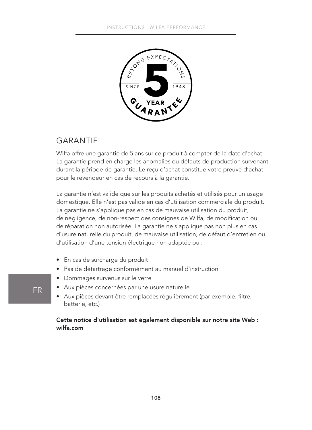

### GARANTIE

Wilfa offre une garantie de 5 ans sur ce produit à compter de la date d'achat. La garantie prend en charge les anomalies ou défauts de production survenant durant la période de garantie. Le reçu d'achat constitue votre preuve d'achat pour le revendeur en cas de recours à la garantie.

La garantie n'est valide que sur les produits achetés et utilisés pour un usage domestique. Elle n'est pas valide en cas d'utilisation commerciale du produit. La garantie ne s'applique pas en cas de mauvaise utilisation du produit, de négligence, de non-respect des consignes de Wilfa, de modification ou de réparation non autorisée. La garantie ne s'applique pas non plus en cas d'usure naturelle du produit, de mauvaise utilisation, de défaut d'entretien ou d'utilisation d'une tension électrique non adaptée ou :

- En cas de surcharge du produit
- Pas de détartrage conformément au manuel d'instruction
- Dommages survenus sur le verre
- Aux pièces concernées par une usure naturelle
- Aux pièces devant être remplacées régulièrement (par exemple, filtre, batterie, etc.)

### Cette notice d'utilisation est également disponible sur notre site Web : wilfa.com

### FR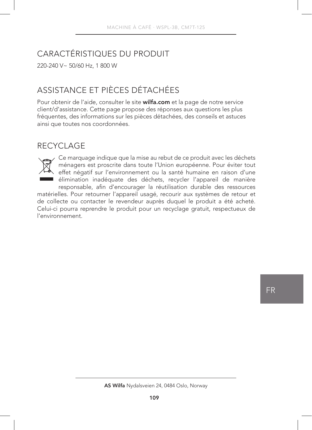# CARACTÉRISTIQUES DU PRODUIT

220-240 V~ 50/60 Hz, 1 800 W

# ASSISTANCE ET PIÈCES DÉTACHÉES

Pour obtenir de l'aide, consulter le site wilfa.com et la page de notre service client/d'assistance. Cette page propose des réponses aux questions les plus fréquentes, des informations sur les pièces détachées, des conseils et astuces ainsi que toutes nos coordonnées.

## RECYCLAGE



Ce marquage indique que la mise au rebut de ce produit avec les déchets ménagers est proscrite dans toute l'Union européenne. Pour éviter tout effet négatif sur l'environnement ou la santé humaine en raison d'une élimination inadéquate des déchets, recycler l'appareil de manière responsable, afin d'encourager la réutilisation durable des ressources

matérielles. Pour retourner l'appareil usagé, recourir aux systèmes de retour et de collecte ou contacter le revendeur auprès duquel le produit a été acheté. Celui-ci pourra reprendre le produit pour un recyclage gratuit, respectueux de l'environnement.

### FR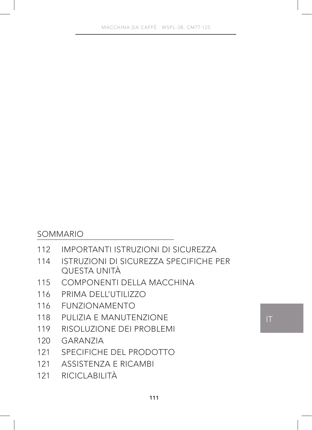### SOMMARIO

- IMPORTANTI ISTRUZIONI DI SICUREZZA
- 114 ISTRUZIONI DI SICUREZZA SPECIFICHE PER QUESTA UNITÀ
- COMPONENTI DELLA MACCHINA
- PRIMA DELL'UTILIZZO
- FUNZIONAMENTO
- PULIZIA E MANUTENZIONE
- RISOLUZIONE DEI PROBLEMI
- GARANZIA
- SPECIFICHE DEL PRODOTTO
- ASSISTENZA E RICAMBI
- RICICLABILITÀ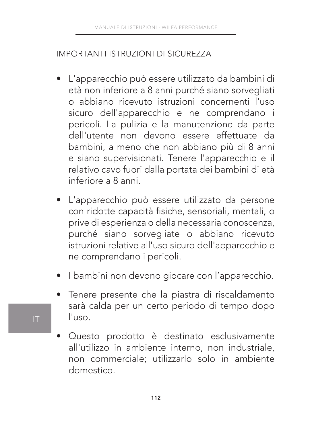# IMPORTANTI ISTRUZIONI DI SICUREZZA

- L'apparecchio può essere utilizzato da bambini di età non inferiore a 8 anni purché siano sorvegliati o abbiano ricevuto istruzioni concernenti l'uso sicuro dell'apparecchio e ne comprendano i pericoli. La pulizia e la manutenzione da parte dell'utente non devono essere effettuate da bambini, a meno che non abbiano più di 8 anni e siano supervisionati. Tenere l'apparecchio e il relativo cavo fuori dalla portata dei bambini di età inferiore a 8 anni.
- L'apparecchio può essere utilizzato da persone con ridotte capacità fisiche, sensoriali, mentali, o prive di esperienza o della necessaria conoscenza, purché siano sorvegliate o abbiano ricevuto istruzioni relative all'uso sicuro dell'apparecchio e ne comprendano i pericoli.
- I bambini non devono giocare con l'apparecchio.
- Tenere presente che la piastra di riscaldamento sarà calda per un certo periodo di tempo dopo l'uso.
- Questo prodotto è destinato esclusivamente all'utilizzo in ambiente interno, non industriale, non commerciale; utilizzarlo solo in ambiente domestico.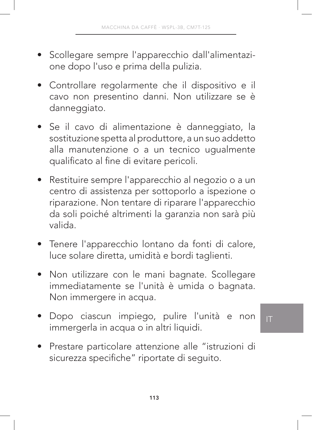- Scollegare sempre l'apparecchio dall'alimentazione dopo l'uso e prima della pulizia.
- Controllare regolarmente che il dispositivo e il cavo non presentino danni. Non utilizzare se è danneggiato.
- Se il cavo di alimentazione è danneggiato, la sostituzione spetta al produttore, a un suo addetto alla manutenzione o a un tecnico ugualmente qualificato al fine di evitare pericoli.
- Restituire sempre l'apparecchio al negozio o a un centro di assistenza per sottoporlo a ispezione o riparazione. Non tentare di riparare l'apparecchio da soli poiché altrimenti la garanzia non sarà più valida.
- Tenere l'apparecchio lontano da fonti di calore, luce solare diretta, umidità e bordi taglienti.
- Non utilizzare con le mani bagnate. Scollegare immediatamente se l'unità è umida o bagnata. Non immergere in acqua.
- Dopo ciascun impiego, pulire l'unità e non immergerla in acqua o in altri liquidi.
- Prestare particolare attenzione alle "istruzioni di sicurezza specifiche" riportate di seguito.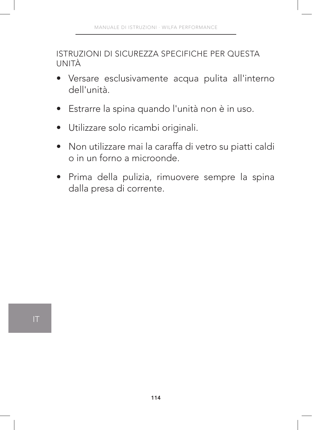ISTRUZIONI DI SICUREZZA SPECIFICHE PER QUESTA UNITÀ

- Versare esclusivamente acqua pulita all'interno dell'unità.
- Estrarre la spina quando l'unità non è in uso.
- Utilizzare solo ricambi originali.
- Non utilizzare mai la caraffa di vetro su piatti caldi o in un forno a microonde.
- Prima della pulizia, rimuovere sempre la spina dalla presa di corrente.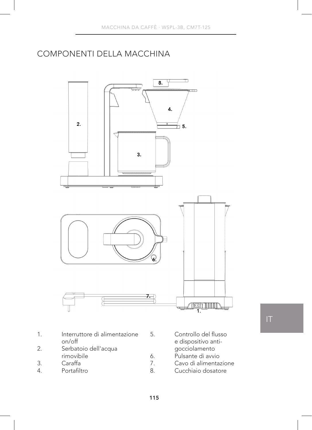# COMPONENTI DELLA MACCHINA



- 1. Interruttore di alimentazione on/off
- 2. Serbatoio dell'acqua
- rimovibile
- 3. Caraffa<br>4. Portafilt Portafiltro
- 5. Controllo del flusso
	- e dispositivo anti-
- gocciolamento 6. Pulsante di avvio
	-
- 7. Cavo di alimentazione<br>8. Cucchiaio dosatore Cucchiaio dosatore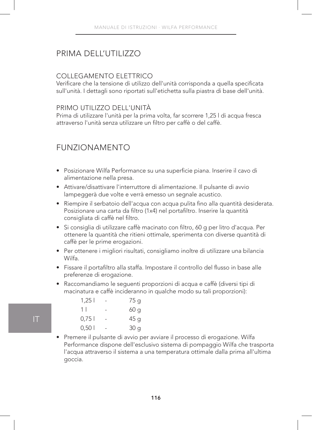### PRIMA DELL'UTILIZZO

### COLLEGAMENTO ELETTRICO

Verificare che la tensione di utilizzo dell'unità corrisponda a quella specificata sull'unità. I dettagli sono riportati sull'etichetta sulla piastra di base dell'unità.

#### PRIMO UTILIZZO DELL'UNITÀ

Prima di utilizzare l'unità per la prima volta, far scorrere 1,25 l di acqua fresca attraverso l'unità senza utilizzare un filtro per caffè o del caffè.

### FUNZIONAMENTO

- Posizionare Wilfa Performance su una superficie piana. Inserire il cavo di alimentazione nella presa.
- Attivare/disattivare l'interruttore di alimentazione. Il pulsante di avvio lampeggerà due volte e verrà emesso un segnale acustico.
- Riempire il serbatoio dell'acqua con acqua pulita fino alla quantità desiderata. Posizionare una carta da filtro (1x4) nel portafiltro. Inserire la quantità consigliata di caffè nel filtro.
- Si consiglia di utilizzare caffè macinato con filtro, 60 g per litro d'acqua. Per ottenere la quantità che ritieni ottimale, sperimenta con diverse quantità di caffè per le prime erogazioni.
- Per ottenere i migliori risultati, consigliamo inoltre di utilizzare una bilancia Wilfa.
- Fissare il portafiltro alla staffa. Impostare il controllo del flusso in base alle preferenze di erogazione.
- Raccomandiamo le seguenti proporzioni di acqua e caffè (diversi tipi di macinatura e caffè incideranno in qualche modo su tali proporzioni):

| $1,25$ l       | 75 g |
|----------------|------|
| 1 <sup>1</sup> | 60g  |
| 0,751          | 45 g |
| 0,50 l         | 30g  |

• Premere il pulsante di avvio per avviare il processo di erogazione. Wilfa Performance dispone dell'esclusivo sistema di pompaggio Wilfa che trasporta l'acqua attraverso il sistema a una temperatura ottimale dalla prima all'ultima goccia.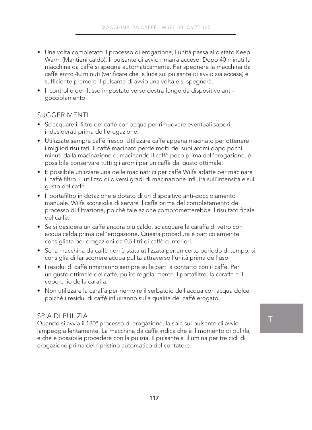- Una volta completato il processo di erogazione, l'unità passa allo stato Keep Warm (Mantieni caldo). Il pulsante di avvio rimarrà acceso. Dopo 40 minuti la macchina da caffè si spegne automaticamente. Per spegnere la macchina da caffè entro 40 minuti (verificare che la luce sul pulsante di avvio sia accesa) è sufficiente premere il pulsante di avvio una volta e si spegnerà.
- Il controllo del flusso impostato verso destra funge da dispositivo antigocciolamento.

### SUGGERIMENTI

- Sciacquare il filtro del caffè con acqua per rimuovere eventuali sapori indesiderati prima dell'erogazione.
- Utilizzate sempre caffè fresco. Utilizzare caffè appena macinato per ottenere i migliori risultati. Il caffè macinato perde molti dei suoi aromi dopo pochi minuti dalla macinazione e, macinando il caffè poco prima dell'erogazione, è possibile conservare tutti gli aromi per un caffè dal gusto ottimale.
- È possibile utilizzare una delle macinatrici per caffè Wilfa adatte per macinare il caffè filtro. L'utilizzo di diversi gradi di macinazione influirà sull'intensità e sul gusto del caffè.
- Il portafiltro in dotazione è dotato di un dispositivo anti-gocciolamento manuale. Wilfa sconsiglia di servire il caffè prima del completamento del processo di filtrazione, poiché tale azione comprometterebbe il risultato finale del caffè.
- Se si desidera un caffè ancora più caldo, sciacquare la caraffa di vetro con acqua calda prima dell'erogazione. Questa procedura è particolarmente consigliata per erogazioni da 0,5 litri di caffè o inferiori.
- Se la macchina da caffè non è stata utilizzata per un certo periodo di tempo, si consiglia di far scorrere acqua pulita attraverso l'unità prima dell'uso.
- I residui di caffè rimarranno sempre sulle parti a contatto con il caffè. Per un gusto ottimale del caffè, pulire regolarmente il portafiltro, la caraffa e il coperchio della caraffa.
- Non utilizzare la caraffa per riempire il serbatoio dell'acqua con acqua dolce, poiché i residui di caffè influiranno sulla qualità del caffè erogato.

### SPIA DI PULIZIA

Quando si avvia il 180° processo di erogazione, la spia sul pulsante di avvio lampeggia lentamente. La macchina da caffè indica che è il momento di pulirla, e che è possibile procedere con la pulizia. Il pulsante si illumina per tre cicli di erogazione prima del ripristino automatico del contatore.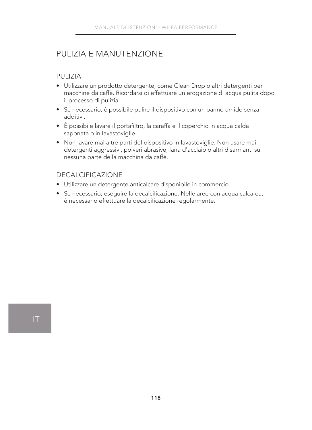## PULIZIA E MANUTENZIONE

### PULIZIA

- Utilizzare un prodotto detergente, come Clean Drop o altri detergenti per macchine da caffè. Ricordarsi di effettuare un'erogazione di acqua pulita dopo il processo di pulizia.
- Se necessario, è possibile pulire il dispositivo con un panno umido senza additivi.
- È possibile lavare il portafiltro, la caraffa e il coperchio in acqua calda saponata o in lavastoviglie.
- Non lavare mai altre parti del dispositivo in lavastoviglie. Non usare mai detergenti aggressivi, polveri abrasive, lana d'acciaio o altri disarmanti su nessuna parte della macchina da caffè.

### DECALCIFICAZIONE

- Utilizzare un detergente anticalcare disponibile in commercio.
- Se necessario, eseguire la decalcificazione. Nelle aree con acqua calcarea, è necessario effettuare la decalcificazione regolarmente.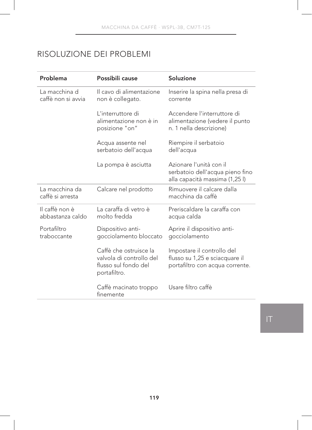# RISOLUZIONE DEI PROBLEMI

| Problema                            | Possibili cause                                                                            | Soluzione                                                                                       |
|-------------------------------------|--------------------------------------------------------------------------------------------|-------------------------------------------------------------------------------------------------|
| La macchina d<br>caffè non si avvia | Il cavo di alimentazione<br>non è collegato.                                               | Inserire la spina nella presa di<br>corrente                                                    |
|                                     | L'interruttore di<br>alimentazione non è in<br>posizione "on"                              | Accendere l'interruttore di<br>alimentazione (vedere il punto<br>n. 1 nella descrizione)        |
|                                     | Acqua assente nel<br>serbatoio dell'acqua                                                  | Riempire il serbatoio<br>dell'acqua                                                             |
|                                     | La pompa è asciutta                                                                        | Azionare l'unità con il<br>serbatoio dell'acqua pieno fino<br>alla capacità massima (1,25 l)    |
| La macchina da<br>caffè si arresta  | Calcare nel prodotto                                                                       | Rimuovere il calcare dalla<br>macchina da caffè                                                 |
| Il caffè non è<br>abbastanza caldo  | La caraffa di vetro è<br>molto fredda                                                      | Preriscaldare la caraffa con<br>acqua calda                                                     |
| Portafiltro<br>traboccante          | Dispositivo anti-<br>gocciolamento bloccato                                                | Aprire il dispositivo anti-<br>gocciolamento                                                    |
|                                     | Caffè che ostruisce la<br>valvola di controllo del<br>flusso sul fondo del<br>portafiltro. | Impostare il controllo del<br>flusso su 1,25 e sciacquare il<br>portafiltro con acqua corrente. |
|                                     | Caffè macinato troppo<br>finemente                                                         | Usare filtro caffè                                                                              |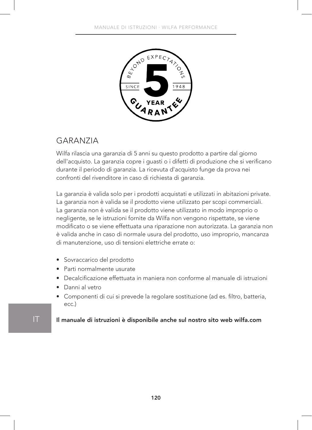

### GARANZIA

Wilfa rilascia una garanzia di 5 anni su questo prodotto a partire dal giorno dell'acquisto. La garanzia copre i guasti o i difetti di produzione che si verificano durante il periodo di garanzia. La ricevuta d'acquisto funge da prova nei confronti del rivenditore in caso di richiesta di garanzia.

La garanzia è valida solo per i prodotti acquistati e utilizzati in abitazioni private. La garanzia non è valida se il prodotto viene utilizzato per scopi commerciali. La garanzia non è valida se il prodotto viene utilizzato in modo improprio o negligente, se le istruzioni fornite da Wilfa non vengono rispettate, se viene modificato o se viene effettuata una riparazione non autorizzata. La garanzia non è valida anche in caso di normale usura del prodotto, uso improprio, mancanza di manutenzione, uso di tensioni elettriche errate o:

- Sovraccarico del prodotto
- Parti normalmente usurate
- Decalcificazione effettuata in maniera non conforme al manuale di istruzioni
- Danni al vetro
- Componenti di cui si prevede la regolare sostituzione (ad es. filtro, batteria, ecc.)

### Il manuale di istruzioni è disponibile anche sul nostro sito web wilfa.com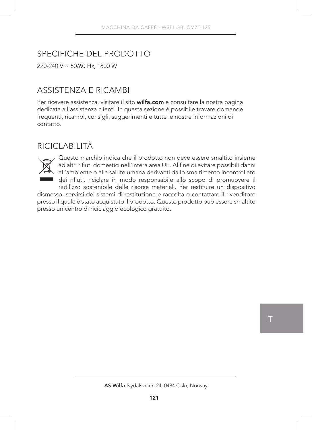# SPECIFICHE DEL PRODOTTO

220-240 V ~ 50/60 Hz, 1800 W

## ASSISTENZA E RICAMBI

Per ricevere assistenza, visitare il sito wilfa.com e consultare la nostra pagina dedicata all'assistenza clienti. In questa sezione è possibile trovare domande frequenti, ricambi, consigli, suggerimenti e tutte le nostre informazioni di contatto.

## RICICLABILITÀ



Questo marchio indica che il prodotto non deve essere smaltito insieme ad altri rifiuti domestici nell'intera area UE. Al fine di evitare possibili danni all'ambiente o alla salute umana derivanti dallo smaltimento incontrollato dei rifiuti, riciclare in modo responsabile allo scopo di promuovere il riutilizzo sostenibile delle risorse materiali. Per restituire un dispositivo

dismesso, servirsi dei sistemi di restituzione e raccolta o contattare il rivenditore presso il quale è stato acquistato il prodotto. Questo prodotto può essere smaltito presso un centro di riciclaggio ecologico gratuito.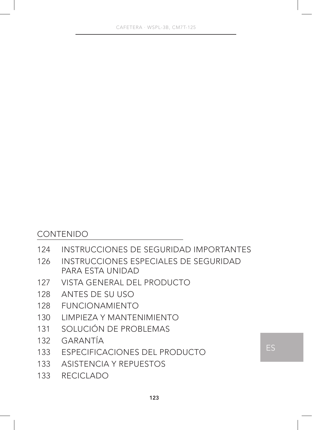### CONTENIDO

- INSTRUCCIONES DE SEGURIDAD IMPORTANTES
- 126 INSTRUCCIONES ESPECIALES DE SEGURIDAD PARA ESTA UNIDAD
- VISTA GENERAL DEL PRODUCTO
- ANTES DE SU USO
- FUNCIONAMIENTO
- LIMPIEZA Y MANTENIMIENTO
- SOLUCIÓN DE PROBLEMAS
- GARANTÍA
- ESPECIFICACIONES DEL PRODUCTO
- ASISTENCIA Y REPUESTOS
- RECICLADO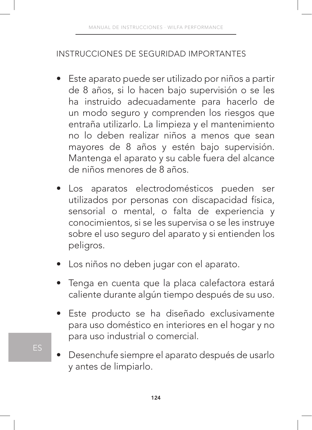## INSTRUCCIONES DE SEGURIDAD IMPORTANTES

- Este aparato puede ser utilizado por niños a partir de 8 años, si lo hacen bajo supervisión o se les ha instruido adecuadamente para hacerlo de un modo seguro y comprenden los riesgos que entraña utilizarlo. La limpieza y el mantenimiento no lo deben realizar niños a menos que sean mayores de 8 años y estén bajo supervisión. Mantenga el aparato y su cable fuera del alcance de niños menores de 8 años.
- Los aparatos electrodomésticos pueden ser utilizados por personas con discapacidad física, sensorial o mental, o falta de experiencia y conocimientos, si se les supervisa o se les instruye sobre el uso seguro del aparato y si entienden los peligros.
- Los niños no deben jugar con el aparato.
- Tenga en cuenta que la placa calefactora estará caliente durante algún tiempo después de su uso.
- Este producto se ha diseñado exclusivamente para uso doméstico en interiores en el hogar y no para uso industrial o comercial.
- Desenchufe siempre el aparato después de usarlo y antes de limpiarlo.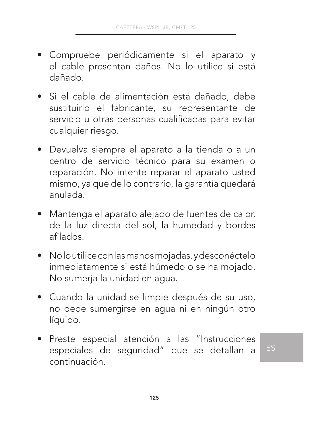- Compruebe periódicamente si el aparato y el cable presentan daños. No lo utilice si está dañado.
- Si el cable de alimentación está dañado, debe sustituirlo el fabricante, su representante de servicio u otras personas cualificadas para evitar cualquier riesgo.
- Devuelva siempre el aparato a la tienda o a un centro de servicio técnico para su examen o reparación. No intente reparar el aparato usted mismo, ya que de lo contrario, la garantía quedará anulada.
- Mantenga el aparato alejado de fuentes de calor, de la luz directa del sol, la humedad y bordes afilados.
- No lo utilice con las manos mojadas. y desconéctelo inmediatamente si está húmedo o se ha mojado. No sumerja la unidad en agua.
- Cuando la unidad se limpie después de su uso, no debe sumergirse en agua ni en ningún otro líquido.
- Preste especial atención a las "Instrucciones especiales de seguridad" que se detallan a continuación.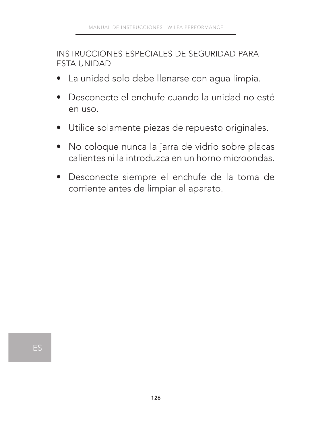INSTRUCCIONES ESPECIALES DE SEGURIDAD PARA ESTA UNIDAD

- La unidad solo debe llenarse con agua limpia.
- Desconecte el enchufe cuando la unidad no esté en uso.
- Utilice solamente piezas de repuesto originales.
- No coloque nunca la jarra de vidrio sobre placas calientes ni la introduzca en un horno microondas.
- Desconecte siempre el enchufe de la toma de corriente antes de limpiar el aparato.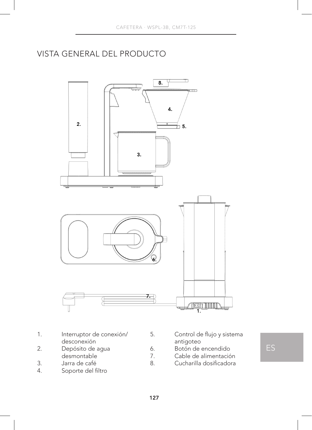# VISTA GENERAL DEL PRODUCTO



- 1. Interruptor de conexión/ desconexión
- 2. Depósito de agua
- desmontable
- 3. Jarra de café Soporte del filtro
- 5. Control de flujo y sistema antigoteo

- 6. Botón de encendido
- 7. Cable de alimentación<br>8. Cucharilla dosificadora
	- Cucharilla dosificadora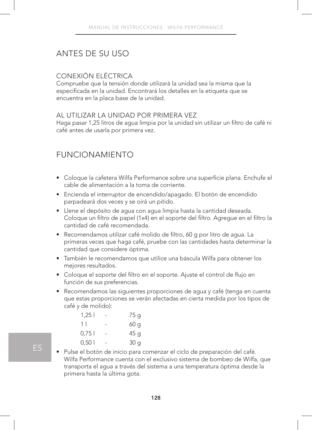### ANTES DE SU USO

### CONEXIÓN ELÉCTRICA

Compruebe que la tensión donde utilizará la unidad sea la misma que la especificada en la unidad. Encontrará los detalles en la etiqueta que se encuentra en la placa base de la unidad.

#### AL UTILIZAR LA UNIDAD POR PRIMERA VEZ

Haga pasar 1,25 litros de agua limpia por la unidad sin utilizar un filtro de café ni café antes de usarla por primera vez.

### FUNCIONAMIENTO

- Coloque la cafetera Wilfa Performance sobre una superficie plana. Enchufe el cable de alimentación a la toma de corriente.
- Encienda el interruptor de encendido/apagado. El botón de encendido parpadeará dos veces y se oirá un pitido.
- Llene el depósito de agua con agua limpia hasta la cantidad deseada. Coloque un filtro de papel (1x4) en el soporte del filtro. Agregue en el filtro la cantidad de café recomendada.
- Recomendamos utilizar café molido de filtro, 60 g por litro de agua. La primeras veces que haga café, pruebe con las cantidades hasta determinar la cantidad que considere óptima.
- También le recomendamos que utilice una báscula Wilfa para obtener los mejores resultados.
- Coloque el soporte del filtro en el soporte. Ajuste el control de flujo en función de sus preferencias.
- Recomendamos las siguientes proporciones de agua y café (tenga en cuenta que estas proporciones se verán afectadas en cierta medida por los tipos de café y de molido):

| $1,25$ l | 75 g            |
|----------|-----------------|
| 1 I      | 60 <sub>g</sub> |
| 0,75 l   | 45 g            |
| 0,501    | 30 g            |

ES

• Pulse el botón de inicio para comenzar el ciclo de preparación del café. Wilfa Performance cuenta con el exclusivo sistema de bombeo de Wilfa, que transporta el agua a través del sistema a una temperatura óptima desde la primera hasta la última gota.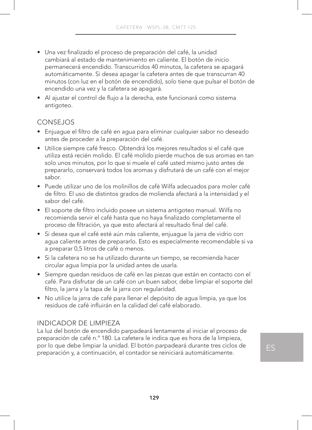- Una vez finalizado el proceso de preparación del café, la unidad cambiará al estado de mantenimiento en caliente. El botón de inicio permanecerá encendido. Transcurridos 40 minutos, la cafetera se apagará automáticamente. Si desea apagar la cafetera antes de que transcurran 40 minutos (con luz en el botón de encendido), solo tiene que pulsar el botón de encendido una vez y la cafetera se apagará.
- Al ajustar el control de flujo a la derecha, este funcionará como sistema antigoteo.

### CONSEJOS

- Enjuague el filtro de café en agua para eliminar cualquier sabor no deseado antes de proceder a la preparación del café.
- Utilice siempre café fresco. Obtendrá los mejores resultados si el café que utiliza está recién molido. El café molido pierde muchos de sus aromas en tan solo unos minutos, por lo que si muele el café usted mismo justo antes de prepararlo, conservará todos los aromas y disfrutará de un café con el mejor sabor.
- Puede utilizar uno de los molinillos de café Wilfa adecuados para moler café de filtro. El uso de distintos grados de molienda afectará a la intensidad y el sabor del café.
- El soporte de filtro incluido posee un sistema antigoteo manual. Wilfa no recomienda servir el café hasta que no haya finalizado completamente el proceso de filtración, ya que esto afectará al resultado final del café.
- Si desea que el café esté aún más caliente, enjuague la jarra de vidrio con agua caliente antes de prepararlo. Esto es especialmente recomendable si va a preparar 0,5 litros de café o menos.
- Si la cafetera no se ha utilizado durante un tiempo, se recomienda hacer circular agua limpia por la unidad antes de usarla.
- Siempre quedan residuos de café en las piezas que están en contacto con el café. Para disfrutar de un café con un buen sabor, debe limpiar el soporte del filtro, la jarra y la tapa de la jarra con regularidad.
- No utilice la jarra de café para llenar el depósito de agua limpia, ya que los residuos de café influirán en la calidad del café elaborado.

#### INDICADOR DE LIMPIEZA

La luz del botón de encendido parpadeará lentamente al iniciar el proceso de preparación de café n.º 180. La cafetera le indica que es hora de la limpieza, por lo que debe limpiar la unidad. El botón parpadeará durante tres ciclos de preparación y, a continuación, el contador se reiniciará automáticamente.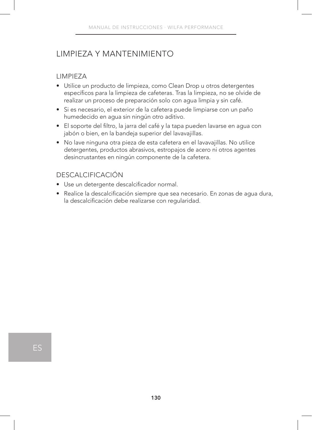## LIMPIEZA Y MANTENIMIENTO

### LIMPIEZA

- Utilice un producto de limpieza, como Clean Drop u otros detergentes específicos para la limpieza de cafeteras. Tras la limpieza, no se olvide de realizar un proceso de preparación solo con agua limpia y sin café.
- Si es necesario, el exterior de la cafetera puede limpiarse con un paño humedecido en agua sin ningún otro aditivo.
- El soporte del filtro, la jarra del café y la tapa pueden lavarse en agua con jabón o bien, en la bandeja superior del lavavajillas.
- No lave ninguna otra pieza de esta cafetera en el lavavajillas. No utilice detergentes, productos abrasivos, estropajos de acero ni otros agentes desincrustantes en ningún componente de la cafetera.

### DESCALCIFICACIÓN

- Use un detergente descalcificador normal.
- Realice la descalcificación siempre que sea necesario. En zonas de agua dura, la descalcificación debe realizarse con regularidad.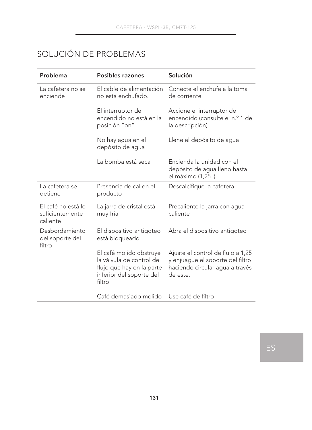# SOLUCIÓN DE PROBLEMAS

| Problema                                          | Posibles razones                                                                                                        | Solución                                                                                                             |
|---------------------------------------------------|-------------------------------------------------------------------------------------------------------------------------|----------------------------------------------------------------------------------------------------------------------|
| La cafetera no se<br>enciende                     | El cable de alimentación<br>no está enchufado.                                                                          | Conecte el enchufe a la toma<br>de corriente                                                                         |
|                                                   | El interruptor de<br>encendido no está en la<br>posición "on"                                                           | Accione el interruptor de<br>encendido (consulte el n.º 1 de<br>la descripción)                                      |
|                                                   | No hay agua en el<br>depósito de agua                                                                                   | Llene el depósito de agua                                                                                            |
|                                                   | La bomba está seca                                                                                                      | Encienda la unidad con el<br>depósito de agua lleno hasta<br>el máximo (1,25 l)                                      |
| La cafetera se<br>detiene                         | Presencia de cal en el<br>producto                                                                                      | Descalcifique la cafetera                                                                                            |
| El café no está lo<br>suficientemente<br>caliente | La jarra de cristal está<br>muy fría                                                                                    | Precaliente la jarra con agua<br>caliente                                                                            |
| Desbordamiento<br>del soporte del<br>filtro       | El dispositivo antigoteo<br>está bloqueado                                                                              | Abra el dispositivo antigoteo                                                                                        |
|                                                   | El café molido obstruye<br>la válvula de control de<br>flujo que hay en la parte<br>inferior del soporte del<br>filtro. | Ajuste el control de flujo a 1,25<br>y enjuague el soporte del filtro<br>haciendo circular agua a través<br>de este. |
|                                                   | Café demasiado molido                                                                                                   | Use café de filtro                                                                                                   |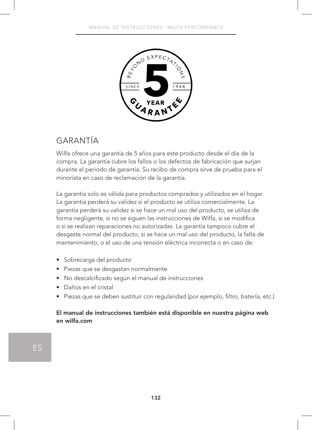

# GARANTÍA

Wilfa ofrece una garantía de 5 años para este producto desde el día de la compra. La garantía cubre los fallos o los defectos de fabricación que surjan durante el periodo de garantía. Su recibo de compra sirve de prueba para el minorista en caso de reclamación de la garantía.

La garantía solo es válida para productos comprados y utilizados en el hogar. La garantía perderá su validez si el producto se utiliza comercialmente. La garantía perderá su validez si se hace un mal uso del producto, se utiliza de forma negligente, si no se siguen las instrucciones de Wilfa, si se modifica o si se realizan reparaciones no autorizadas. La garantía tampoco cubre el desgaste normal del producto, si se hace un mal uso del producto, la falta de mantenimiento, o el uso de una tensión eléctrica incorrecta o en caso de:

- Sobrecarga del producto
- Piezas que se desgastan normalmente
- No descalcificado según el manual de instrucciones
- Daños en el cristal
- Piezas que se deben sustituir con regularidad (por ejemplo, filtro, batería, etc.)

### El manual de instrucciones también está disponible en nuestra página web en wilfa.com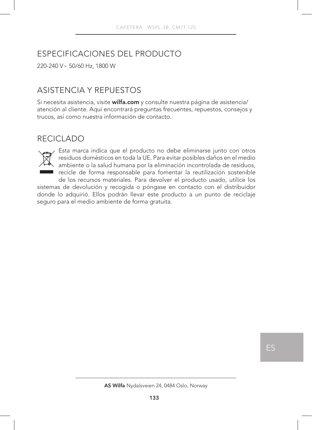# ESPECIFICACIONES DEL PRODUCTO

220-240 V~ 50/60 Hz, 1800 W

# ASISTENCIA Y REPUESTOS

Si necesita asistencia, visite wilfa.com y consulte nuestra página de asistencia/ atención al cliente. Aquí encontrará preguntas frecuentes, repuestos, consejos y trucos, así como nuestra información de contacto.

# RECICLADO



Esta marca indica que el producto no debe eliminarse junto con otros residuos domésticos en toda la UE. Para evitar posibles daños en el medio ambiente o la salud humana por la eliminación incontrolada de residuos, recicle de forma responsable para fomentar la reutilización sostenible de los recursos materiales. Para devolver el producto usado, utilice los

sistemas de devolución y recogida o póngase en contacto con el distribuidor donde lo adquirió. Ellos podrán llevar este producto a un punto de reciclaje seguro para el medio ambiente de forma gratuita.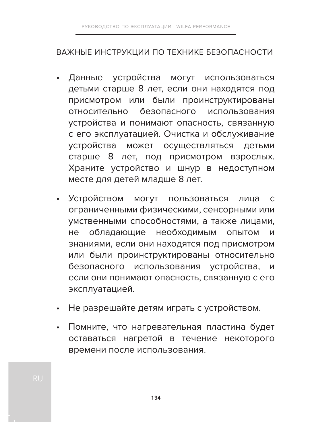## ВАЖНЫЕ ИНСТРУКЦИИ ПО ТЕХНИКЕ БЕЗОПАСНОСТИ

- Данные устройства могут использоваться детьми старше 8 лет, если они находятся под присмотром или были проинструктированы относительно безопасного использования устройства и понимают опасность, связанную с его эксплуатацией. Очистка и обслуживание устройства может осуществляться детьми старше 8 лет, под присмотром взрослых. Храните устройство и шнур в недоступном месте для детей младше 8 лет.
- Устройством могут пользоваться лица с ограниченными физическими, сенсорными или умственными способностями, а также лицами, не обладающие необходимым опытом и знаниями, если они находятся под присмотром или были проинструктированы относительно безопасного использования устройства, и если они понимают опасность, связанную с его эксплуатацией.
- Не разрешайте детям играть с устройством.
- Помните, что нагревательная пластина будет оставаться нагретой в течение некоторого времени после использования.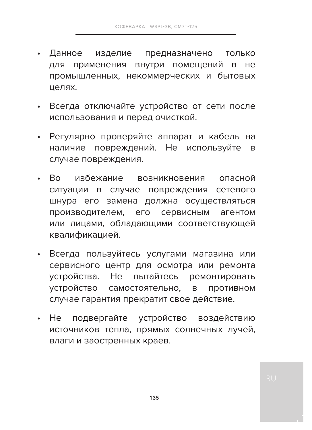- Данное изделие предназначено только для применения внутри помещений в не промышленных, некоммерческих и бытовых целях.
- Всегда отключайте устройство от сети после использования и перед очисткой.
- Регулярно проверяйте аппарат и кабель на наличие повреждений. Не используйте в случае повреждения.
- Во избежание возникновения опасной ситуации в случае повреждения сетевого шнура его замена должна осуществляться производителем, его сервисным агентом или лицами, обладающими соответствующей квалификацией.
- Всегда пользуйтесь услугами магазина или сервисного центр для осмотра или ремонта устройства. Не пытайтесь ремонтировать устройство самостоятельно, в противном случае гарантия прекратит свое действие.
- Не подвергайте устройство воздействию источников тепла, прямых солнечных лучей, влаги и заостренных краев.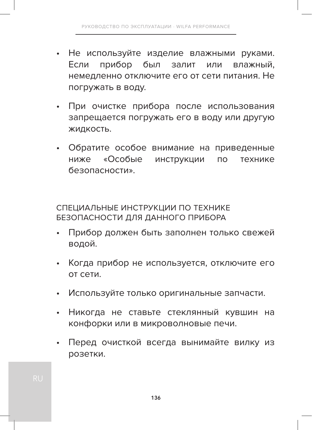- Не используйте изделие влажными руками. Если прибор был залит или влажный, немедленно отключите его от сети питания. Не погружать в воду.
- При очистке прибора после использования запрещается погружать его в воду или другую жидкость.
- Обратите особое внимание на приведенные ниже «Особые инструкции по технике безопасности».

СПЕЦИАЛЬНЫЕ ИНСТРУКЦИИ ПО ТЕХНИКЕ БЕЗОПАСНОСТИ ДЛЯ ДАННОГО ПРИБОРА

- Прибор должен быть заполнен только свежей водой.
- Когда прибор не используется, отключите его от сети.
- Используйте только оригинальные запчасти.
- Никогда не ставьте стеклянный кувшин на конфорки или в микроволновые печи.
- Перед очисткой всегда вынимайте вилку из розетки.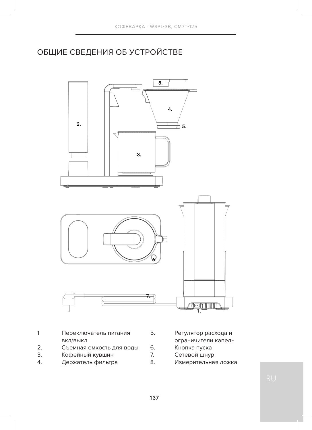# ОБЩИЕ СВЕДЕНИЯ ОБ УСТРОЙСТВЕ



- 1 Переключатель питания вкл/выкл
- 
- 2. Съемная емкость для воды<br>3. Кофейный кувшин 3. Кофейный кувшин
- 4. Держатель фильтра
- 5. Регулятор расхода и
	- ограничители капель
- 6. Кнопка пуска<br>7. Сетевой шнур
	- 7. Сетевой шнур
- 8. Измерительная ложка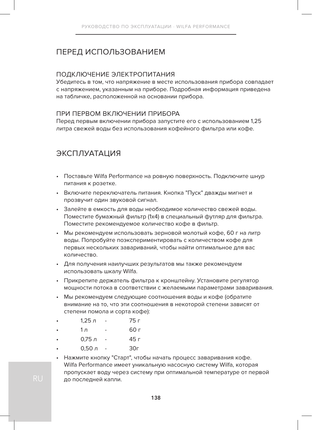### ПЕРЕД ИСПОЛЬЗОВАНИЕМ

#### ПОДКЛЮЧЕНИЕ ЭЛЕКТРОПИТАНИЯ

Убедитесь в том, что напряжение в месте использования прибора совпадает с напряжением, указанным на приборе. Подробная информация приведена на табличке, расположенной на основании прибора.

#### ПРИ ПЕРВОМ ВКЛЮЧЕНИИ ПРИБОРА

Перед первым включении прибора запустите его с использованием 1,25 литра свежей воды без использования кофейного фильтра или кофе.

### ЭКСПЛУАТАЦИЯ

- Поставьте Wilfa Performance на ровную поверхность. Подключите шнур питания к розетке.
- Включите переключатель питания. Кнопка "Пуск" дважды мигнет и прозвучит один звуковой сигнал.
- Залейте в емкость для воды необходимое количество свежей воды. Поместите бумажный фильтр (1x4) в специальный футляр для фильтра. Поместите рекомендуемое количество кофе в фильтр.
- Мы рекомендуем использовать зерновой молотый кофе, 60 г на литр воды. Попробуйте поэкспериментировать с количеством кофе для первых нескольких завариваний, чтобы найти оптимальное для вас количество.
- Для получения наилучших результатов мы также рекомендуем использовать шкалу Wilfa.
- Прикрепите держатель фильтра к кронштейну. Установите регулятор мощности потока в соответствии с желаемыми параметрами заваривания.
- Мы рекомендуем следующие соотношения воды и кофе (обратите внимание на то, что эти соотношения в некоторой степени зависят от степени помола и сорта кофе):
- 1,25 л 75 г
- 1л 60 г
- 0,75 л 45 г
- 0,50 л 30г
- Нажмите кнопку "Старт", чтобы начать процесс заваривания кофе. Wilfa Performance имеет уникальную насосную систему Wilfa, которая пропускает воду через систему при оптимальной температуре от первой до последней капли.

138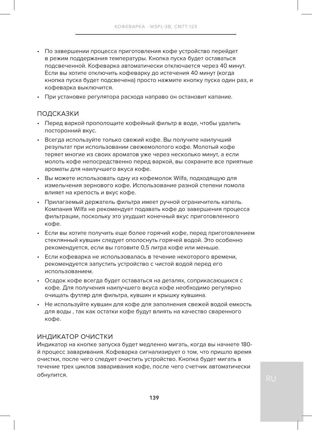- По завершении процесса приготовления кофе устройство перейдет в режим поддержания температуры. Кнопка пуска будет оставаться подсвеченной. Кофеварка автоматически отключается через 40 минут. Если вы хотите отключить кофеварку до истечения 40 минут (когда кнопка пуска будет подсвечена) просто нажмите кнопку пуска один раз, и кофеварка выключится.
- При установке регулятора расхода направо он остановит капание.

#### ПОДСКАЗКИ

- Перед варкой прополощите кофейный фильтр в воде, чтобы удалить посторонний вкус.
- Всегда используйте только свежий кофе. Вы получите наилучший результат при использовании свежемолотого кофе. Молотый кофе теряет многие из своих ароматов уже через несколько минут, а если молоть кофе непосредственно перед варкой, вы сохраните все приятные ароматы для наилучшего вкуса кофе.
- Вы можете использовать одну из кофемолок Wilfa, подходящую для измельчения зернового кофе. Использование разной степени помола влияет на крепость и вкус кофе.
- Прилагаемый держатель фильтра имеет ручной ограничитель капель. Компания Wilfa не рекомендует подавать кофе до завершения процесса фильтрации, поскольку это ухудшит конечный вкус приготовленного кофе.
- Если вы хотите получить еще более горячий кофе, перед приготовлением стеклянный кувшин следует ополоснуть горячей водой. Это особенно рекомендуется, если вы готовите 0,5 литра кофе или меньше.
- Если кофеварка не использовалась в течение некоторого времени, рекомендуется запустить устройство с чистой водой перед его использованием.
- Осадок кофе всегда будет оставаться на деталях, соприкасающихся с кофе. Для получения наилучшего вкуса кофе необходимо регулярно очищать футляр для фильтра, кувшин и крышку кувшина.
- Не используйте кувшин для кофе для заполнения свежей водой емкость для воды , так как остатки кофе будут влиять на качество сваренного кофе.

#### ИНДИКАТОР ОЧИСТКИ

Индикатор на кнопке запуска будет медленно мигать, когда вы начнете 180 й процесс заваривания. Кофеварка сигнализирует о том, что пришло время очистки, после чего следует очистить устройство. Кнопка будет мигать в течение трех циклов заваривания кофе, после чего счетчик автоматически обнулится.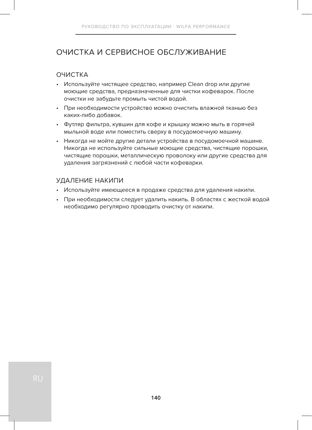## ОЧИСТКА И СЕРВИСНОЕ ОБСЛУЖИВАНИЕ

### ОЧИСТКА

- Используйте чистящее средство, например Clean drop или другие моющие средства, предназначенные для чистки кофеварок. После очистки не забудьте промыть чистой водой.
- При необходимости устройство можно очистить влажной тканью без каких-либо добавок.
- Футляр фильтра, кувшин для кофе и крышку можно мыть в горячей мыльной воде или поместить сверху в посудомоечную машину.
- Никогда не мойте другие детали устройства в посудомоечной машине. Никогда не используйте сильные моющие средства, чистящие порошки, чистящие порошки, металлическую проволоку или другие средства для удаления загрязнений с любой части кофеварки.

#### УДАЛЕНИЕ НАКИПИ

- Используйте имеющееся в продаже средства для удаления накипи.
- При необходимости следует удалить накипь. В областях с жесткой водой необходимо регулярно проводить очистку от накипи.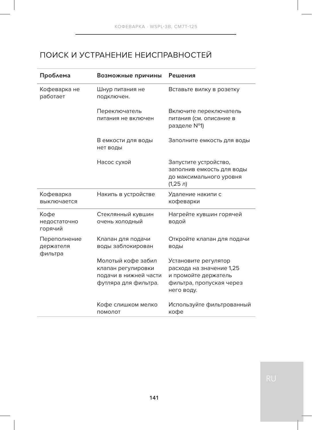## ПОИСК И УСТРАНЕНИЕ НЕИСПРАВНОСТЕЙ

| Проблема                             | Возможные причины                                                                         | Решения                                                                                                            |
|--------------------------------------|-------------------------------------------------------------------------------------------|--------------------------------------------------------------------------------------------------------------------|
| Кофеварка не<br>работает             | Шнур питания не<br>подключен.                                                             | Вставьте вилку в розетку                                                                                           |
|                                      | Переключатель<br>питания не включен                                                       | Включите переключатель<br>питания (см. описание в<br>разделе N°1)                                                  |
|                                      | В емкости для воды<br>нет воды                                                            | Заполните емкость для воды                                                                                         |
|                                      | Насос сухой                                                                               | Запустите устройство,<br>заполнив емкость для воды<br>до максимального уровня<br>$(1,25 \pi)$                      |
| Кофеварка<br>выключается             | Накипь в устройстве                                                                       | Удаление накипи с<br>кофеварки                                                                                     |
| Кофе<br>недостаточно<br>горячий      | Стеклянный кувшин<br>очень холодный                                                       | Нагрейте кувшин горячей<br>водой                                                                                   |
| Переполнение<br>держателя<br>фильтра | Клапан для подачи<br>воды заблокирован                                                    | Откройте клапан для подачи<br>воды                                                                                 |
|                                      | Молотый кофе забил<br>клапан регулировки<br>подачи в нижней части<br>футляра для фильтра. | Установите регулятор<br>расхода на значение 1,25<br>и промойте держатель<br>фильтра, пропуская через<br>него воду. |
|                                      | Кофе слишком мелко<br>помолот                                                             | Используйте фильтрованный<br>кофе                                                                                  |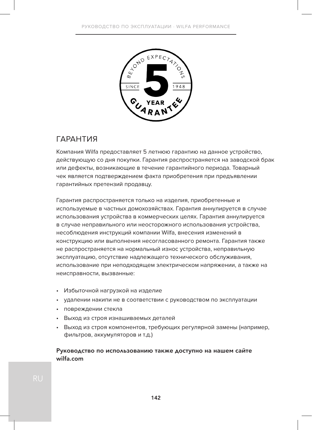

### ГАРАНТИЯ

Компания Wilfa предоставляет 5 летнюю гарантию на данное устройство, действующую со дня покупки. Гарантия распространяется на заводской брак или дефекты, возникающие в течение гарантийного периода. Товарный чек является подтверждением факта приобретения при предъявлении гарантийных претензий продавцу.

Гарантия распространяется только на изделия, приобретенные и используемые в частных домохозяйствах. Гарантия аннулируется в случае использования устройства в коммерческих целях. Гарантия аннулируется в случае неправильного или неосторожного использования устройства, несоблюдения инструкций компании Wilfa, внесения изменений в конструкцию или выполнения несогласованного ремонта. Гарантия также не распространяется на нормальный износ устройства, неправильную эксплуатацию, отсутствие надлежащего технического обслуживания, использование при неподходящем электрическом напряжении, а также на неисправности, вызванные:

- Избыточной нагрузкой на изделие
- удалении накипи не в соответствии с руководством по эксплуатации
- повреждении стекла
- Выход из строя изнашиваемых деталей
- Выход из строя компонентов, требующих регулярной замены (например, фильтров, аккумуляторов и т.д.)

#### Руководство по использованию также доступно на нашем сайте wilfa.com

### RU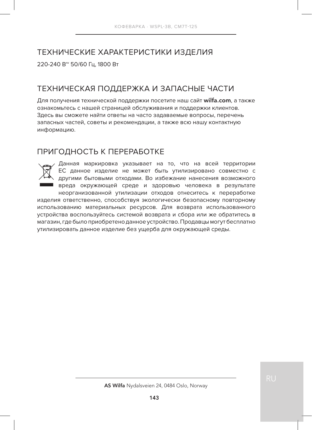## ТЕХНИЧЕСКИЕ ХАРАКТЕРИСТИКИ ИЗДЕЛИЯ

220-240 В~ 50/60 Гц, 1800 Вт

## ТЕХНИЧЕСКАЯ ПОДДЕРЖКА И ЗАПАСНЫЕ ЧАСТИ

Для получения технической поддержки посетите наш сайт wilfa.com, а также ознакомьтесь с нашей страницей обслуживания и поддержки клиентов. Здесь вы сможете найти ответы на часто задаваемые вопросы, перечень запасных частей, советы и рекомендации, а также всю нашу контактную информацию.

## ПРИГОДНОСТЬ К ПЕРЕРАБОТКЕ

Данная маркировка указывает на то, что на всей территории ЕС данное изделие не может быть утилизировано совместно с другими бытовыми отходами. Во избежание нанесения возможного вреда окружающей среде и здоровью человека в результате неорганизованной утилизации отходов отнеситесь к переработке изделия ответственно, способствуя экологически безопасному повторному использованию материальных ресурсов. Для возврата использованного устройства воспользуйтесь системой возврата и сбора или же обратитесь в магазин, где было приобретено данное устройство. Продавцы могут бесплатно утилизировать данное изделие без ущерба для окружающей среды.